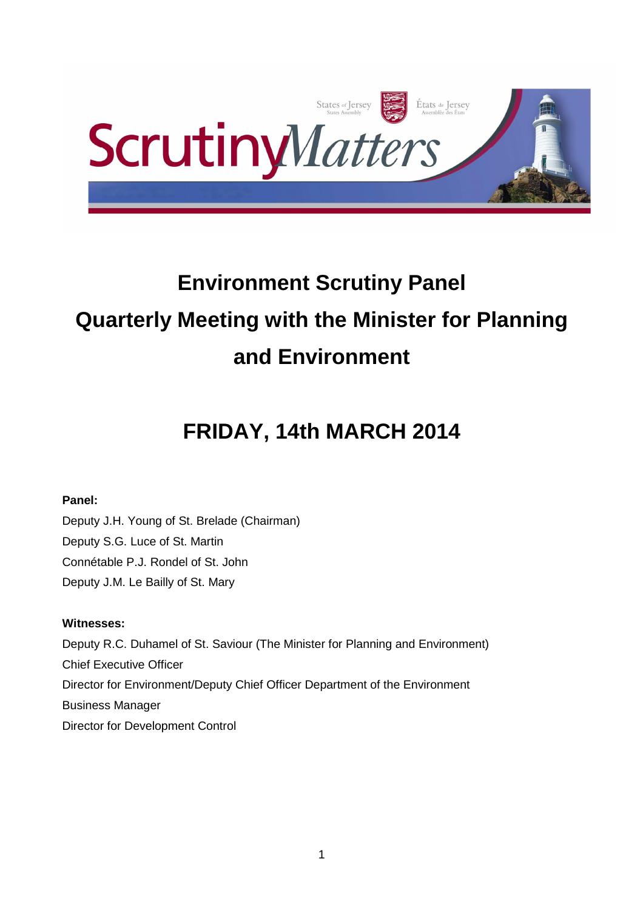

# **Environment Scrutiny Panel Quarterly Meeting with the Minister for Planning and Environment**

# **FRIDAY, 14th MARCH 2014**

## **Panel:**

Deputy J.H. Young of St. Brelade (Chairman) Deputy S.G. Luce of St. Martin Connétable P.J. Rondel of St. John Deputy J.M. Le Bailly of St. Mary

## **Witnesses:**

Deputy R.C. Duhamel of St. Saviour (The Minister for Planning and Environment) Chief Executive Officer Director for Environment/Deputy Chief Officer Department of the Environment Business Manager Director for Development Control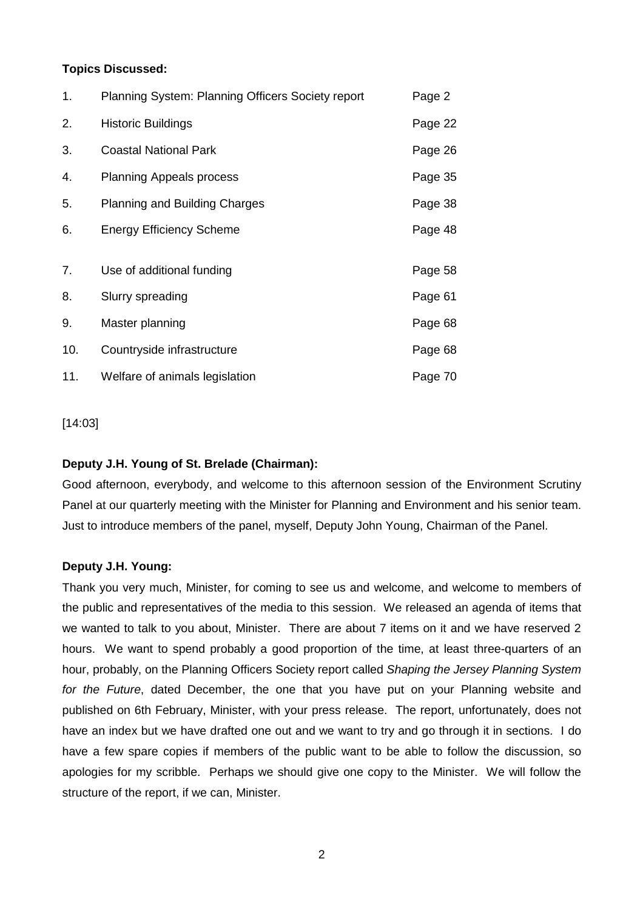## **Topics Discussed:**

| 1 <sub>1</sub> | Planning System: Planning Officers Society report | Page 2  |
|----------------|---------------------------------------------------|---------|
| 2.             | <b>Historic Buildings</b>                         | Page 22 |
| 3.             | <b>Coastal National Park</b>                      | Page 26 |
| 4.             | <b>Planning Appeals process</b>                   | Page 35 |
| 5.             | <b>Planning and Building Charges</b>              | Page 38 |
| 6.             | <b>Energy Efficiency Scheme</b>                   | Page 48 |
|                |                                                   |         |
| 7.             | Use of additional funding                         | Page 58 |
| 8.             | Slurry spreading                                  | Page 61 |
| 9.             | Master planning                                   | Page 68 |
| 10.            | Countryside infrastructure                        | Page 68 |
| 11.            | Welfare of animals legislation                    | Page 70 |

## [14:03]

## **Deputy J.H. Young of St. Brelade (Chairman):**

Good afternoon, everybody, and welcome to this afternoon session of the Environment Scrutiny Panel at our quarterly meeting with the Minister for Planning and Environment and his senior team. Just to introduce members of the panel, myself, Deputy John Young, Chairman of the Panel.

## **Deputy J.H. Young:**

Thank you very much, Minister, for coming to see us and welcome, and welcome to members of the public and representatives of the media to this session. We released an agenda of items that we wanted to talk to you about, Minister. There are about 7 items on it and we have reserved 2 hours. We want to spend probably a good proportion of the time, at least three-quarters of an hour, probably, on the Planning Officers Society report called Shaping the Jersey Planning System for the Future, dated December, the one that you have put on your Planning website and published on 6th February, Minister, with your press release. The report, unfortunately, does not have an index but we have drafted one out and we want to try and go through it in sections. I do have a few spare copies if members of the public want to be able to follow the discussion, so apologies for my scribble. Perhaps we should give one copy to the Minister. We will follow the structure of the report, if we can, Minister.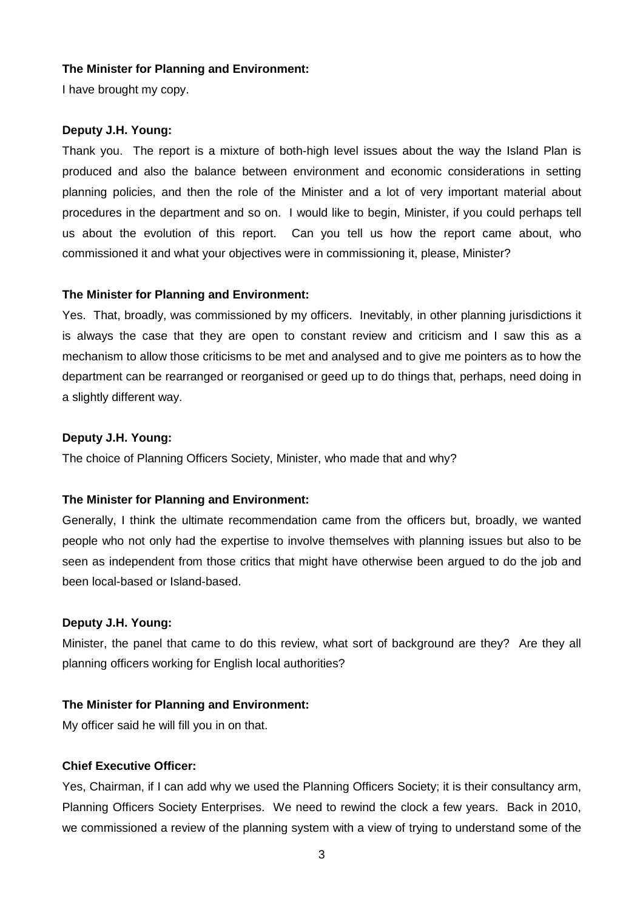I have brought my copy.

#### **Deputy J.H. Young:**

Thank you. The report is a mixture of both-high level issues about the way the Island Plan is produced and also the balance between environment and economic considerations in setting planning policies, and then the role of the Minister and a lot of very important material about procedures in the department and so on. I would like to begin, Minister, if you could perhaps tell us about the evolution of this report. Can you tell us how the report came about, who commissioned it and what your objectives were in commissioning it, please, Minister?

#### **The Minister for Planning and Environment:**

Yes. That, broadly, was commissioned by my officers. Inevitably, in other planning jurisdictions it is always the case that they are open to constant review and criticism and I saw this as a mechanism to allow those criticisms to be met and analysed and to give me pointers as to how the department can be rearranged or reorganised or geed up to do things that, perhaps, need doing in a slightly different way.

## **Deputy J.H. Young:**

The choice of Planning Officers Society, Minister, who made that and why?

## **The Minister for Planning and Environment:**

Generally, I think the ultimate recommendation came from the officers but, broadly, we wanted people who not only had the expertise to involve themselves with planning issues but also to be seen as independent from those critics that might have otherwise been argued to do the job and been local-based or Island-based.

## **Deputy J.H. Young:**

Minister, the panel that came to do this review, what sort of background are they? Are they all planning officers working for English local authorities?

## **The Minister for Planning and Environment:**

My officer said he will fill you in on that.

## **Chief Executive Officer:**

Yes, Chairman, if I can add why we used the Planning Officers Society; it is their consultancy arm, Planning Officers Society Enterprises. We need to rewind the clock a few years. Back in 2010, we commissioned a review of the planning system with a view of trying to understand some of the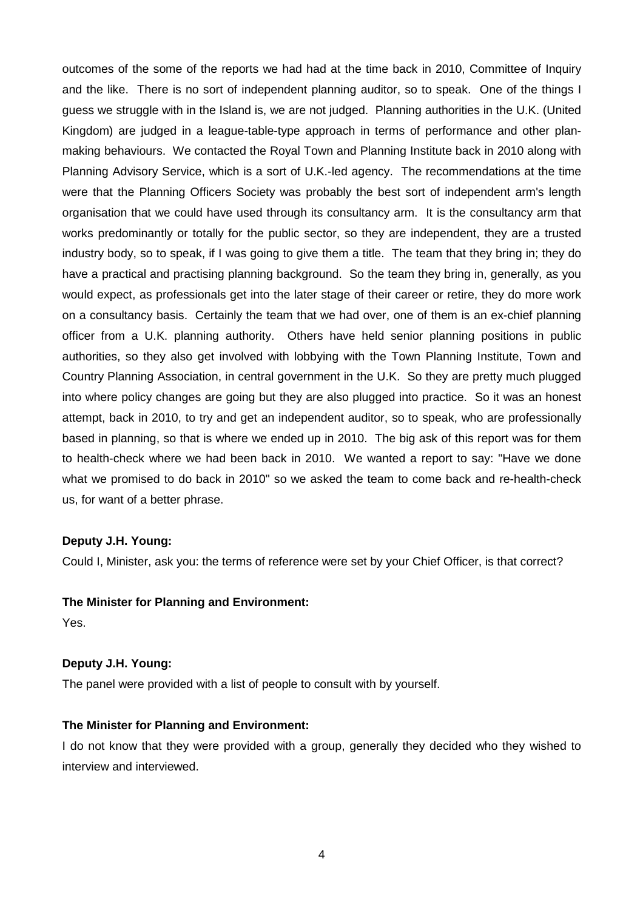outcomes of the some of the reports we had had at the time back in 2010, Committee of Inquiry and the like. There is no sort of independent planning auditor, so to speak. One of the things I guess we struggle with in the Island is, we are not judged. Planning authorities in the U.K. (United Kingdom) are judged in a league-table-type approach in terms of performance and other planmaking behaviours. We contacted the Royal Town and Planning Institute back in 2010 along with Planning Advisory Service, which is a sort of U.K.-led agency. The recommendations at the time were that the Planning Officers Society was probably the best sort of independent arm's length organisation that we could have used through its consultancy arm. It is the consultancy arm that works predominantly or totally for the public sector, so they are independent, they are a trusted industry body, so to speak, if I was going to give them a title. The team that they bring in; they do have a practical and practising planning background. So the team they bring in, generally, as you would expect, as professionals get into the later stage of their career or retire, they do more work on a consultancy basis. Certainly the team that we had over, one of them is an ex-chief planning officer from a U.K. planning authority. Others have held senior planning positions in public authorities, so they also get involved with lobbying with the Town Planning Institute, Town and Country Planning Association, in central government in the U.K. So they are pretty much plugged into where policy changes are going but they are also plugged into practice. So it was an honest attempt, back in 2010, to try and get an independent auditor, so to speak, who are professionally based in planning, so that is where we ended up in 2010. The big ask of this report was for them to health-check where we had been back in 2010. We wanted a report to say: "Have we done what we promised to do back in 2010" so we asked the team to come back and re-health-check us, for want of a better phrase.

## **Deputy J.H. Young:**

Could I, Minister, ask you: the terms of reference were set by your Chief Officer, is that correct?

## **The Minister for Planning and Environment:**

Yes.

## **Deputy J.H. Young:**

The panel were provided with a list of people to consult with by yourself.

## **The Minister for Planning and Environment:**

I do not know that they were provided with a group, generally they decided who they wished to interview and interviewed.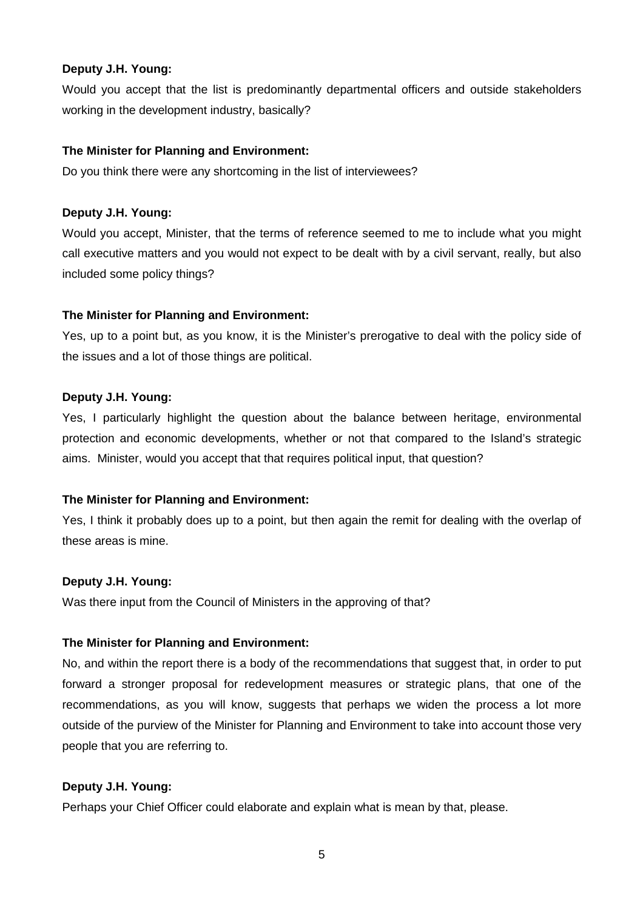Would you accept that the list is predominantly departmental officers and outside stakeholders working in the development industry, basically?

## **The Minister for Planning and Environment:**

Do you think there were any shortcoming in the list of interviewees?

## **Deputy J.H. Young:**

Would you accept, Minister, that the terms of reference seemed to me to include what you might call executive matters and you would not expect to be dealt with by a civil servant, really, but also included some policy things?

## **The Minister for Planning and Environment:**

Yes, up to a point but, as you know, it is the Minister's prerogative to deal with the policy side of the issues and a lot of those things are political.

## **Deputy J.H. Young:**

Yes, I particularly highlight the question about the balance between heritage, environmental protection and economic developments, whether or not that compared to the Island's strategic aims. Minister, would you accept that that requires political input, that question?

## **The Minister for Planning and Environment:**

Yes, I think it probably does up to a point, but then again the remit for dealing with the overlap of these areas is mine.

## **Deputy J.H. Young:**

Was there input from the Council of Ministers in the approving of that?

## **The Minister for Planning and Environment:**

No, and within the report there is a body of the recommendations that suggest that, in order to put forward a stronger proposal for redevelopment measures or strategic plans, that one of the recommendations, as you will know, suggests that perhaps we widen the process a lot more outside of the purview of the Minister for Planning and Environment to take into account those very people that you are referring to.

## **Deputy J.H. Young:**

Perhaps your Chief Officer could elaborate and explain what is mean by that, please.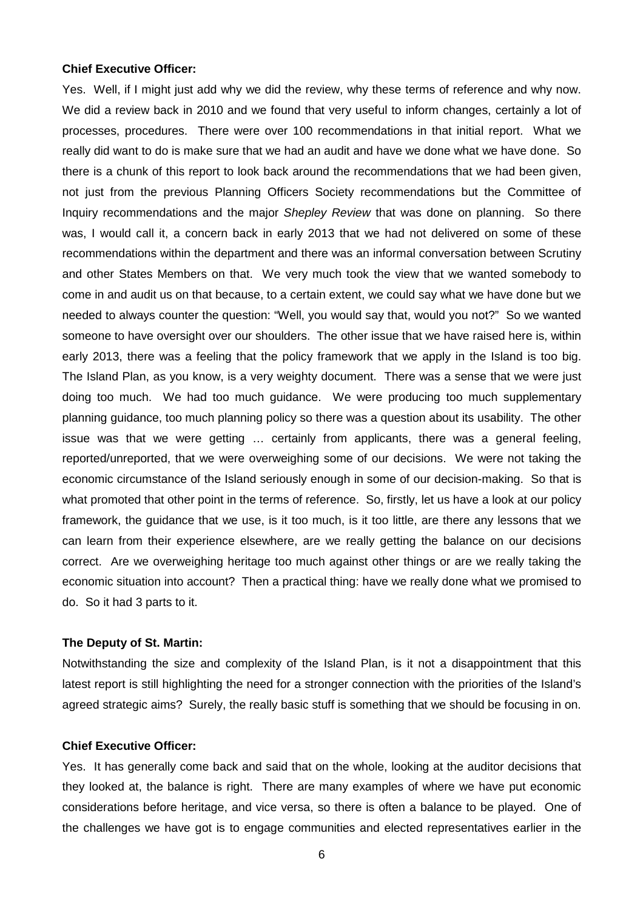#### **Chief Executive Officer:**

Yes. Well, if I might just add why we did the review, why these terms of reference and why now. We did a review back in 2010 and we found that very useful to inform changes, certainly a lot of processes, procedures. There were over 100 recommendations in that initial report. What we really did want to do is make sure that we had an audit and have we done what we have done. So there is a chunk of this report to look back around the recommendations that we had been given, not just from the previous Planning Officers Society recommendations but the Committee of Inquiry recommendations and the major Shepley Review that was done on planning. So there was, I would call it, a concern back in early 2013 that we had not delivered on some of these recommendations within the department and there was an informal conversation between Scrutiny and other States Members on that. We very much took the view that we wanted somebody to come in and audit us on that because, to a certain extent, we could say what we have done but we needed to always counter the question: "Well, you would say that, would you not?" So we wanted someone to have oversight over our shoulders. The other issue that we have raised here is, within early 2013, there was a feeling that the policy framework that we apply in the Island is too big. The Island Plan, as you know, is a very weighty document. There was a sense that we were just doing too much. We had too much guidance. We were producing too much supplementary planning guidance, too much planning policy so there was a question about its usability. The other issue was that we were getting … certainly from applicants, there was a general feeling, reported/unreported, that we were overweighing some of our decisions. We were not taking the economic circumstance of the Island seriously enough in some of our decision-making. So that is what promoted that other point in the terms of reference. So, firstly, let us have a look at our policy framework, the guidance that we use, is it too much, is it too little, are there any lessons that we can learn from their experience elsewhere, are we really getting the balance on our decisions correct. Are we overweighing heritage too much against other things or are we really taking the economic situation into account? Then a practical thing: have we really done what we promised to do. So it had 3 parts to it.

#### **The Deputy of St. Martin:**

Notwithstanding the size and complexity of the Island Plan, is it not a disappointment that this latest report is still highlighting the need for a stronger connection with the priorities of the Island's agreed strategic aims? Surely, the really basic stuff is something that we should be focusing in on.

#### **Chief Executive Officer:**

Yes. It has generally come back and said that on the whole, looking at the auditor decisions that they looked at, the balance is right. There are many examples of where we have put economic considerations before heritage, and vice versa, so there is often a balance to be played. One of the challenges we have got is to engage communities and elected representatives earlier in the

6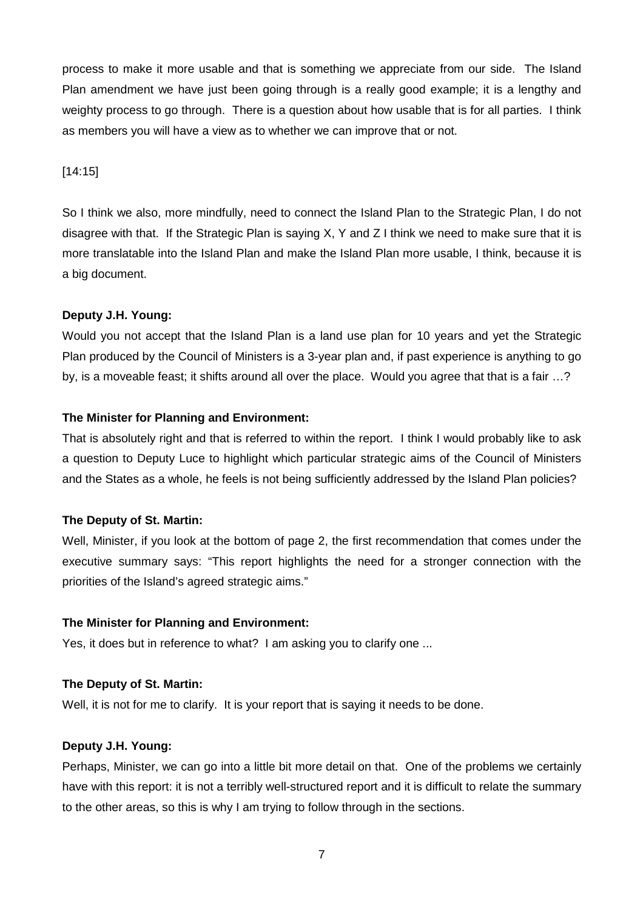process to make it more usable and that is something we appreciate from our side. The Island Plan amendment we have just been going through is a really good example; it is a lengthy and weighty process to go through. There is a question about how usable that is for all parties. I think as members you will have a view as to whether we can improve that or not.

[14:15]

So I think we also, more mindfully, need to connect the Island Plan to the Strategic Plan, I do not disagree with that. If the Strategic Plan is saying X, Y and Z I think we need to make sure that it is more translatable into the Island Plan and make the Island Plan more usable, I think, because it is a big document.

## **Deputy J.H. Young:**

Would you not accept that the Island Plan is a land use plan for 10 years and yet the Strategic Plan produced by the Council of Ministers is a 3-year plan and, if past experience is anything to go by, is a moveable feast; it shifts around all over the place. Would you agree that that is a fair …?

## **The Minister for Planning and Environment:**

That is absolutely right and that is referred to within the report. I think I would probably like to ask a question to Deputy Luce to highlight which particular strategic aims of the Council of Ministers and the States as a whole, he feels is not being sufficiently addressed by the Island Plan policies?

## **The Deputy of St. Martin:**

Well, Minister, if you look at the bottom of page 2, the first recommendation that comes under the executive summary says: "This report highlights the need for a stronger connection with the priorities of the Island's agreed strategic aims."

## **The Minister for Planning and Environment:**

Yes, it does but in reference to what? I am asking you to clarify one ...

## **The Deputy of St. Martin:**

Well, it is not for me to clarify. It is your report that is saying it needs to be done.

## **Deputy J.H. Young:**

Perhaps, Minister, we can go into a little bit more detail on that. One of the problems we certainly have with this report: it is not a terribly well-structured report and it is difficult to relate the summary to the other areas, so this is why I am trying to follow through in the sections.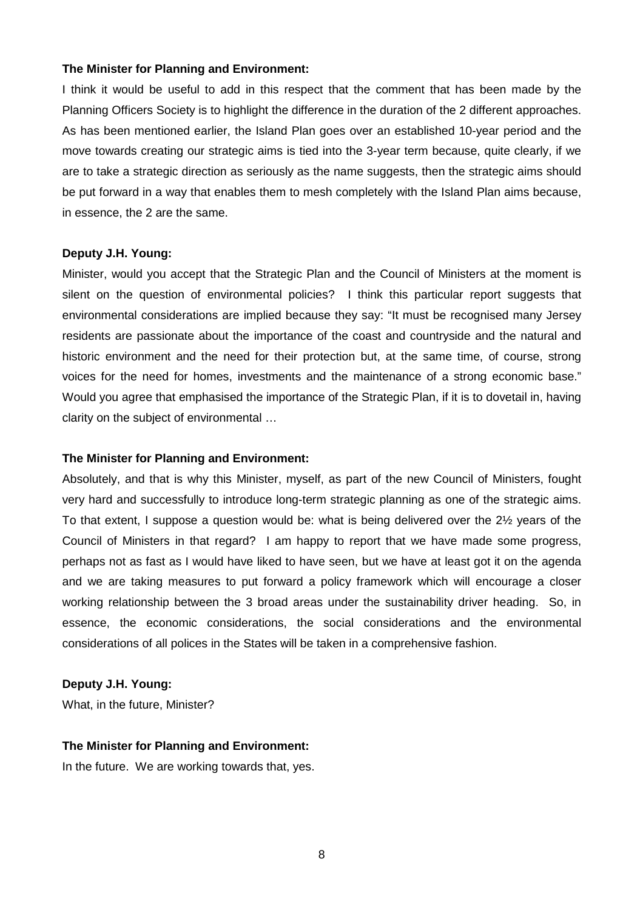I think it would be useful to add in this respect that the comment that has been made by the Planning Officers Society is to highlight the difference in the duration of the 2 different approaches. As has been mentioned earlier, the Island Plan goes over an established 10-year period and the move towards creating our strategic aims is tied into the 3-year term because, quite clearly, if we are to take a strategic direction as seriously as the name suggests, then the strategic aims should be put forward in a way that enables them to mesh completely with the Island Plan aims because, in essence, the 2 are the same.

## **Deputy J.H. Young:**

Minister, would you accept that the Strategic Plan and the Council of Ministers at the moment is silent on the question of environmental policies? I think this particular report suggests that environmental considerations are implied because they say: "It must be recognised many Jersey residents are passionate about the importance of the coast and countryside and the natural and historic environment and the need for their protection but, at the same time, of course, strong voices for the need for homes, investments and the maintenance of a strong economic base." Would you agree that emphasised the importance of the Strategic Plan, if it is to dovetail in, having clarity on the subject of environmental …

#### **The Minister for Planning and Environment:**

Absolutely, and that is why this Minister, myself, as part of the new Council of Ministers, fought very hard and successfully to introduce long-term strategic planning as one of the strategic aims. To that extent, I suppose a question would be: what is being delivered over the 2½ years of the Council of Ministers in that regard? I am happy to report that we have made some progress, perhaps not as fast as I would have liked to have seen, but we have at least got it on the agenda and we are taking measures to put forward a policy framework which will encourage a closer working relationship between the 3 broad areas under the sustainability driver heading. So, in essence, the economic considerations, the social considerations and the environmental considerations of all polices in the States will be taken in a comprehensive fashion.

## **Deputy J.H. Young:**

What, in the future, Minister?

## **The Minister for Planning and Environment:**

In the future. We are working towards that, yes.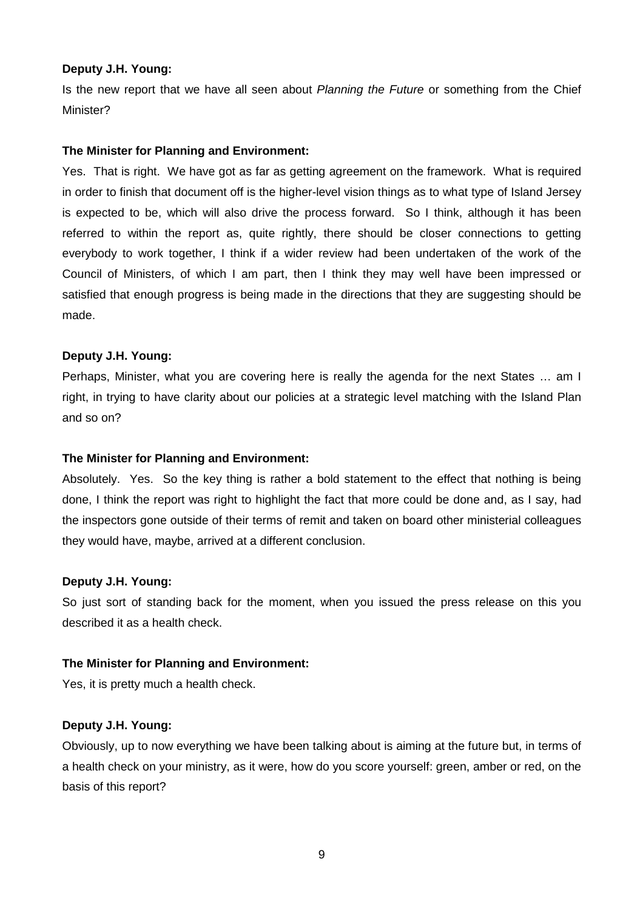Is the new report that we have all seen about Planning the Future or something from the Chief Minister?

## **The Minister for Planning and Environment:**

Yes. That is right. We have got as far as getting agreement on the framework. What is required in order to finish that document off is the higher-level vision things as to what type of Island Jersey is expected to be, which will also drive the process forward. So I think, although it has been referred to within the report as, quite rightly, there should be closer connections to getting everybody to work together, I think if a wider review had been undertaken of the work of the Council of Ministers, of which I am part, then I think they may well have been impressed or satisfied that enough progress is being made in the directions that they are suggesting should be made.

## **Deputy J.H. Young:**

Perhaps, Minister, what you are covering here is really the agenda for the next States … am I right, in trying to have clarity about our policies at a strategic level matching with the Island Plan and so on?

## **The Minister for Planning and Environment:**

Absolutely. Yes. So the key thing is rather a bold statement to the effect that nothing is being done, I think the report was right to highlight the fact that more could be done and, as I say, had the inspectors gone outside of their terms of remit and taken on board other ministerial colleagues they would have, maybe, arrived at a different conclusion.

## **Deputy J.H. Young:**

So just sort of standing back for the moment, when you issued the press release on this you described it as a health check.

## **The Minister for Planning and Environment:**

Yes, it is pretty much a health check.

## **Deputy J.H. Young:**

Obviously, up to now everything we have been talking about is aiming at the future but, in terms of a health check on your ministry, as it were, how do you score yourself: green, amber or red, on the basis of this report?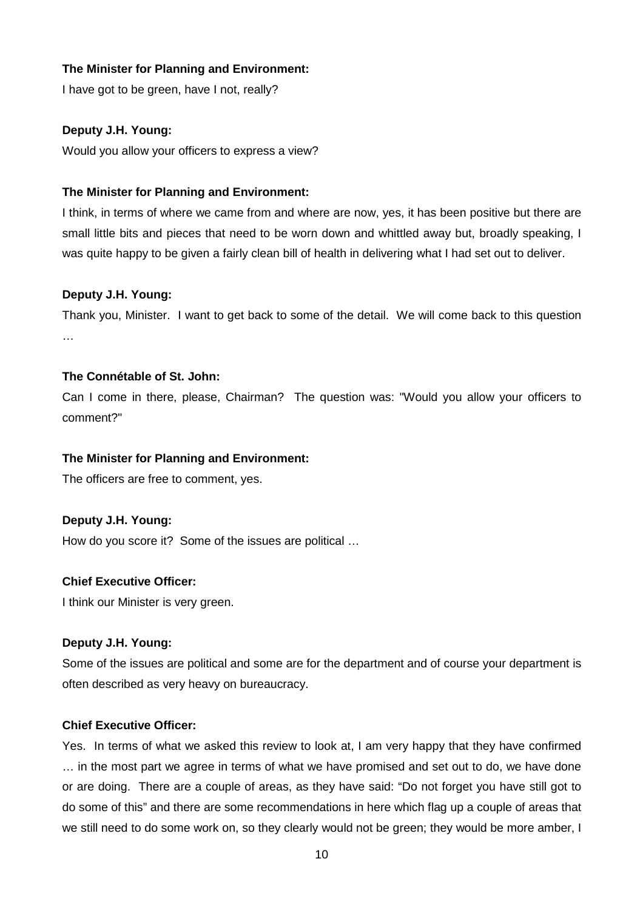I have got to be green, have I not, really?

## **Deputy J.H. Young:**

Would you allow your officers to express a view?

## **The Minister for Planning and Environment:**

I think, in terms of where we came from and where are now, yes, it has been positive but there are small little bits and pieces that need to be worn down and whittled away but, broadly speaking, I was quite happy to be given a fairly clean bill of health in delivering what I had set out to deliver.

## **Deputy J.H. Young:**

Thank you, Minister. I want to get back to some of the detail. We will come back to this question …

## **The Connétable of St. John:**

Can I come in there, please, Chairman? The question was: "Would you allow your officers to comment?"

## **The Minister for Planning and Environment:**

The officers are free to comment, yes.

## **Deputy J.H. Young:**

How do you score it? Some of the issues are political …

## **Chief Executive Officer:**

I think our Minister is very green.

## **Deputy J.H. Young:**

Some of the issues are political and some are for the department and of course your department is often described as very heavy on bureaucracy.

## **Chief Executive Officer:**

Yes. In terms of what we asked this review to look at, I am very happy that they have confirmed … in the most part we agree in terms of what we have promised and set out to do, we have done or are doing. There are a couple of areas, as they have said: "Do not forget you have still got to do some of this" and there are some recommendations in here which flag up a couple of areas that we still need to do some work on, so they clearly would not be green; they would be more amber, I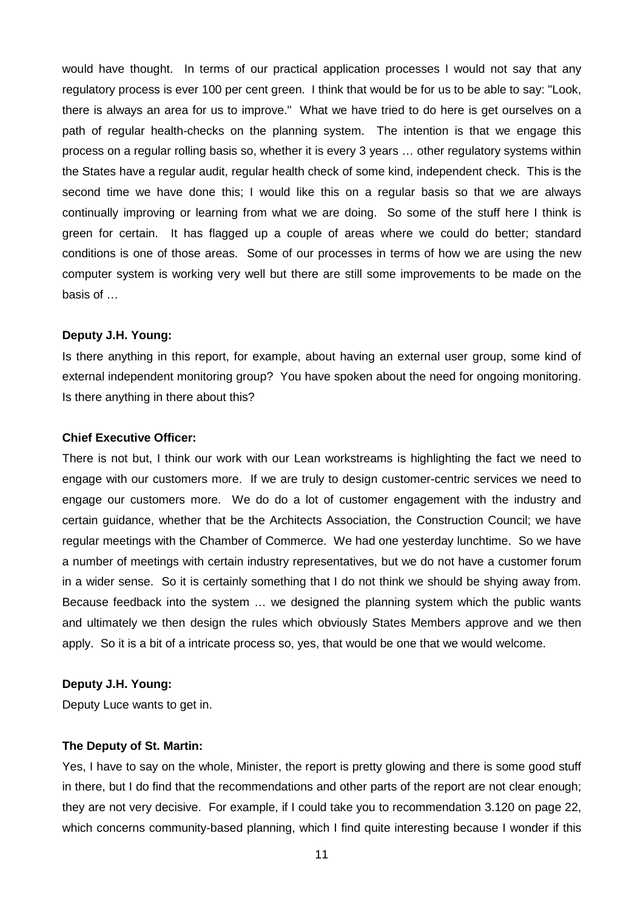would have thought. In terms of our practical application processes I would not say that any regulatory process is ever 100 per cent green. I think that would be for us to be able to say: "Look, there is always an area for us to improve." What we have tried to do here is get ourselves on a path of regular health-checks on the planning system. The intention is that we engage this process on a regular rolling basis so, whether it is every 3 years … other regulatory systems within the States have a regular audit, regular health check of some kind, independent check. This is the second time we have done this; I would like this on a regular basis so that we are always continually improving or learning from what we are doing. So some of the stuff here I think is green for certain. It has flagged up a couple of areas where we could do better; standard conditions is one of those areas. Some of our processes in terms of how we are using the new computer system is working very well but there are still some improvements to be made on the basis of …

#### **Deputy J.H. Young:**

Is there anything in this report, for example, about having an external user group, some kind of external independent monitoring group? You have spoken about the need for ongoing monitoring. Is there anything in there about this?

#### **Chief Executive Officer:**

There is not but, I think our work with our Lean workstreams is highlighting the fact we need to engage with our customers more. If we are truly to design customer-centric services we need to engage our customers more. We do do a lot of customer engagement with the industry and certain guidance, whether that be the Architects Association, the Construction Council; we have regular meetings with the Chamber of Commerce. We had one yesterday lunchtime. So we have a number of meetings with certain industry representatives, but we do not have a customer forum in a wider sense. So it is certainly something that I do not think we should be shying away from. Because feedback into the system … we designed the planning system which the public wants and ultimately we then design the rules which obviously States Members approve and we then apply. So it is a bit of a intricate process so, yes, that would be one that we would welcome.

## **Deputy J.H. Young:**

Deputy Luce wants to get in.

#### **The Deputy of St. Martin:**

Yes, I have to say on the whole, Minister, the report is pretty glowing and there is some good stuff in there, but I do find that the recommendations and other parts of the report are not clear enough; they are not very decisive. For example, if I could take you to recommendation 3.120 on page 22, which concerns community-based planning, which I find quite interesting because I wonder if this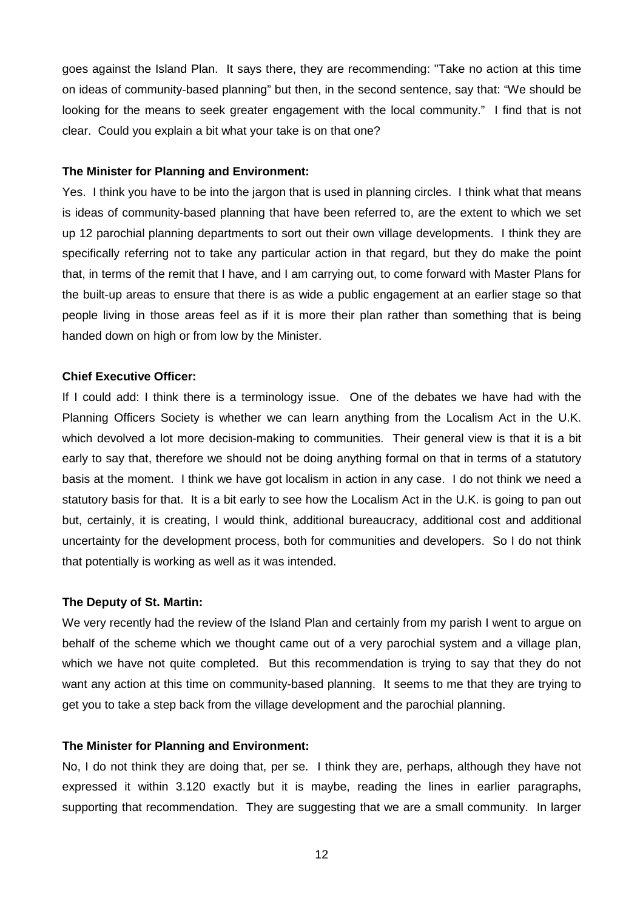goes against the Island Plan. It says there, they are recommending: "Take no action at this time on ideas of community-based planning" but then, in the second sentence, say that: "We should be looking for the means to seek greater engagement with the local community." I find that is not clear. Could you explain a bit what your take is on that one?

#### **The Minister for Planning and Environment:**

Yes. I think you have to be into the jargon that is used in planning circles. I think what that means is ideas of community-based planning that have been referred to, are the extent to which we set up 12 parochial planning departments to sort out their own village developments. I think they are specifically referring not to take any particular action in that regard, but they do make the point that, in terms of the remit that I have, and I am carrying out, to come forward with Master Plans for the built-up areas to ensure that there is as wide a public engagement at an earlier stage so that people living in those areas feel as if it is more their plan rather than something that is being handed down on high or from low by the Minister.

#### **Chief Executive Officer:**

If I could add: I think there is a terminology issue. One of the debates we have had with the Planning Officers Society is whether we can learn anything from the Localism Act in the U.K. which devolved a lot more decision-making to communities. Their general view is that it is a bit early to say that, therefore we should not be doing anything formal on that in terms of a statutory basis at the moment. I think we have got localism in action in any case. I do not think we need a statutory basis for that. It is a bit early to see how the Localism Act in the U.K. is going to pan out but, certainly, it is creating, I would think, additional bureaucracy, additional cost and additional uncertainty for the development process, both for communities and developers. So I do not think that potentially is working as well as it was intended.

#### **The Deputy of St. Martin:**

We very recently had the review of the Island Plan and certainly from my parish I went to argue on behalf of the scheme which we thought came out of a very parochial system and a village plan, which we have not quite completed. But this recommendation is trying to say that they do not want any action at this time on community-based planning. It seems to me that they are trying to get you to take a step back from the village development and the parochial planning.

## **The Minister for Planning and Environment:**

No, I do not think they are doing that, per se. I think they are, perhaps, although they have not expressed it within 3.120 exactly but it is maybe, reading the lines in earlier paragraphs, supporting that recommendation. They are suggesting that we are a small community. In larger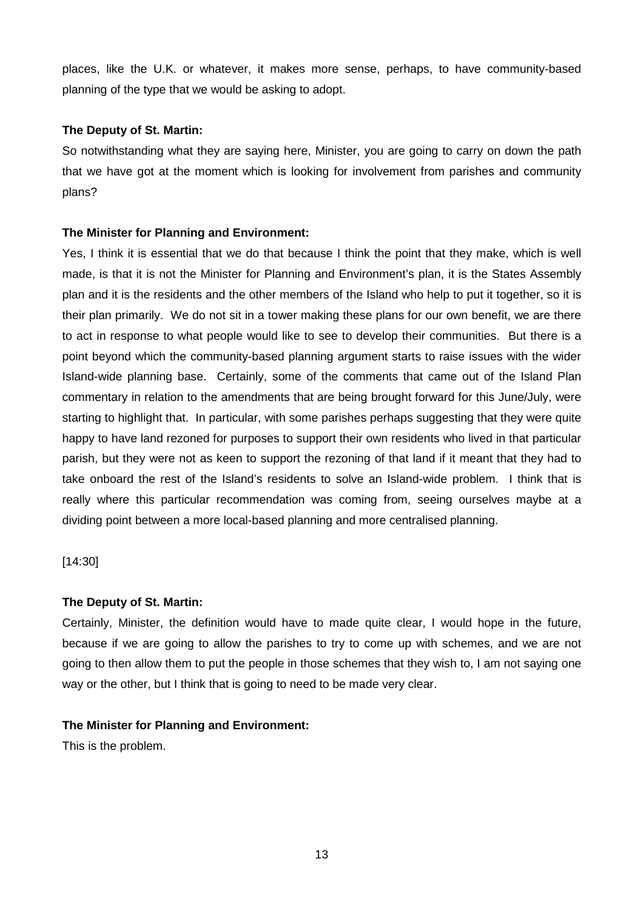places, like the U.K. or whatever, it makes more sense, perhaps, to have community-based planning of the type that we would be asking to adopt.

## **The Deputy of St. Martin:**

So notwithstanding what they are saying here, Minister, you are going to carry on down the path that we have got at the moment which is looking for involvement from parishes and community plans?

## **The Minister for Planning and Environment:**

Yes, I think it is essential that we do that because I think the point that they make, which is well made, is that it is not the Minister for Planning and Environment's plan, it is the States Assembly plan and it is the residents and the other members of the Island who help to put it together, so it is their plan primarily. We do not sit in a tower making these plans for our own benefit, we are there to act in response to what people would like to see to develop their communities. But there is a point beyond which the community-based planning argument starts to raise issues with the wider Island-wide planning base. Certainly, some of the comments that came out of the Island Plan commentary in relation to the amendments that are being brought forward for this June/July, were starting to highlight that. In particular, with some parishes perhaps suggesting that they were quite happy to have land rezoned for purposes to support their own residents who lived in that particular parish, but they were not as keen to support the rezoning of that land if it meant that they had to take onboard the rest of the Island's residents to solve an Island-wide problem. I think that is really where this particular recommendation was coming from, seeing ourselves maybe at a dividing point between a more local-based planning and more centralised planning.

[14:30]

## **The Deputy of St. Martin:**

Certainly, Minister, the definition would have to made quite clear, I would hope in the future, because if we are going to allow the parishes to try to come up with schemes, and we are not going to then allow them to put the people in those schemes that they wish to, I am not saying one way or the other, but I think that is going to need to be made very clear.

## **The Minister for Planning and Environment:**

This is the problem.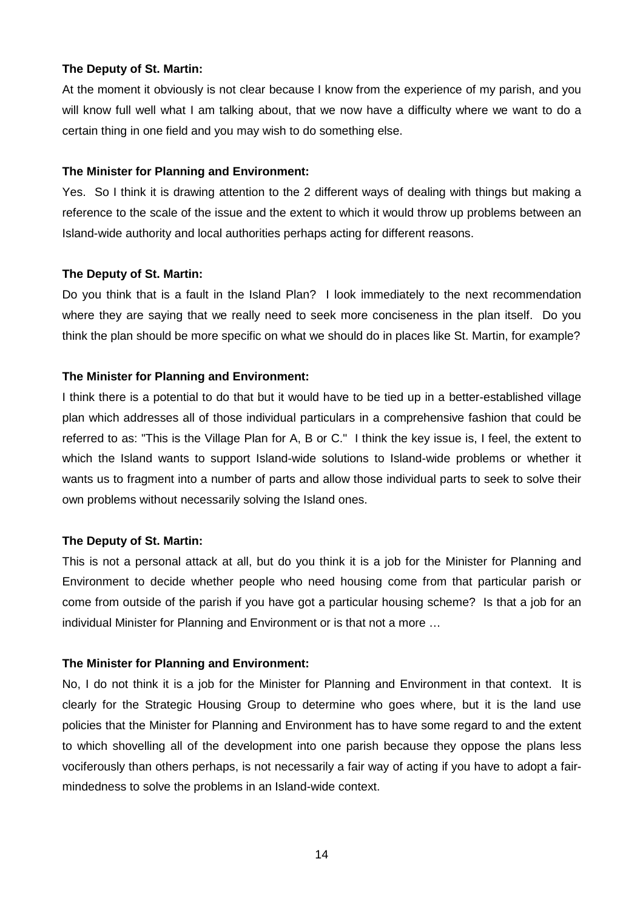## **The Deputy of St. Martin:**

At the moment it obviously is not clear because I know from the experience of my parish, and you will know full well what I am talking about, that we now have a difficulty where we want to do a certain thing in one field and you may wish to do something else.

## **The Minister for Planning and Environment:**

Yes. So I think it is drawing attention to the 2 different ways of dealing with things but making a reference to the scale of the issue and the extent to which it would throw up problems between an Island-wide authority and local authorities perhaps acting for different reasons.

## **The Deputy of St. Martin:**

Do you think that is a fault in the Island Plan? I look immediately to the next recommendation where they are saying that we really need to seek more conciseness in the plan itself. Do you think the plan should be more specific on what we should do in places like St. Martin, for example?

## **The Minister for Planning and Environment:**

I think there is a potential to do that but it would have to be tied up in a better-established village plan which addresses all of those individual particulars in a comprehensive fashion that could be referred to as: "This is the Village Plan for A, B or C." I think the key issue is, I feel, the extent to which the Island wants to support Island-wide solutions to Island-wide problems or whether it wants us to fragment into a number of parts and allow those individual parts to seek to solve their own problems without necessarily solving the Island ones.

## **The Deputy of St. Martin:**

This is not a personal attack at all, but do you think it is a job for the Minister for Planning and Environment to decide whether people who need housing come from that particular parish or come from outside of the parish if you have got a particular housing scheme? Is that a job for an individual Minister for Planning and Environment or is that not a more …

## **The Minister for Planning and Environment:**

No, I do not think it is a job for the Minister for Planning and Environment in that context. It is clearly for the Strategic Housing Group to determine who goes where, but it is the land use policies that the Minister for Planning and Environment has to have some regard to and the extent to which shovelling all of the development into one parish because they oppose the plans less vociferously than others perhaps, is not necessarily a fair way of acting if you have to adopt a fairmindedness to solve the problems in an Island-wide context.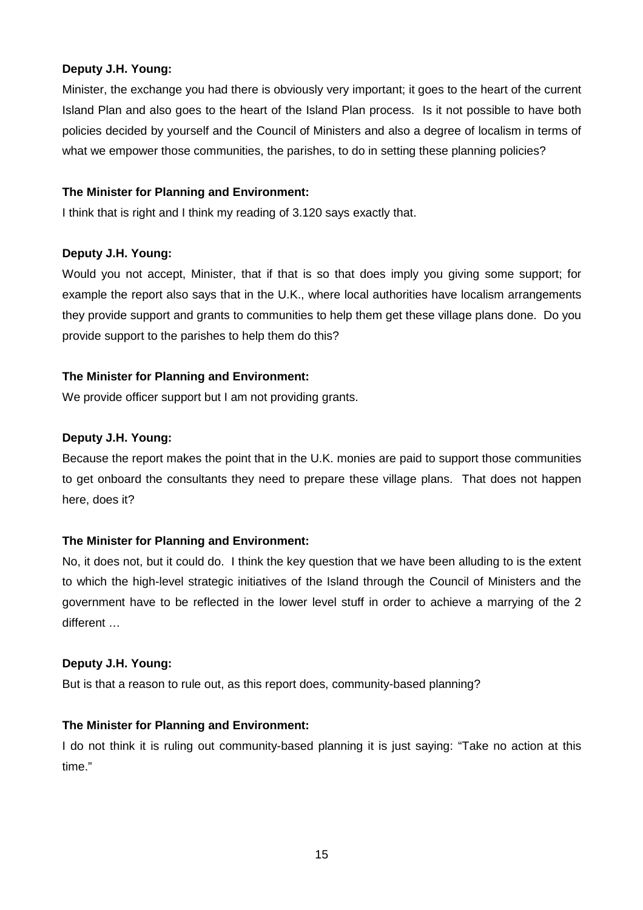Minister, the exchange you had there is obviously very important; it goes to the heart of the current Island Plan and also goes to the heart of the Island Plan process. Is it not possible to have both policies decided by yourself and the Council of Ministers and also a degree of localism in terms of what we empower those communities, the parishes, to do in setting these planning policies?

## **The Minister for Planning and Environment:**

I think that is right and I think my reading of 3.120 says exactly that.

## **Deputy J.H. Young:**

Would you not accept, Minister, that if that is so that does imply you giving some support; for example the report also says that in the U.K., where local authorities have localism arrangements they provide support and grants to communities to help them get these village plans done. Do you provide support to the parishes to help them do this?

## **The Minister for Planning and Environment:**

We provide officer support but I am not providing grants.

## **Deputy J.H. Young:**

Because the report makes the point that in the U.K. monies are paid to support those communities to get onboard the consultants they need to prepare these village plans. That does not happen here, does it?

## **The Minister for Planning and Environment:**

No, it does not, but it could do. I think the key question that we have been alluding to is the extent to which the high-level strategic initiatives of the Island through the Council of Ministers and the government have to be reflected in the lower level stuff in order to achieve a marrying of the 2 different …

## **Deputy J.H. Young:**

But is that a reason to rule out, as this report does, community-based planning?

## **The Minister for Planning and Environment:**

I do not think it is ruling out community-based planning it is just saying: "Take no action at this time."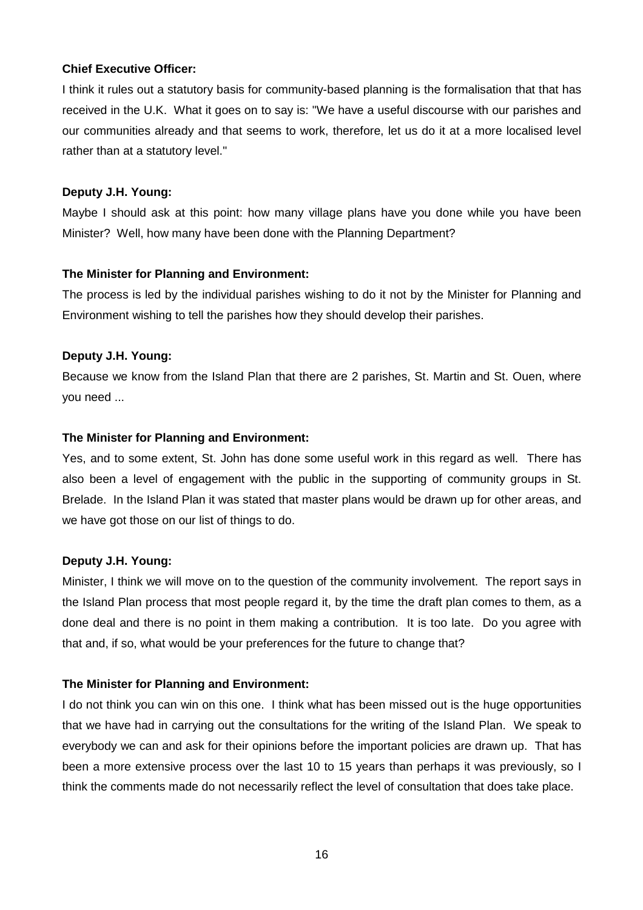## **Chief Executive Officer:**

I think it rules out a statutory basis for community-based planning is the formalisation that that has received in the U.K. What it goes on to say is: "We have a useful discourse with our parishes and our communities already and that seems to work, therefore, let us do it at a more localised level rather than at a statutory level."

## **Deputy J.H. Young:**

Maybe I should ask at this point: how many village plans have you done while you have been Minister? Well, how many have been done with the Planning Department?

## **The Minister for Planning and Environment:**

The process is led by the individual parishes wishing to do it not by the Minister for Planning and Environment wishing to tell the parishes how they should develop their parishes.

## **Deputy J.H. Young:**

Because we know from the Island Plan that there are 2 parishes, St. Martin and St. Ouen, where you need ...

## **The Minister for Planning and Environment:**

Yes, and to some extent, St. John has done some useful work in this regard as well. There has also been a level of engagement with the public in the supporting of community groups in St. Brelade. In the Island Plan it was stated that master plans would be drawn up for other areas, and we have got those on our list of things to do.

## **Deputy J.H. Young:**

Minister, I think we will move on to the question of the community involvement. The report says in the Island Plan process that most people regard it, by the time the draft plan comes to them, as a done deal and there is no point in them making a contribution. It is too late. Do you agree with that and, if so, what would be your preferences for the future to change that?

## **The Minister for Planning and Environment:**

I do not think you can win on this one. I think what has been missed out is the huge opportunities that we have had in carrying out the consultations for the writing of the Island Plan. We speak to everybody we can and ask for their opinions before the important policies are drawn up. That has been a more extensive process over the last 10 to 15 years than perhaps it was previously, so I think the comments made do not necessarily reflect the level of consultation that does take place.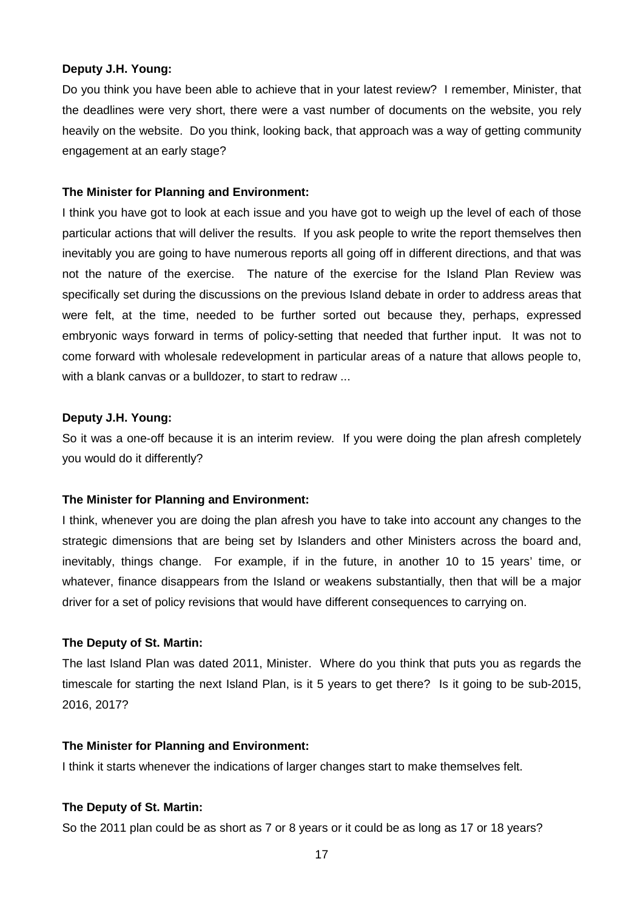Do you think you have been able to achieve that in your latest review? I remember, Minister, that the deadlines were very short, there were a vast number of documents on the website, you rely heavily on the website. Do you think, looking back, that approach was a way of getting community engagement at an early stage?

## **The Minister for Planning and Environment:**

I think you have got to look at each issue and you have got to weigh up the level of each of those particular actions that will deliver the results. If you ask people to write the report themselves then inevitably you are going to have numerous reports all going off in different directions, and that was not the nature of the exercise. The nature of the exercise for the Island Plan Review was specifically set during the discussions on the previous Island debate in order to address areas that were felt, at the time, needed to be further sorted out because they, perhaps, expressed embryonic ways forward in terms of policy-setting that needed that further input. It was not to come forward with wholesale redevelopment in particular areas of a nature that allows people to, with a blank canvas or a bulldozer, to start to redraw ...

## **Deputy J.H. Young:**

So it was a one-off because it is an interim review. If you were doing the plan afresh completely you would do it differently?

## **The Minister for Planning and Environment:**

I think, whenever you are doing the plan afresh you have to take into account any changes to the strategic dimensions that are being set by Islanders and other Ministers across the board and, inevitably, things change. For example, if in the future, in another 10 to 15 years' time, or whatever, finance disappears from the Island or weakens substantially, then that will be a major driver for a set of policy revisions that would have different consequences to carrying on.

## **The Deputy of St. Martin:**

The last Island Plan was dated 2011, Minister. Where do you think that puts you as regards the timescale for starting the next Island Plan, is it 5 years to get there? Is it going to be sub-2015, 2016, 2017?

## **The Minister for Planning and Environment:**

I think it starts whenever the indications of larger changes start to make themselves felt.

## **The Deputy of St. Martin:**

So the 2011 plan could be as short as 7 or 8 years or it could be as long as 17 or 18 years?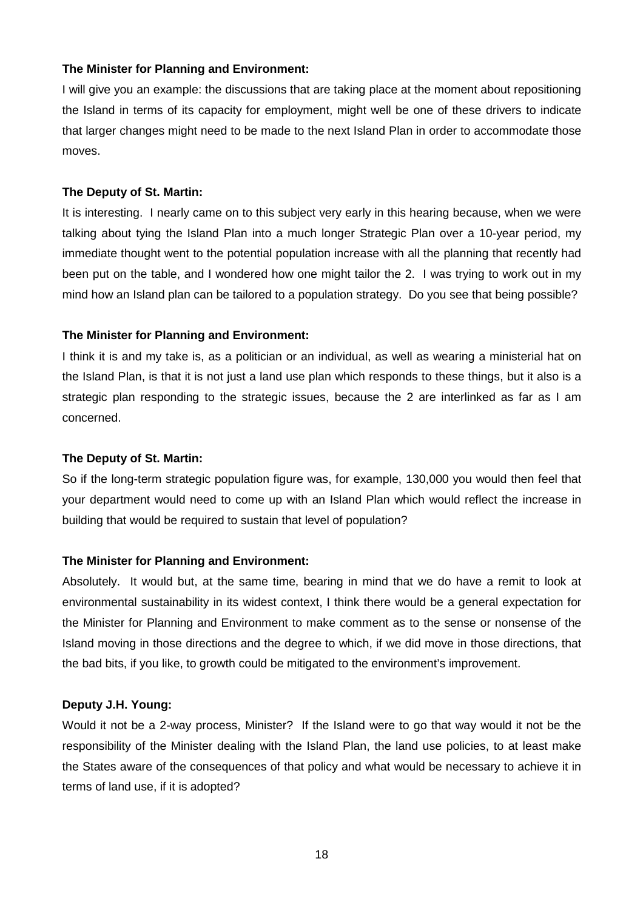I will give you an example: the discussions that are taking place at the moment about repositioning the Island in terms of its capacity for employment, might well be one of these drivers to indicate that larger changes might need to be made to the next Island Plan in order to accommodate those moves.

## **The Deputy of St. Martin:**

It is interesting. I nearly came on to this subject very early in this hearing because, when we were talking about tying the Island Plan into a much longer Strategic Plan over a 10-year period, my immediate thought went to the potential population increase with all the planning that recently had been put on the table, and I wondered how one might tailor the 2. I was trying to work out in my mind how an Island plan can be tailored to a population strategy. Do you see that being possible?

## **The Minister for Planning and Environment:**

I think it is and my take is, as a politician or an individual, as well as wearing a ministerial hat on the Island Plan, is that it is not just a land use plan which responds to these things, but it also is a strategic plan responding to the strategic issues, because the 2 are interlinked as far as I am concerned.

## **The Deputy of St. Martin:**

So if the long-term strategic population figure was, for example, 130,000 you would then feel that your department would need to come up with an Island Plan which would reflect the increase in building that would be required to sustain that level of population?

## **The Minister for Planning and Environment:**

Absolutely. It would but, at the same time, bearing in mind that we do have a remit to look at environmental sustainability in its widest context, I think there would be a general expectation for the Minister for Planning and Environment to make comment as to the sense or nonsense of the Island moving in those directions and the degree to which, if we did move in those directions, that the bad bits, if you like, to growth could be mitigated to the environment's improvement.

## **Deputy J.H. Young:**

Would it not be a 2-way process, Minister? If the Island were to go that way would it not be the responsibility of the Minister dealing with the Island Plan, the land use policies, to at least make the States aware of the consequences of that policy and what would be necessary to achieve it in terms of land use, if it is adopted?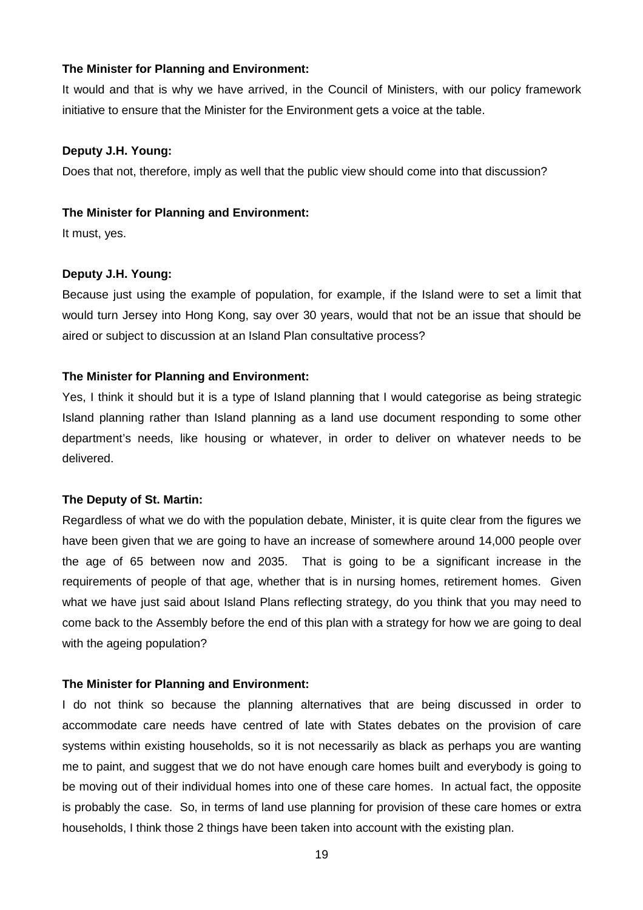It would and that is why we have arrived, in the Council of Ministers, with our policy framework initiative to ensure that the Minister for the Environment gets a voice at the table.

## **Deputy J.H. Young:**

Does that not, therefore, imply as well that the public view should come into that discussion?

## **The Minister for Planning and Environment:**

It must, yes.

## **Deputy J.H. Young:**

Because just using the example of population, for example, if the Island were to set a limit that would turn Jersey into Hong Kong, say over 30 years, would that not be an issue that should be aired or subject to discussion at an Island Plan consultative process?

## **The Minister for Planning and Environment:**

Yes, I think it should but it is a type of Island planning that I would categorise as being strategic Island planning rather than Island planning as a land use document responding to some other department's needs, like housing or whatever, in order to deliver on whatever needs to be delivered.

## **The Deputy of St. Martin:**

Regardless of what we do with the population debate, Minister, it is quite clear from the figures we have been given that we are going to have an increase of somewhere around 14,000 people over the age of 65 between now and 2035. That is going to be a significant increase in the requirements of people of that age, whether that is in nursing homes, retirement homes. Given what we have just said about Island Plans reflecting strategy, do you think that you may need to come back to the Assembly before the end of this plan with a strategy for how we are going to deal with the ageing population?

## **The Minister for Planning and Environment:**

I do not think so because the planning alternatives that are being discussed in order to accommodate care needs have centred of late with States debates on the provision of care systems within existing households, so it is not necessarily as black as perhaps you are wanting me to paint, and suggest that we do not have enough care homes built and everybody is going to be moving out of their individual homes into one of these care homes. In actual fact, the opposite is probably the case. So, in terms of land use planning for provision of these care homes or extra households, I think those 2 things have been taken into account with the existing plan.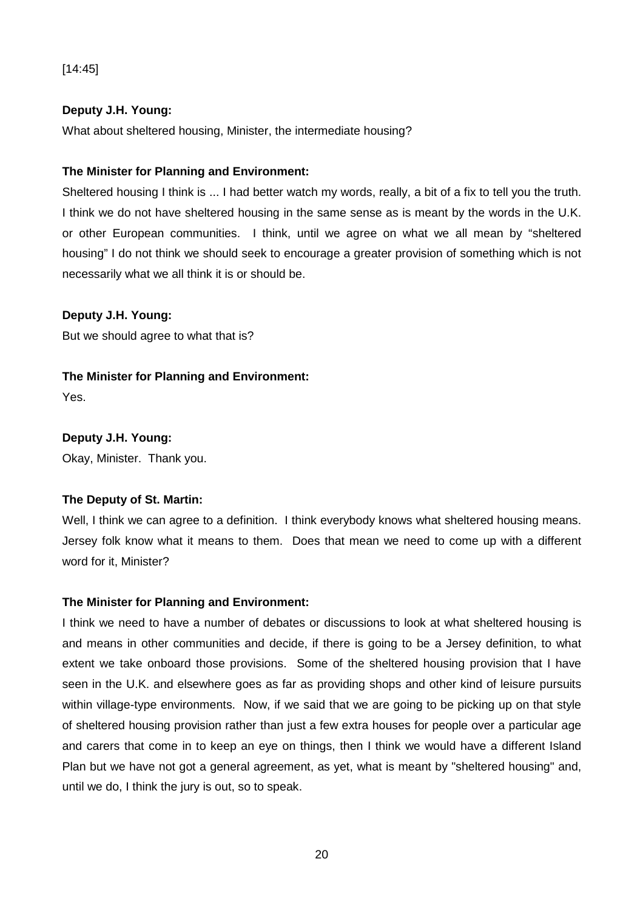[14:45]

## **Deputy J.H. Young:**

What about sheltered housing, Minister, the intermediate housing?

## **The Minister for Planning and Environment:**

Sheltered housing I think is ... I had better watch my words, really, a bit of a fix to tell you the truth. I think we do not have sheltered housing in the same sense as is meant by the words in the U.K. or other European communities. I think, until we agree on what we all mean by "sheltered housing" I do not think we should seek to encourage a greater provision of something which is not necessarily what we all think it is or should be.

## **Deputy J.H. Young:**

But we should agree to what that is?

## **The Minister for Planning and Environment:**

Yes.

## **Deputy J.H. Young:**

Okay, Minister. Thank you.

## **The Deputy of St. Martin:**

Well, I think we can agree to a definition. I think everybody knows what sheltered housing means. Jersey folk know what it means to them. Does that mean we need to come up with a different word for it, Minister?

## **The Minister for Planning and Environment:**

I think we need to have a number of debates or discussions to look at what sheltered housing is and means in other communities and decide, if there is going to be a Jersey definition, to what extent we take onboard those provisions. Some of the sheltered housing provision that I have seen in the U.K. and elsewhere goes as far as providing shops and other kind of leisure pursuits within village-type environments. Now, if we said that we are going to be picking up on that style of sheltered housing provision rather than just a few extra houses for people over a particular age and carers that come in to keep an eye on things, then I think we would have a different Island Plan but we have not got a general agreement, as yet, what is meant by "sheltered housing" and, until we do, I think the jury is out, so to speak.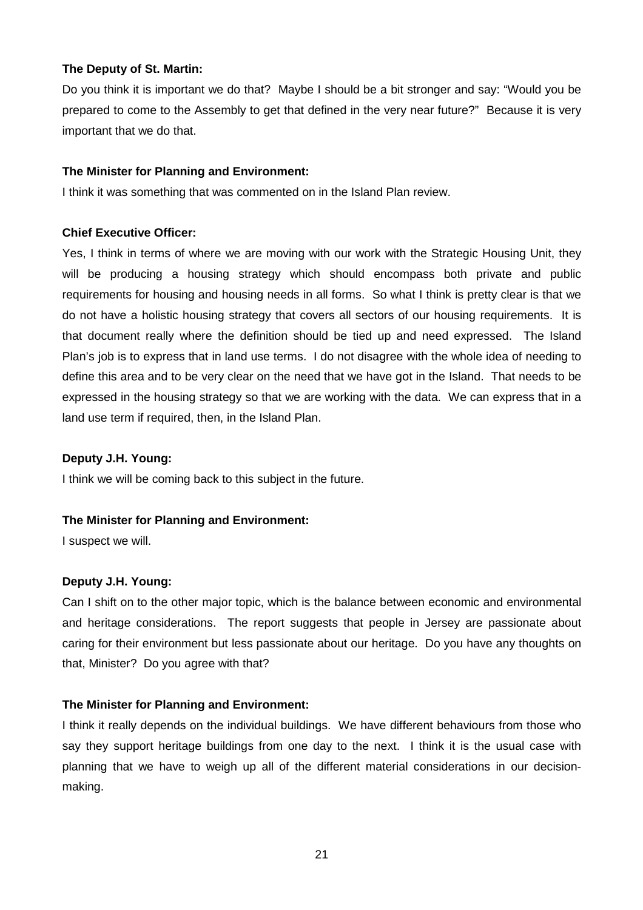## **The Deputy of St. Martin:**

Do you think it is important we do that? Maybe I should be a bit stronger and say: "Would you be prepared to come to the Assembly to get that defined in the very near future?" Because it is very important that we do that.

## **The Minister for Planning and Environment:**

I think it was something that was commented on in the Island Plan review.

## **Chief Executive Officer:**

Yes, I think in terms of where we are moving with our work with the Strategic Housing Unit, they will be producing a housing strategy which should encompass both private and public requirements for housing and housing needs in all forms. So what I think is pretty clear is that we do not have a holistic housing strategy that covers all sectors of our housing requirements. It is that document really where the definition should be tied up and need expressed. The Island Plan's job is to express that in land use terms. I do not disagree with the whole idea of needing to define this area and to be very clear on the need that we have got in the Island. That needs to be expressed in the housing strategy so that we are working with the data. We can express that in a land use term if required, then, in the Island Plan.

## **Deputy J.H. Young:**

I think we will be coming back to this subject in the future.

## **The Minister for Planning and Environment:**

I suspect we will.

## **Deputy J.H. Young:**

Can I shift on to the other major topic, which is the balance between economic and environmental and heritage considerations. The report suggests that people in Jersey are passionate about caring for their environment but less passionate about our heritage. Do you have any thoughts on that, Minister? Do you agree with that?

## **The Minister for Planning and Environment:**

I think it really depends on the individual buildings. We have different behaviours from those who say they support heritage buildings from one day to the next. I think it is the usual case with planning that we have to weigh up all of the different material considerations in our decisionmaking.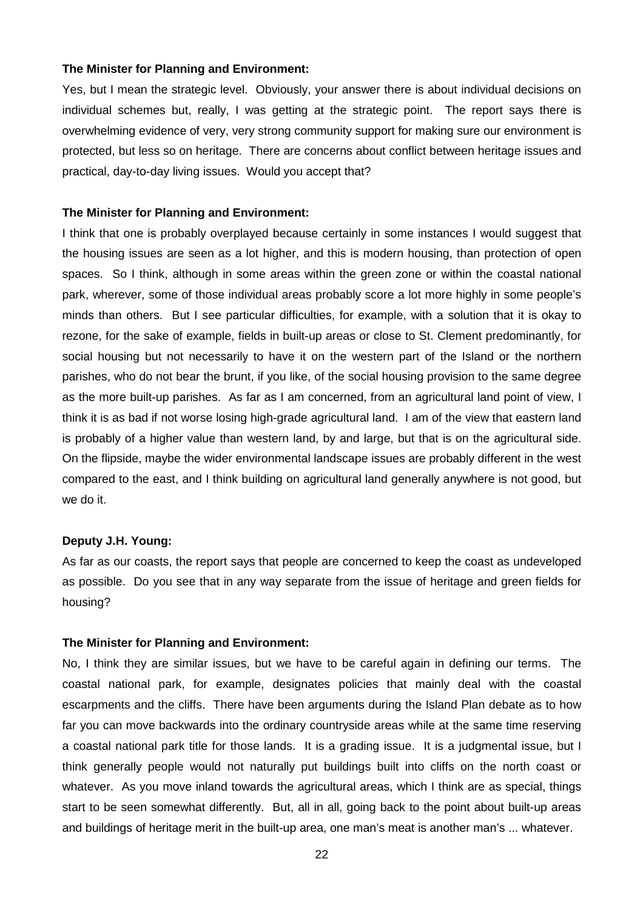Yes, but I mean the strategic level. Obviously, your answer there is about individual decisions on individual schemes but, really, I was getting at the strategic point. The report says there is overwhelming evidence of very, very strong community support for making sure our environment is protected, but less so on heritage. There are concerns about conflict between heritage issues and practical, day-to-day living issues. Would you accept that?

#### **The Minister for Planning and Environment:**

I think that one is probably overplayed because certainly in some instances I would suggest that the housing issues are seen as a lot higher, and this is modern housing, than protection of open spaces. So I think, although in some areas within the green zone or within the coastal national park, wherever, some of those individual areas probably score a lot more highly in some people's minds than others. But I see particular difficulties, for example, with a solution that it is okay to rezone, for the sake of example, fields in built-up areas or close to St. Clement predominantly, for social housing but not necessarily to have it on the western part of the Island or the northern parishes, who do not bear the brunt, if you like, of the social housing provision to the same degree as the more built-up parishes. As far as I am concerned, from an agricultural land point of view, I think it is as bad if not worse losing high-grade agricultural land. I am of the view that eastern land is probably of a higher value than western land, by and large, but that is on the agricultural side. On the flipside, maybe the wider environmental landscape issues are probably different in the west compared to the east, and I think building on agricultural land generally anywhere is not good, but we do it.

#### **Deputy J.H. Young:**

As far as our coasts, the report says that people are concerned to keep the coast as undeveloped as possible. Do you see that in any way separate from the issue of heritage and green fields for housing?

#### **The Minister for Planning and Environment:**

No, I think they are similar issues, but we have to be careful again in defining our terms. The coastal national park, for example, designates policies that mainly deal with the coastal escarpments and the cliffs. There have been arguments during the Island Plan debate as to how far you can move backwards into the ordinary countryside areas while at the same time reserving a coastal national park title for those lands. It is a grading issue. It is a judgmental issue, but I think generally people would not naturally put buildings built into cliffs on the north coast or whatever. As you move inland towards the agricultural areas, which I think are as special, things start to be seen somewhat differently. But, all in all, going back to the point about built-up areas and buildings of heritage merit in the built-up area, one man's meat is another man's ... whatever.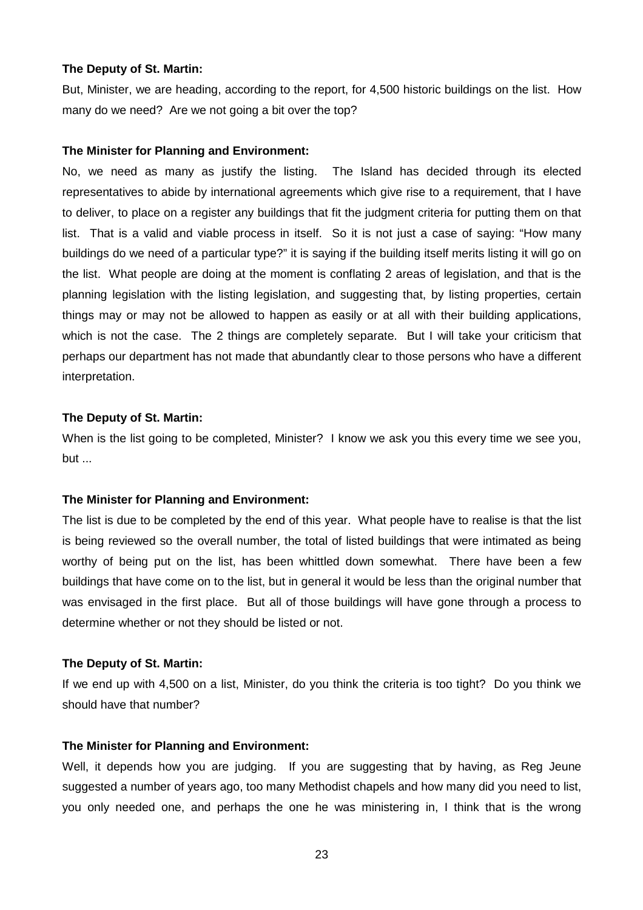## **The Deputy of St. Martin:**

But, Minister, we are heading, according to the report, for 4,500 historic buildings on the list. How many do we need? Are we not going a bit over the top?

## **The Minister for Planning and Environment:**

No, we need as many as justify the listing. The Island has decided through its elected representatives to abide by international agreements which give rise to a requirement, that I have to deliver, to place on a register any buildings that fit the judgment criteria for putting them on that list. That is a valid and viable process in itself. So it is not just a case of saying: "How many buildings do we need of a particular type?" it is saying if the building itself merits listing it will go on the list. What people are doing at the moment is conflating 2 areas of legislation, and that is the planning legislation with the listing legislation, and suggesting that, by listing properties, certain things may or may not be allowed to happen as easily or at all with their building applications, which is not the case. The 2 things are completely separate. But I will take your criticism that perhaps our department has not made that abundantly clear to those persons who have a different interpretation.

#### **The Deputy of St. Martin:**

When is the list going to be completed, Minister? I know we ask you this every time we see you,  $but...$ 

## **The Minister for Planning and Environment:**

The list is due to be completed by the end of this year. What people have to realise is that the list is being reviewed so the overall number, the total of listed buildings that were intimated as being worthy of being put on the list, has been whittled down somewhat. There have been a few buildings that have come on to the list, but in general it would be less than the original number that was envisaged in the first place. But all of those buildings will have gone through a process to determine whether or not they should be listed or not.

#### **The Deputy of St. Martin:**

If we end up with 4,500 on a list, Minister, do you think the criteria is too tight? Do you think we should have that number?

#### **The Minister for Planning and Environment:**

Well, it depends how you are judging. If you are suggesting that by having, as Reg Jeune suggested a number of years ago, too many Methodist chapels and how many did you need to list, you only needed one, and perhaps the one he was ministering in, I think that is the wrong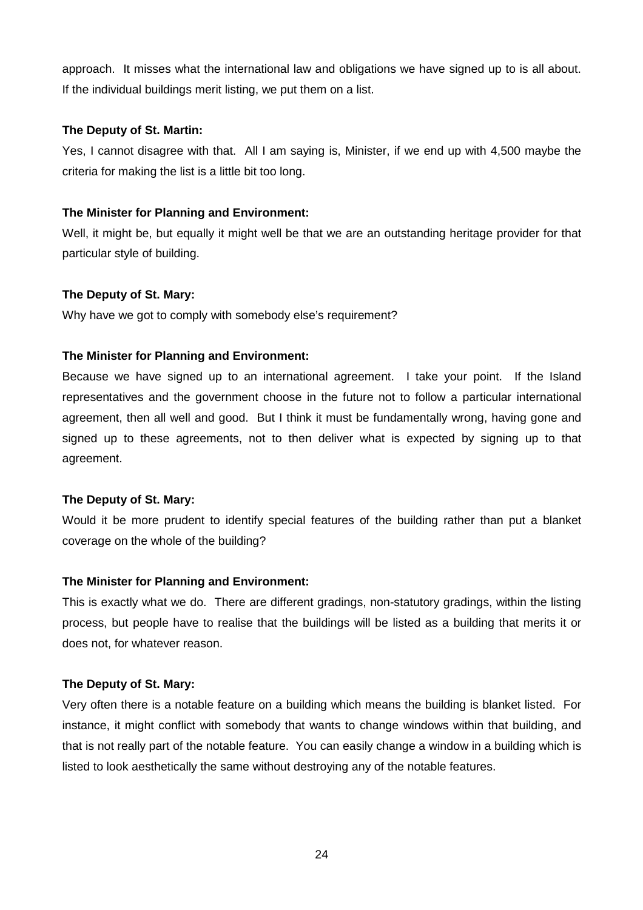approach. It misses what the international law and obligations we have signed up to is all about. If the individual buildings merit listing, we put them on a list.

## **The Deputy of St. Martin:**

Yes, I cannot disagree with that. All I am saying is, Minister, if we end up with 4,500 maybe the criteria for making the list is a little bit too long.

## **The Minister for Planning and Environment:**

Well, it might be, but equally it might well be that we are an outstanding heritage provider for that particular style of building.

## **The Deputy of St. Mary:**

Why have we got to comply with somebody else's requirement?

## **The Minister for Planning and Environment:**

Because we have signed up to an international agreement. I take your point. If the Island representatives and the government choose in the future not to follow a particular international agreement, then all well and good. But I think it must be fundamentally wrong, having gone and signed up to these agreements, not to then deliver what is expected by signing up to that agreement.

## **The Deputy of St. Mary:**

Would it be more prudent to identify special features of the building rather than put a blanket coverage on the whole of the building?

## **The Minister for Planning and Environment:**

This is exactly what we do. There are different gradings, non-statutory gradings, within the listing process, but people have to realise that the buildings will be listed as a building that merits it or does not, for whatever reason.

## **The Deputy of St. Mary:**

Very often there is a notable feature on a building which means the building is blanket listed. For instance, it might conflict with somebody that wants to change windows within that building, and that is not really part of the notable feature. You can easily change a window in a building which is listed to look aesthetically the same without destroying any of the notable features.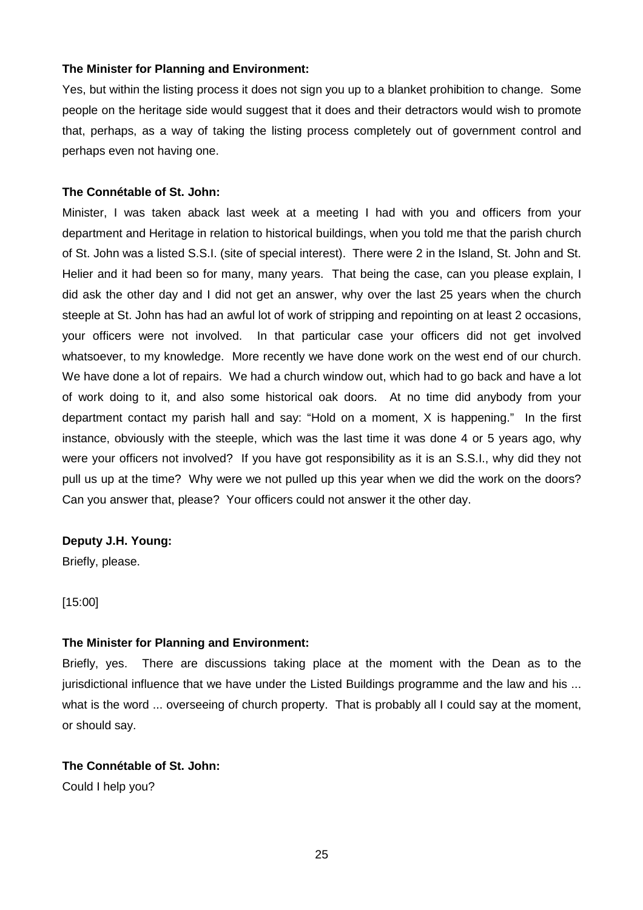Yes, but within the listing process it does not sign you up to a blanket prohibition to change. Some people on the heritage side would suggest that it does and their detractors would wish to promote that, perhaps, as a way of taking the listing process completely out of government control and perhaps even not having one.

## **The Connétable of St. John:**

Minister, I was taken aback last week at a meeting I had with you and officers from your department and Heritage in relation to historical buildings, when you told me that the parish church of St. John was a listed S.S.I. (site of special interest). There were 2 in the Island, St. John and St. Helier and it had been so for many, many years. That being the case, can you please explain, I did ask the other day and I did not get an answer, why over the last 25 years when the church steeple at St. John has had an awful lot of work of stripping and repointing on at least 2 occasions, your officers were not involved. In that particular case your officers did not get involved whatsoever, to my knowledge. More recently we have done work on the west end of our church. We have done a lot of repairs. We had a church window out, which had to go back and have a lot of work doing to it, and also some historical oak doors. At no time did anybody from your department contact my parish hall and say: "Hold on a moment, X is happening." In the first instance, obviously with the steeple, which was the last time it was done 4 or 5 years ago, why were your officers not involved? If you have got responsibility as it is an S.S.I., why did they not pull us up at the time? Why were we not pulled up this year when we did the work on the doors? Can you answer that, please? Your officers could not answer it the other day.

## **Deputy J.H. Young:**

Briefly, please.

[15:00]

## **The Minister for Planning and Environment:**

Briefly, yes. There are discussions taking place at the moment with the Dean as to the jurisdictional influence that we have under the Listed Buildings programme and the law and his ... what is the word ... overseeing of church property. That is probably all I could say at the moment, or should say.

## **The Connétable of St. John:**

Could I help you?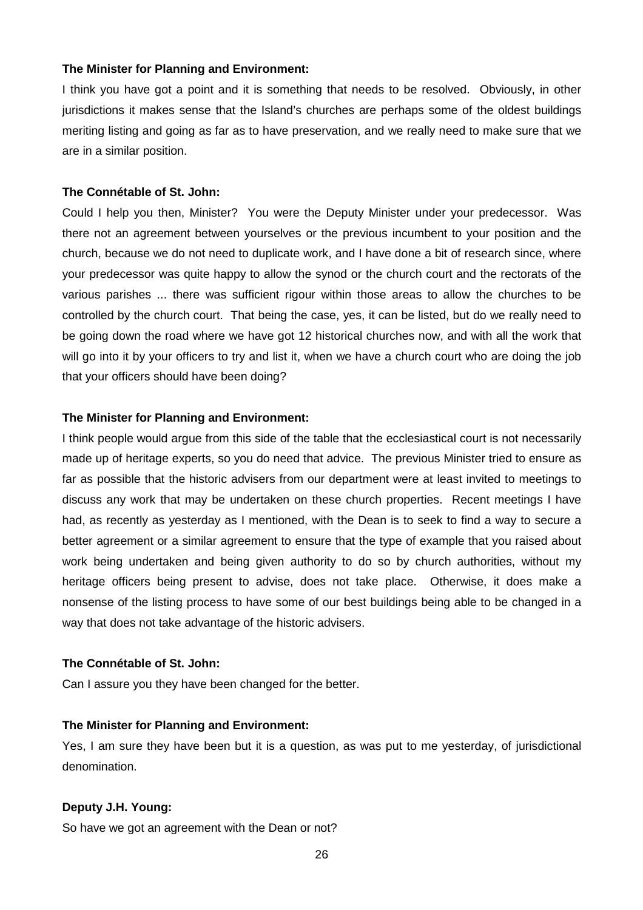I think you have got a point and it is something that needs to be resolved. Obviously, in other jurisdictions it makes sense that the Island's churches are perhaps some of the oldest buildings meriting listing and going as far as to have preservation, and we really need to make sure that we are in a similar position.

## **The Connétable of St. John:**

Could I help you then, Minister? You were the Deputy Minister under your predecessor. Was there not an agreement between yourselves or the previous incumbent to your position and the church, because we do not need to duplicate work, and I have done a bit of research since, where your predecessor was quite happy to allow the synod or the church court and the rectorats of the various parishes ... there was sufficient rigour within those areas to allow the churches to be controlled by the church court. That being the case, yes, it can be listed, but do we really need to be going down the road where we have got 12 historical churches now, and with all the work that will go into it by your officers to try and list it, when we have a church court who are doing the job that your officers should have been doing?

## **The Minister for Planning and Environment:**

I think people would argue from this side of the table that the ecclesiastical court is not necessarily made up of heritage experts, so you do need that advice. The previous Minister tried to ensure as far as possible that the historic advisers from our department were at least invited to meetings to discuss any work that may be undertaken on these church properties. Recent meetings I have had, as recently as yesterday as I mentioned, with the Dean is to seek to find a way to secure a better agreement or a similar agreement to ensure that the type of example that you raised about work being undertaken and being given authority to do so by church authorities, without my heritage officers being present to advise, does not take place. Otherwise, it does make a nonsense of the listing process to have some of our best buildings being able to be changed in a way that does not take advantage of the historic advisers.

## **The Connétable of St. John:**

Can I assure you they have been changed for the better.

## **The Minister for Planning and Environment:**

Yes, I am sure they have been but it is a question, as was put to me yesterday, of jurisdictional denomination.

## **Deputy J.H. Young:**

So have we got an agreement with the Dean or not?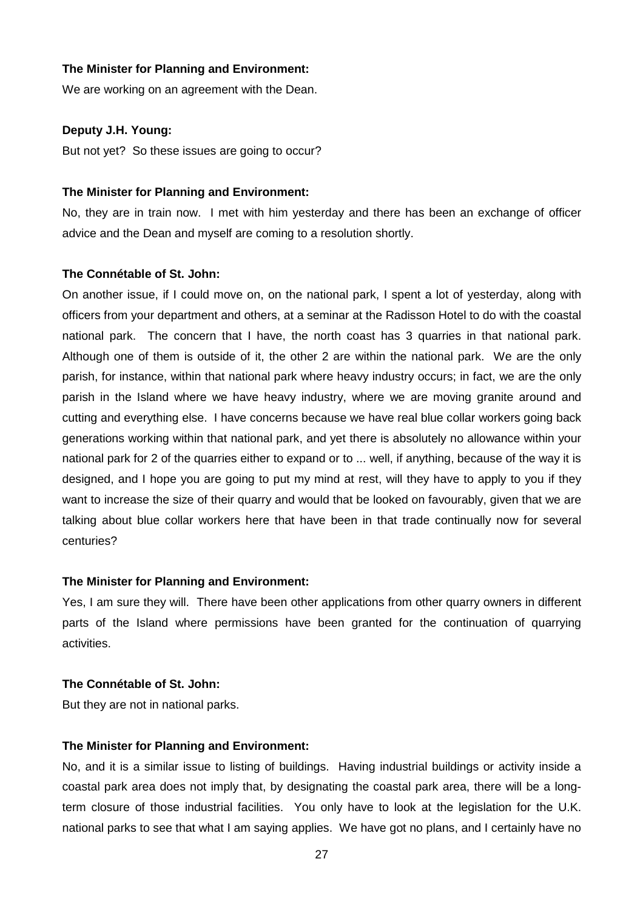We are working on an agreement with the Dean.

## **Deputy J.H. Young:**

But not yet? So these issues are going to occur?

## **The Minister for Planning and Environment:**

No, they are in train now. I met with him yesterday and there has been an exchange of officer advice and the Dean and myself are coming to a resolution shortly.

## **The Connétable of St. John:**

On another issue, if I could move on, on the national park, I spent a lot of yesterday, along with officers from your department and others, at a seminar at the Radisson Hotel to do with the coastal national park. The concern that I have, the north coast has 3 quarries in that national park. Although one of them is outside of it, the other 2 are within the national park. We are the only parish, for instance, within that national park where heavy industry occurs; in fact, we are the only parish in the Island where we have heavy industry, where we are moving granite around and cutting and everything else. I have concerns because we have real blue collar workers going back generations working within that national park, and yet there is absolutely no allowance within your national park for 2 of the quarries either to expand or to ... well, if anything, because of the way it is designed, and I hope you are going to put my mind at rest, will they have to apply to you if they want to increase the size of their quarry and would that be looked on favourably, given that we are talking about blue collar workers here that have been in that trade continually now for several centuries?

## **The Minister for Planning and Environment:**

Yes, I am sure they will. There have been other applications from other quarry owners in different parts of the Island where permissions have been granted for the continuation of quarrying activities.

## **The Connétable of St. John:**

But they are not in national parks.

## **The Minister for Planning and Environment:**

No, and it is a similar issue to listing of buildings. Having industrial buildings or activity inside a coastal park area does not imply that, by designating the coastal park area, there will be a longterm closure of those industrial facilities. You only have to look at the legislation for the U.K. national parks to see that what I am saying applies. We have got no plans, and I certainly have no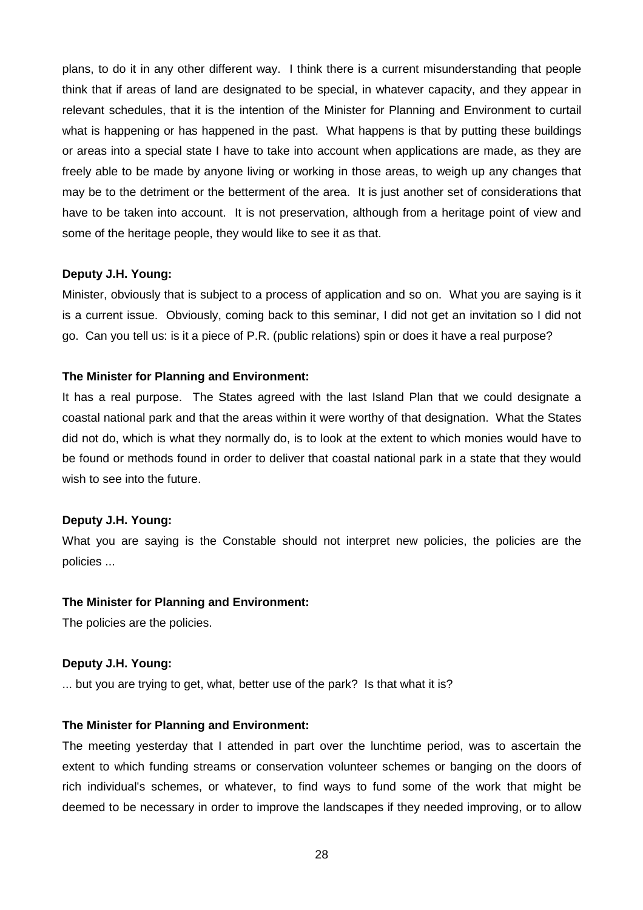plans, to do it in any other different way. I think there is a current misunderstanding that people think that if areas of land are designated to be special, in whatever capacity, and they appear in relevant schedules, that it is the intention of the Minister for Planning and Environment to curtail what is happening or has happened in the past. What happens is that by putting these buildings or areas into a special state I have to take into account when applications are made, as they are freely able to be made by anyone living or working in those areas, to weigh up any changes that may be to the detriment or the betterment of the area. It is just another set of considerations that have to be taken into account. It is not preservation, although from a heritage point of view and some of the heritage people, they would like to see it as that.

## **Deputy J.H. Young:**

Minister, obviously that is subject to a process of application and so on. What you are saying is it is a current issue. Obviously, coming back to this seminar, I did not get an invitation so I did not go. Can you tell us: is it a piece of P.R. (public relations) spin or does it have a real purpose?

## **The Minister for Planning and Environment:**

It has a real purpose. The States agreed with the last Island Plan that we could designate a coastal national park and that the areas within it were worthy of that designation. What the States did not do, which is what they normally do, is to look at the extent to which monies would have to be found or methods found in order to deliver that coastal national park in a state that they would wish to see into the future.

## **Deputy J.H. Young:**

What you are saying is the Constable should not interpret new policies, the policies are the policies ...

## **The Minister for Planning and Environment:**

The policies are the policies.

## **Deputy J.H. Young:**

... but you are trying to get, what, better use of the park? Is that what it is?

## **The Minister for Planning and Environment:**

The meeting yesterday that I attended in part over the lunchtime period, was to ascertain the extent to which funding streams or conservation volunteer schemes or banging on the doors of rich individual's schemes, or whatever, to find ways to fund some of the work that might be deemed to be necessary in order to improve the landscapes if they needed improving, or to allow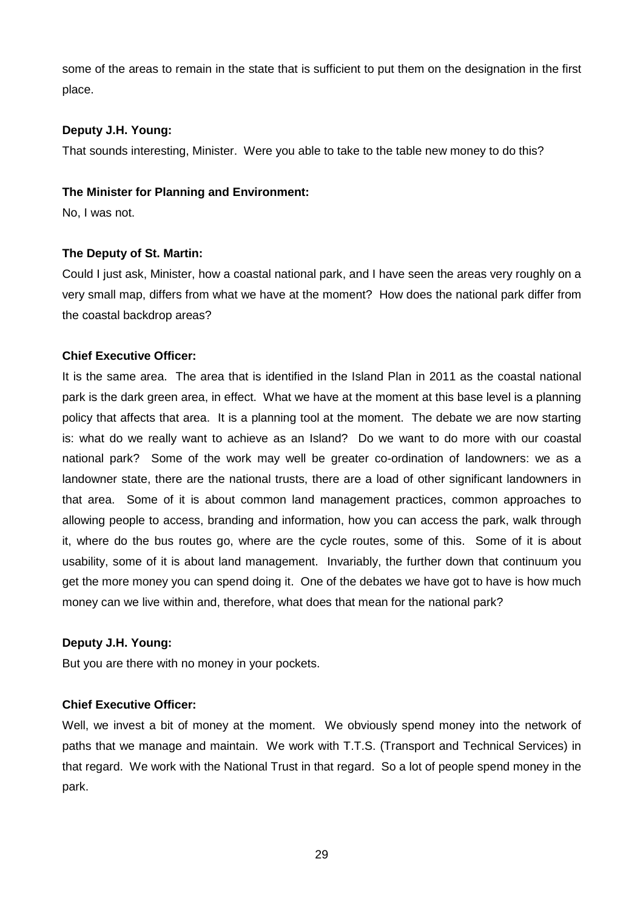some of the areas to remain in the state that is sufficient to put them on the designation in the first place.

## **Deputy J.H. Young:**

That sounds interesting, Minister. Were you able to take to the table new money to do this?

## **The Minister for Planning and Environment:**

No, I was not.

## **The Deputy of St. Martin:**

Could I just ask, Minister, how a coastal national park, and I have seen the areas very roughly on a very small map, differs from what we have at the moment? How does the national park differ from the coastal backdrop areas?

## **Chief Executive Officer:**

It is the same area. The area that is identified in the Island Plan in 2011 as the coastal national park is the dark green area, in effect. What we have at the moment at this base level is a planning policy that affects that area. It is a planning tool at the moment. The debate we are now starting is: what do we really want to achieve as an Island? Do we want to do more with our coastal national park? Some of the work may well be greater co-ordination of landowners: we as a landowner state, there are the national trusts, there are a load of other significant landowners in that area. Some of it is about common land management practices, common approaches to allowing people to access, branding and information, how you can access the park, walk through it, where do the bus routes go, where are the cycle routes, some of this. Some of it is about usability, some of it is about land management. Invariably, the further down that continuum you get the more money you can spend doing it. One of the debates we have got to have is how much money can we live within and, therefore, what does that mean for the national park?

## **Deputy J.H. Young:**

But you are there with no money in your pockets.

## **Chief Executive Officer:**

Well, we invest a bit of money at the moment. We obviously spend money into the network of paths that we manage and maintain. We work with T.T.S. (Transport and Technical Services) in that regard. We work with the National Trust in that regard. So a lot of people spend money in the park.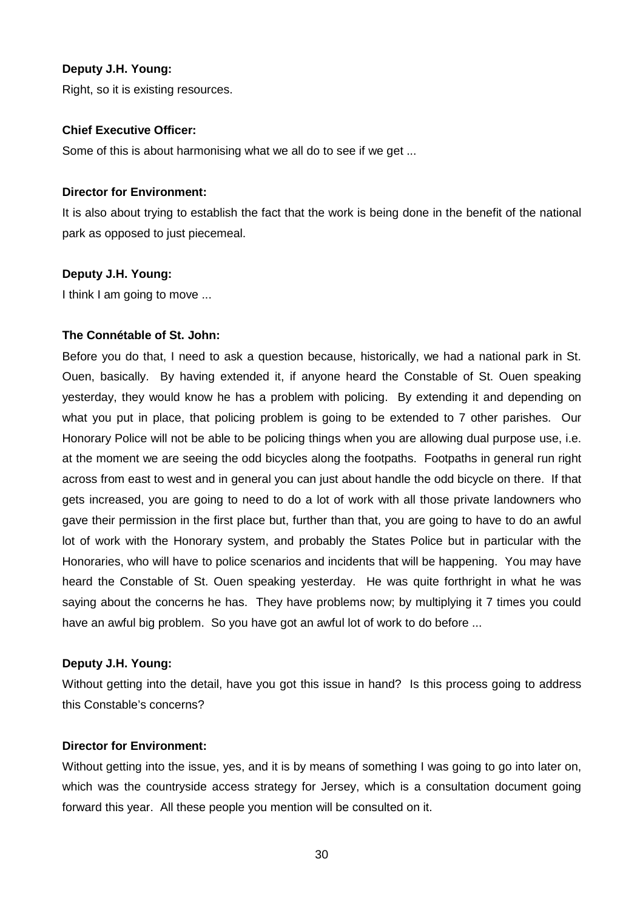Right, so it is existing resources.

## **Chief Executive Officer:**

Some of this is about harmonising what we all do to see if we get ...

## **Director for Environment:**

It is also about trying to establish the fact that the work is being done in the benefit of the national park as opposed to just piecemeal.

## **Deputy J.H. Young:**

I think I am going to move ...

## **The Connétable of St. John:**

Before you do that, I need to ask a question because, historically, we had a national park in St. Ouen, basically. By having extended it, if anyone heard the Constable of St. Ouen speaking yesterday, they would know he has a problem with policing. By extending it and depending on what you put in place, that policing problem is going to be extended to 7 other parishes. Our Honorary Police will not be able to be policing things when you are allowing dual purpose use, i.e. at the moment we are seeing the odd bicycles along the footpaths. Footpaths in general run right across from east to west and in general you can just about handle the odd bicycle on there. If that gets increased, you are going to need to do a lot of work with all those private landowners who gave their permission in the first place but, further than that, you are going to have to do an awful lot of work with the Honorary system, and probably the States Police but in particular with the Honoraries, who will have to police scenarios and incidents that will be happening. You may have heard the Constable of St. Ouen speaking yesterday. He was quite forthright in what he was saying about the concerns he has. They have problems now; by multiplying it 7 times you could have an awful big problem. So you have got an awful lot of work to do before ...

## **Deputy J.H. Young:**

Without getting into the detail, have you got this issue in hand? Is this process going to address this Constable's concerns?

## **Director for Environment:**

Without getting into the issue, yes, and it is by means of something I was going to go into later on, which was the countryside access strategy for Jersey, which is a consultation document going forward this year. All these people you mention will be consulted on it.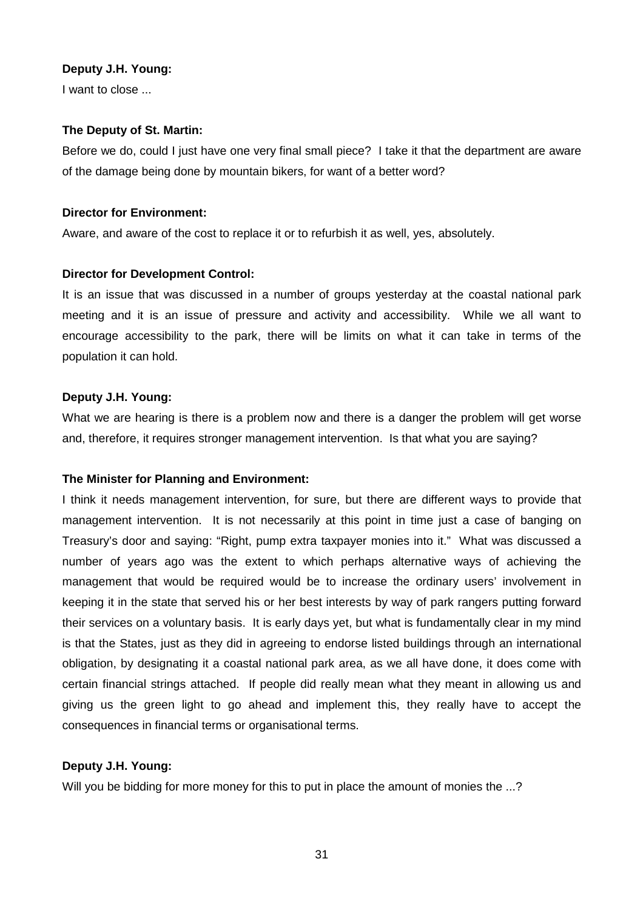I want to close ...

## **The Deputy of St. Martin:**

Before we do, could I just have one very final small piece? I take it that the department are aware of the damage being done by mountain bikers, for want of a better word?

## **Director for Environment:**

Aware, and aware of the cost to replace it or to refurbish it as well, yes, absolutely.

## **Director for Development Control:**

It is an issue that was discussed in a number of groups yesterday at the coastal national park meeting and it is an issue of pressure and activity and accessibility. While we all want to encourage accessibility to the park, there will be limits on what it can take in terms of the population it can hold.

## **Deputy J.H. Young:**

What we are hearing is there is a problem now and there is a danger the problem will get worse and, therefore, it requires stronger management intervention. Is that what you are saying?

## **The Minister for Planning and Environment:**

I think it needs management intervention, for sure, but there are different ways to provide that management intervention. It is not necessarily at this point in time just a case of banging on Treasury's door and saying: "Right, pump extra taxpayer monies into it." What was discussed a number of years ago was the extent to which perhaps alternative ways of achieving the management that would be required would be to increase the ordinary users' involvement in keeping it in the state that served his or her best interests by way of park rangers putting forward their services on a voluntary basis. It is early days yet, but what is fundamentally clear in my mind is that the States, just as they did in agreeing to endorse listed buildings through an international obligation, by designating it a coastal national park area, as we all have done, it does come with certain financial strings attached. If people did really mean what they meant in allowing us and giving us the green light to go ahead and implement this, they really have to accept the consequences in financial terms or organisational terms.

## **Deputy J.H. Young:**

Will you be bidding for more money for this to put in place the amount of monies the ...?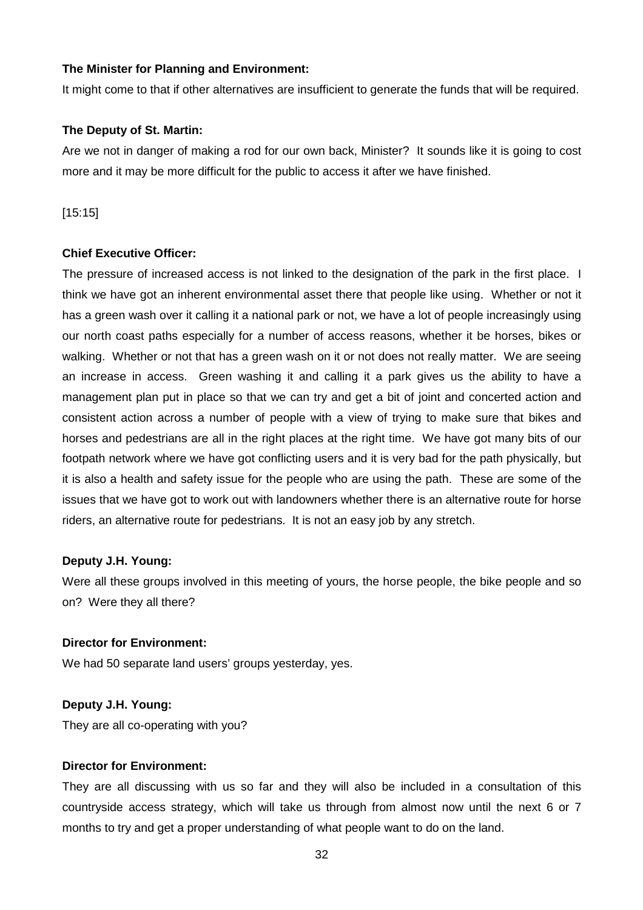It might come to that if other alternatives are insufficient to generate the funds that will be required.

## **The Deputy of St. Martin:**

Are we not in danger of making a rod for our own back, Minister? It sounds like it is going to cost more and it may be more difficult for the public to access it after we have finished.

[15:15]

## **Chief Executive Officer:**

The pressure of increased access is not linked to the designation of the park in the first place. I think we have got an inherent environmental asset there that people like using. Whether or not it has a green wash over it calling it a national park or not, we have a lot of people increasingly using our north coast paths especially for a number of access reasons, whether it be horses, bikes or walking. Whether or not that has a green wash on it or not does not really matter. We are seeing an increase in access. Green washing it and calling it a park gives us the ability to have a management plan put in place so that we can try and get a bit of joint and concerted action and consistent action across a number of people with a view of trying to make sure that bikes and horses and pedestrians are all in the right places at the right time. We have got many bits of our footpath network where we have got conflicting users and it is very bad for the path physically, but it is also a health and safety issue for the people who are using the path. These are some of the issues that we have got to work out with landowners whether there is an alternative route for horse riders, an alternative route for pedestrians. It is not an easy job by any stretch.

## **Deputy J.H. Young:**

Were all these groups involved in this meeting of yours, the horse people, the bike people and so on? Were they all there?

## **Director for Environment:**

We had 50 separate land users' groups yesterday, yes.

## **Deputy J.H. Young:**

They are all co-operating with you?

## **Director for Environment:**

They are all discussing with us so far and they will also be included in a consultation of this countryside access strategy, which will take us through from almost now until the next 6 or 7 months to try and get a proper understanding of what people want to do on the land.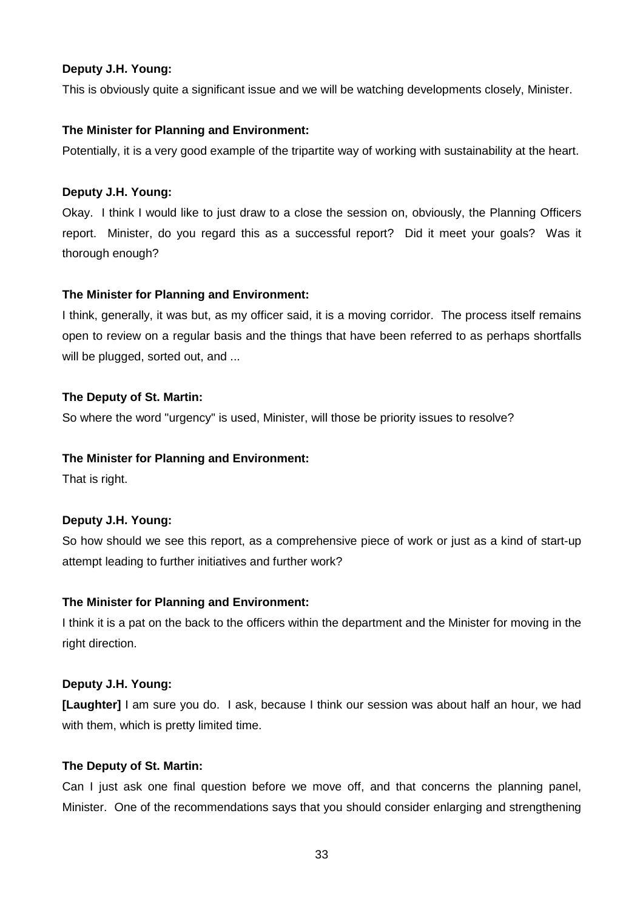This is obviously quite a significant issue and we will be watching developments closely, Minister.

## **The Minister for Planning and Environment:**

Potentially, it is a very good example of the tripartite way of working with sustainability at the heart.

## **Deputy J.H. Young:**

Okay. I think I would like to just draw to a close the session on, obviously, the Planning Officers report. Minister, do you regard this as a successful report? Did it meet your goals? Was it thorough enough?

## **The Minister for Planning and Environment:**

I think, generally, it was but, as my officer said, it is a moving corridor. The process itself remains open to review on a regular basis and the things that have been referred to as perhaps shortfalls will be plugged, sorted out, and ...

## **The Deputy of St. Martin:**

So where the word "urgency" is used, Minister, will those be priority issues to resolve?

## **The Minister for Planning and Environment:**

That is right.

## **Deputy J.H. Young:**

So how should we see this report, as a comprehensive piece of work or just as a kind of start-up attempt leading to further initiatives and further work?

## **The Minister for Planning and Environment:**

I think it is a pat on the back to the officers within the department and the Minister for moving in the right direction.

## **Deputy J.H. Young:**

**[Laughter]** I am sure you do. I ask, because I think our session was about half an hour, we had with them, which is pretty limited time.

## **The Deputy of St. Martin:**

Can I just ask one final question before we move off, and that concerns the planning panel, Minister. One of the recommendations says that you should consider enlarging and strengthening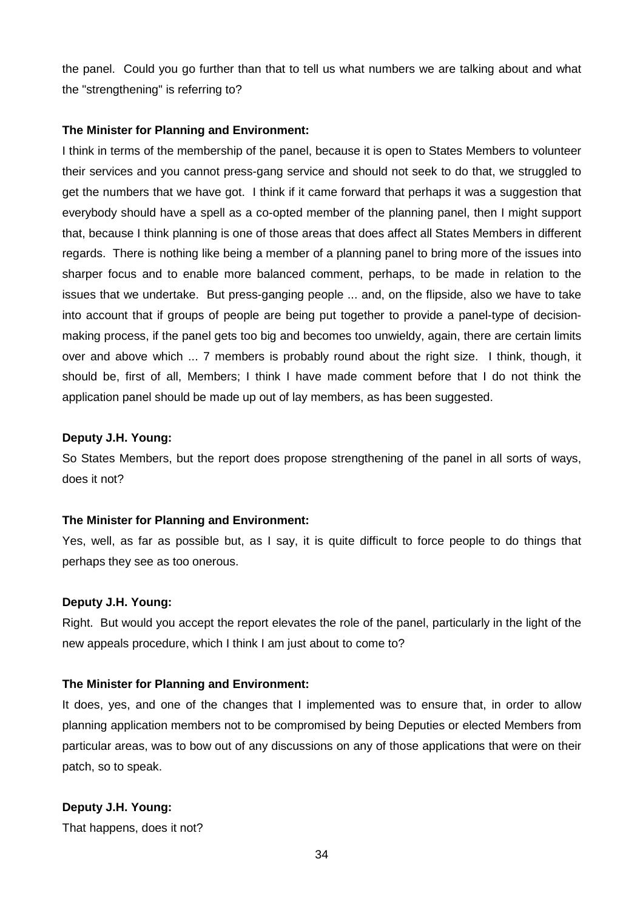the panel. Could you go further than that to tell us what numbers we are talking about and what the "strengthening" is referring to?

## **The Minister for Planning and Environment:**

I think in terms of the membership of the panel, because it is open to States Members to volunteer their services and you cannot press-gang service and should not seek to do that, we struggled to get the numbers that we have got. I think if it came forward that perhaps it was a suggestion that everybody should have a spell as a co-opted member of the planning panel, then I might support that, because I think planning is one of those areas that does affect all States Members in different regards. There is nothing like being a member of a planning panel to bring more of the issues into sharper focus and to enable more balanced comment, perhaps, to be made in relation to the issues that we undertake. But press-ganging people ... and, on the flipside, also we have to take into account that if groups of people are being put together to provide a panel-type of decisionmaking process, if the panel gets too big and becomes too unwieldy, again, there are certain limits over and above which ... 7 members is probably round about the right size. I think, though, it should be, first of all, Members; I think I have made comment before that I do not think the application panel should be made up out of lay members, as has been suggested.

## **Deputy J.H. Young:**

So States Members, but the report does propose strengthening of the panel in all sorts of ways, does it not?

## **The Minister for Planning and Environment:**

Yes, well, as far as possible but, as I say, it is quite difficult to force people to do things that perhaps they see as too onerous.

## **Deputy J.H. Young:**

Right. But would you accept the report elevates the role of the panel, particularly in the light of the new appeals procedure, which I think I am just about to come to?

## **The Minister for Planning and Environment:**

It does, yes, and one of the changes that I implemented was to ensure that, in order to allow planning application members not to be compromised by being Deputies or elected Members from particular areas, was to bow out of any discussions on any of those applications that were on their patch, so to speak.

## **Deputy J.H. Young:**

That happens, does it not?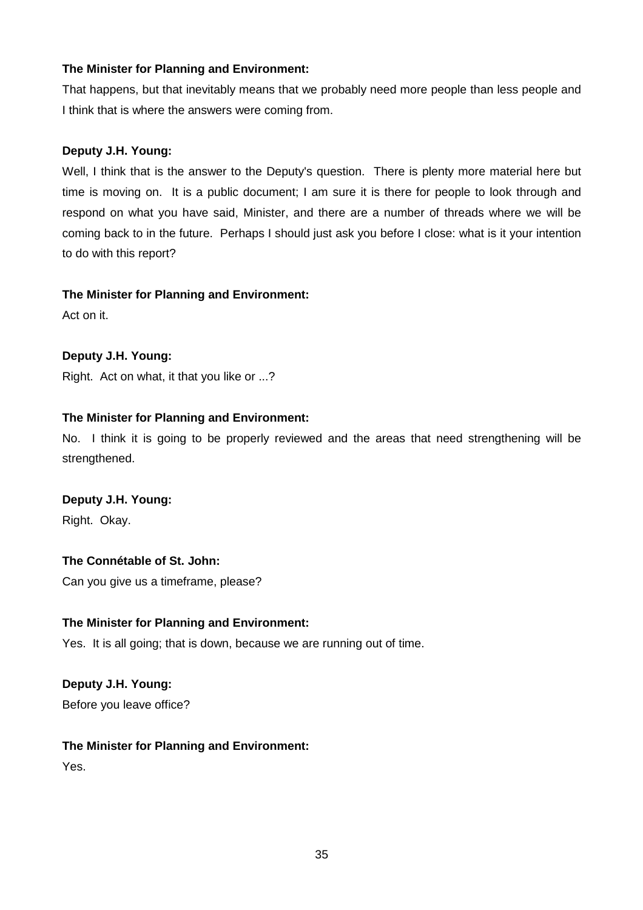That happens, but that inevitably means that we probably need more people than less people and I think that is where the answers were coming from.

## **Deputy J.H. Young:**

Well, I think that is the answer to the Deputy's question. There is plenty more material here but time is moving on. It is a public document; I am sure it is there for people to look through and respond on what you have said, Minister, and there are a number of threads where we will be coming back to in the future. Perhaps I should just ask you before I close: what is it your intention to do with this report?

## **The Minister for Planning and Environment:**

Act on it.

## **Deputy J.H. Young:**

Right. Act on what, it that you like or ...?

## **The Minister for Planning and Environment:**

No. I think it is going to be properly reviewed and the areas that need strengthening will be strengthened.

## **Deputy J.H. Young:**

Right. Okay.

## **The Connétable of St. John:**

Can you give us a timeframe, please?

## **The Minister for Planning and Environment:**

Yes. It is all going; that is down, because we are running out of time.

## **Deputy J.H. Young:**  Before you leave office?

## **The Minister for Planning and Environment:**

Yes.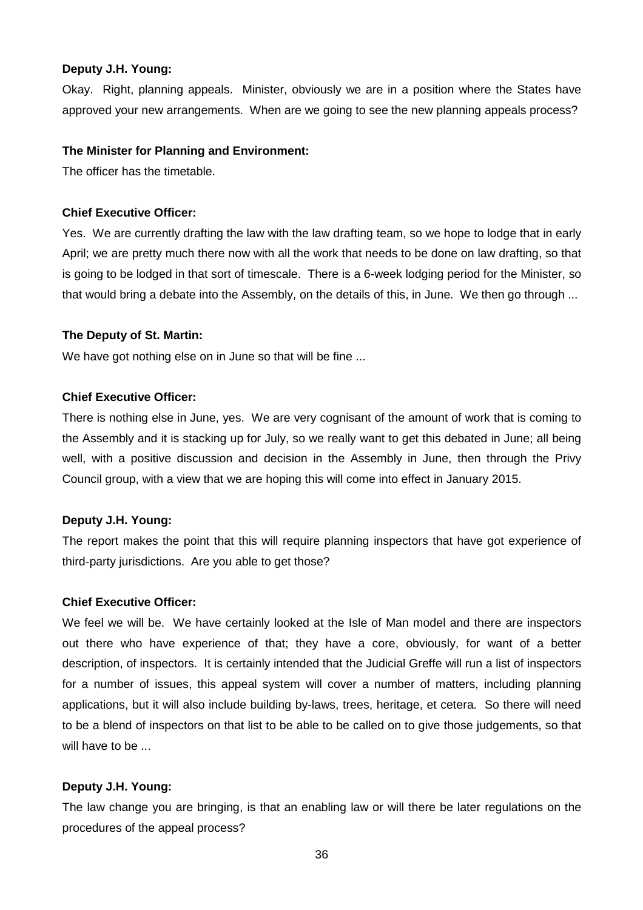Okay. Right, planning appeals. Minister, obviously we are in a position where the States have approved your new arrangements. When are we going to see the new planning appeals process?

## **The Minister for Planning and Environment:**

The officer has the timetable.

## **Chief Executive Officer:**

Yes. We are currently drafting the law with the law drafting team, so we hope to lodge that in early April; we are pretty much there now with all the work that needs to be done on law drafting, so that is going to be lodged in that sort of timescale. There is a 6-week lodging period for the Minister, so that would bring a debate into the Assembly, on the details of this, in June. We then go through ...

## **The Deputy of St. Martin:**

We have got nothing else on in June so that will be fine ...

## **Chief Executive Officer:**

There is nothing else in June, yes. We are very cognisant of the amount of work that is coming to the Assembly and it is stacking up for July, so we really want to get this debated in June; all being well, with a positive discussion and decision in the Assembly in June, then through the Privy Council group, with a view that we are hoping this will come into effect in January 2015.

## **Deputy J.H. Young:**

The report makes the point that this will require planning inspectors that have got experience of third-party jurisdictions. Are you able to get those?

## **Chief Executive Officer:**

We feel we will be. We have certainly looked at the Isle of Man model and there are inspectors out there who have experience of that; they have a core, obviously, for want of a better description, of inspectors. It is certainly intended that the Judicial Greffe will run a list of inspectors for a number of issues, this appeal system will cover a number of matters, including planning applications, but it will also include building by-laws, trees, heritage, et cetera. So there will need to be a blend of inspectors on that list to be able to be called on to give those judgements, so that will have to be ...

## **Deputy J.H. Young:**

The law change you are bringing, is that an enabling law or will there be later regulations on the procedures of the appeal process?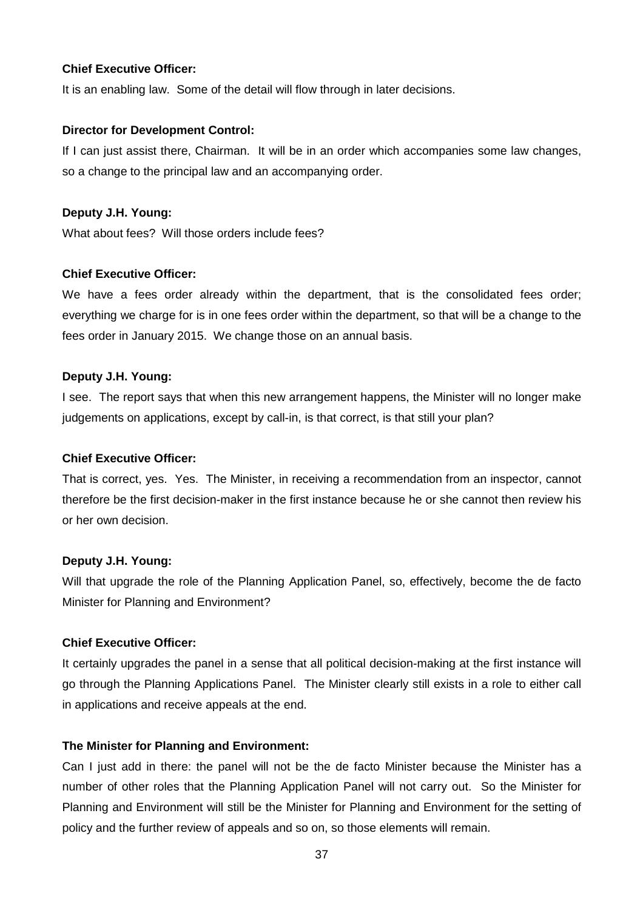## **Chief Executive Officer:**

It is an enabling law. Some of the detail will flow through in later decisions.

### **Director for Development Control:**

If I can just assist there, Chairman. It will be in an order which accompanies some law changes, so a change to the principal law and an accompanying order.

### **Deputy J.H. Young:**

What about fees? Will those orders include fees?

# **Chief Executive Officer:**

We have a fees order already within the department, that is the consolidated fees order; everything we charge for is in one fees order within the department, so that will be a change to the fees order in January 2015. We change those on an annual basis.

### **Deputy J.H. Young:**

I see. The report says that when this new arrangement happens, the Minister will no longer make judgements on applications, except by call-in, is that correct, is that still your plan?

### **Chief Executive Officer:**

That is correct, yes. Yes. The Minister, in receiving a recommendation from an inspector, cannot therefore be the first decision-maker in the first instance because he or she cannot then review his or her own decision.

### **Deputy J.H. Young:**

Will that upgrade the role of the Planning Application Panel, so, effectively, become the de facto Minister for Planning and Environment?

# **Chief Executive Officer:**

It certainly upgrades the panel in a sense that all political decision-making at the first instance will go through the Planning Applications Panel. The Minister clearly still exists in a role to either call in applications and receive appeals at the end.

# **The Minister for Planning and Environment:**

Can I just add in there: the panel will not be the de facto Minister because the Minister has a number of other roles that the Planning Application Panel will not carry out. So the Minister for Planning and Environment will still be the Minister for Planning and Environment for the setting of policy and the further review of appeals and so on, so those elements will remain.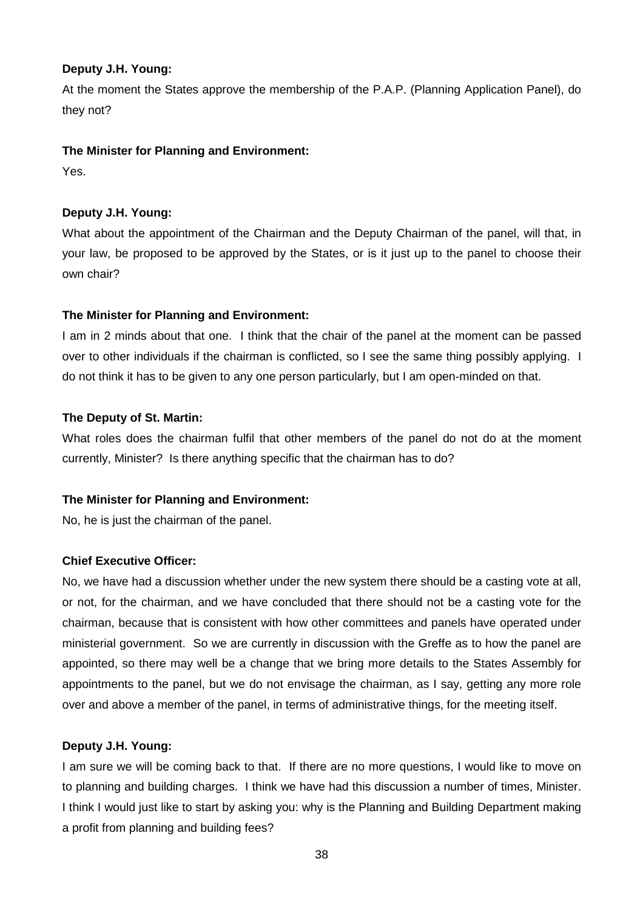At the moment the States approve the membership of the P.A.P. (Planning Application Panel), do they not?

# **The Minister for Planning and Environment:**

Yes.

# **Deputy J.H. Young:**

What about the appointment of the Chairman and the Deputy Chairman of the panel, will that, in your law, be proposed to be approved by the States, or is it just up to the panel to choose their own chair?

# **The Minister for Planning and Environment:**

I am in 2 minds about that one. I think that the chair of the panel at the moment can be passed over to other individuals if the chairman is conflicted, so I see the same thing possibly applying. I do not think it has to be given to any one person particularly, but I am open-minded on that.

# **The Deputy of St. Martin:**

What roles does the chairman fulfil that other members of the panel do not do at the moment currently, Minister? Is there anything specific that the chairman has to do?

# **The Minister for Planning and Environment:**

No, he is just the chairman of the panel.

# **Chief Executive Officer:**

No, we have had a discussion whether under the new system there should be a casting vote at all, or not, for the chairman, and we have concluded that there should not be a casting vote for the chairman, because that is consistent with how other committees and panels have operated under ministerial government. So we are currently in discussion with the Greffe as to how the panel are appointed, so there may well be a change that we bring more details to the States Assembly for appointments to the panel, but we do not envisage the chairman, as I say, getting any more role over and above a member of the panel, in terms of administrative things, for the meeting itself.

# **Deputy J.H. Young:**

I am sure we will be coming back to that. If there are no more questions, I would like to move on to planning and building charges. I think we have had this discussion a number of times, Minister. I think I would just like to start by asking you: why is the Planning and Building Department making a profit from planning and building fees?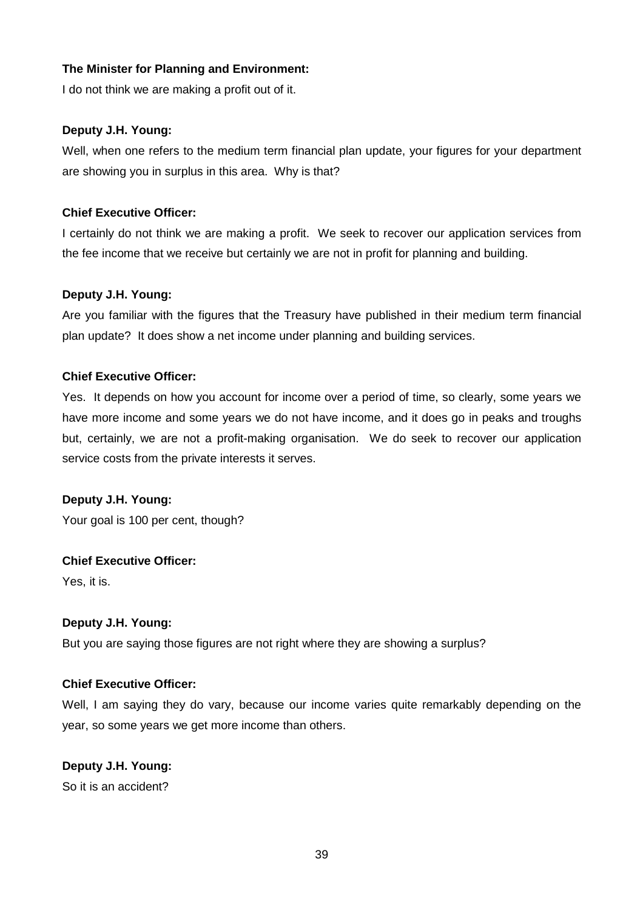# **The Minister for Planning and Environment:**

I do not think we are making a profit out of it.

# **Deputy J.H. Young:**

Well, when one refers to the medium term financial plan update, your figures for your department are showing you in surplus in this area. Why is that?

# **Chief Executive Officer:**

I certainly do not think we are making a profit. We seek to recover our application services from the fee income that we receive but certainly we are not in profit for planning and building.

# **Deputy J.H. Young:**

Are you familiar with the figures that the Treasury have published in their medium term financial plan update? It does show a net income under planning and building services.

# **Chief Executive Officer:**

Yes. It depends on how you account for income over a period of time, so clearly, some years we have more income and some years we do not have income, and it does go in peaks and troughs but, certainly, we are not a profit-making organisation. We do seek to recover our application service costs from the private interests it serves.

# **Deputy J.H. Young:**

Your goal is 100 per cent, though?

# **Chief Executive Officer:**

Yes, it is.

# **Deputy J.H. Young:**

But you are saying those figures are not right where they are showing a surplus?

# **Chief Executive Officer:**

Well, I am saying they do vary, because our income varies quite remarkably depending on the year, so some years we get more income than others.

# **Deputy J.H. Young:**

So it is an accident?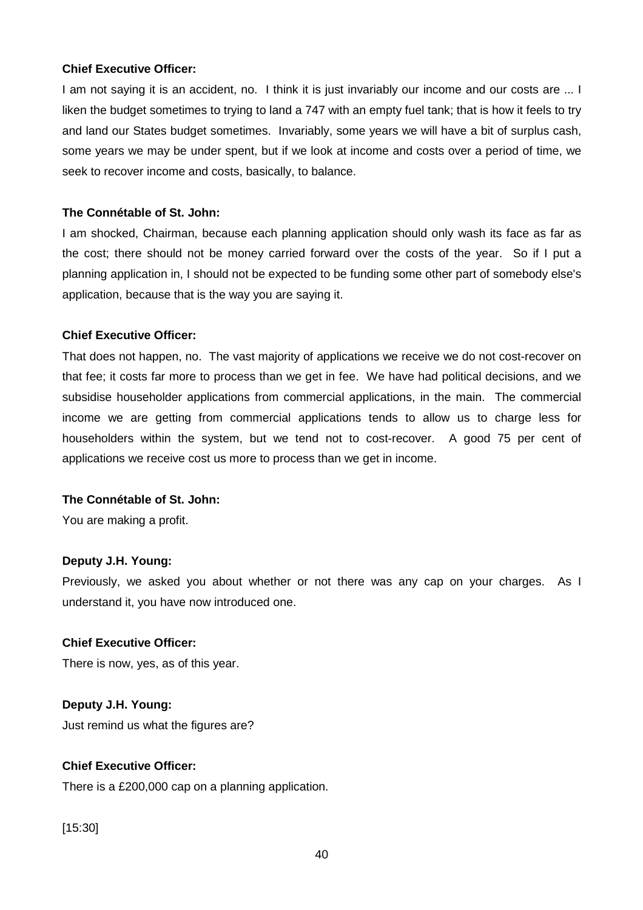## **Chief Executive Officer:**

I am not saying it is an accident, no. I think it is just invariably our income and our costs are ... I liken the budget sometimes to trying to land a 747 with an empty fuel tank; that is how it feels to try and land our States budget sometimes. Invariably, some years we will have a bit of surplus cash, some years we may be under spent, but if we look at income and costs over a period of time, we seek to recover income and costs, basically, to balance.

### **The Connétable of St. John:**

I am shocked, Chairman, because each planning application should only wash its face as far as the cost; there should not be money carried forward over the costs of the year. So if I put a planning application in, I should not be expected to be funding some other part of somebody else's application, because that is the way you are saying it.

### **Chief Executive Officer:**

That does not happen, no. The vast majority of applications we receive we do not cost-recover on that fee; it costs far more to process than we get in fee. We have had political decisions, and we subsidise householder applications from commercial applications, in the main. The commercial income we are getting from commercial applications tends to allow us to charge less for householders within the system, but we tend not to cost-recover. A good 75 per cent of applications we receive cost us more to process than we get in income.

#### **The Connétable of St. John:**

You are making a profit.

# **Deputy J.H. Young:**

Previously, we asked you about whether or not there was any cap on your charges. As I understand it, you have now introduced one.

# **Chief Executive Officer:**

There is now, yes, as of this year.

# **Deputy J.H. Young:**

Just remind us what the figures are?

# **Chief Executive Officer:**

There is a £200,000 cap on a planning application.

[15:30]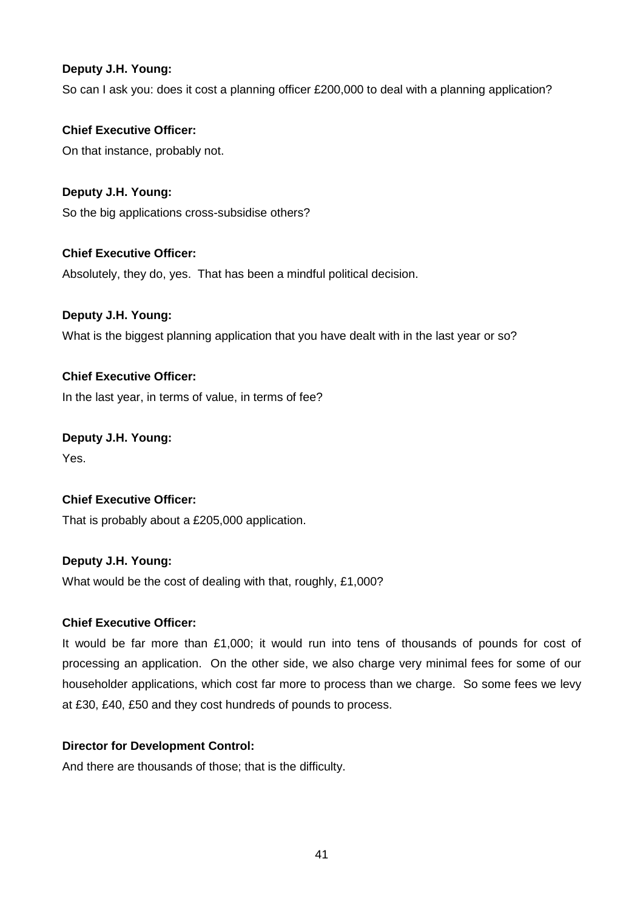So can I ask you: does it cost a planning officer £200,000 to deal with a planning application?

**Chief Executive Officer:**  On that instance, probably not.

**Deputy J.H. Young:**  So the big applications cross-subsidise others?

**Chief Executive Officer:**  Absolutely, they do, yes. That has been a mindful political decision.

### **Deputy J.H. Young:**

What is the biggest planning application that you have dealt with in the last year or so?

## **Chief Executive Officer:**

In the last year, in terms of value, in terms of fee?

**Deputy J.H. Young:**  Yes.

# **Chief Executive Officer:**

That is probably about a £205,000 application.

#### **Deputy J.H. Young:**

What would be the cost of dealing with that, roughly, £1,000?

# **Chief Executive Officer:**

It would be far more than £1,000; it would run into tens of thousands of pounds for cost of processing an application. On the other side, we also charge very minimal fees for some of our householder applications, which cost far more to process than we charge. So some fees we levy at £30, £40, £50 and they cost hundreds of pounds to process.

### **Director for Development Control:**

And there are thousands of those; that is the difficulty.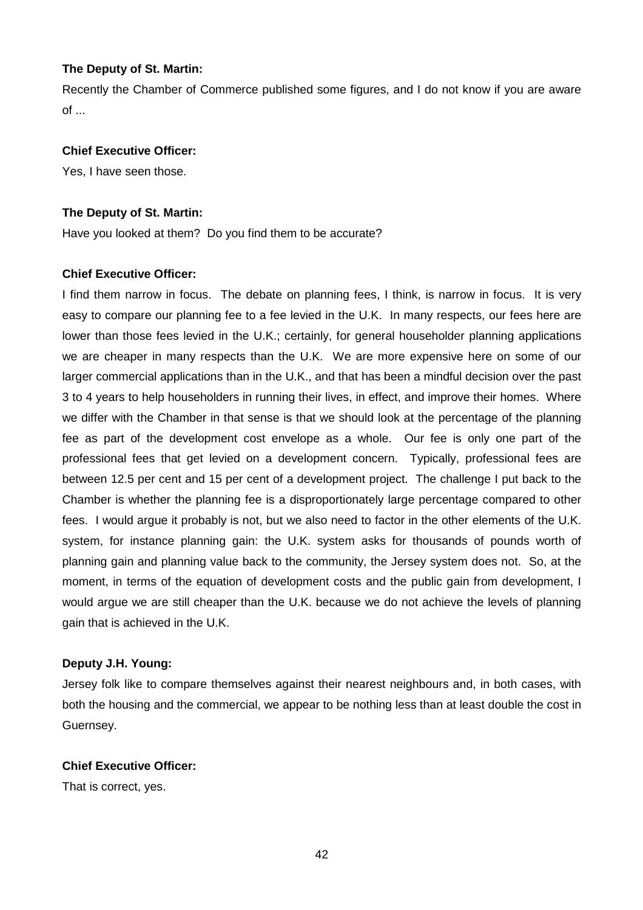## **The Deputy of St. Martin:**

Recently the Chamber of Commerce published some figures, and I do not know if you are aware of ...

# **Chief Executive Officer:**

Yes, I have seen those.

# **The Deputy of St. Martin:**

Have you looked at them? Do you find them to be accurate?

# **Chief Executive Officer:**

I find them narrow in focus. The debate on planning fees, I think, is narrow in focus. It is very easy to compare our planning fee to a fee levied in the U.K. In many respects, our fees here are lower than those fees levied in the U.K.; certainly, for general householder planning applications we are cheaper in many respects than the U.K. We are more expensive here on some of our larger commercial applications than in the U.K., and that has been a mindful decision over the past 3 to 4 years to help householders in running their lives, in effect, and improve their homes. Where we differ with the Chamber in that sense is that we should look at the percentage of the planning fee as part of the development cost envelope as a whole. Our fee is only one part of the professional fees that get levied on a development concern. Typically, professional fees are between 12.5 per cent and 15 per cent of a development project. The challenge I put back to the Chamber is whether the planning fee is a disproportionately large percentage compared to other fees. I would argue it probably is not, but we also need to factor in the other elements of the U.K. system, for instance planning gain: the U.K. system asks for thousands of pounds worth of planning gain and planning value back to the community, the Jersey system does not. So, at the moment, in terms of the equation of development costs and the public gain from development, I would argue we are still cheaper than the U.K. because we do not achieve the levels of planning gain that is achieved in the U.K.

# **Deputy J.H. Young:**

Jersey folk like to compare themselves against their nearest neighbours and, in both cases, with both the housing and the commercial, we appear to be nothing less than at least double the cost in Guernsey.

# **Chief Executive Officer:**

That is correct, yes.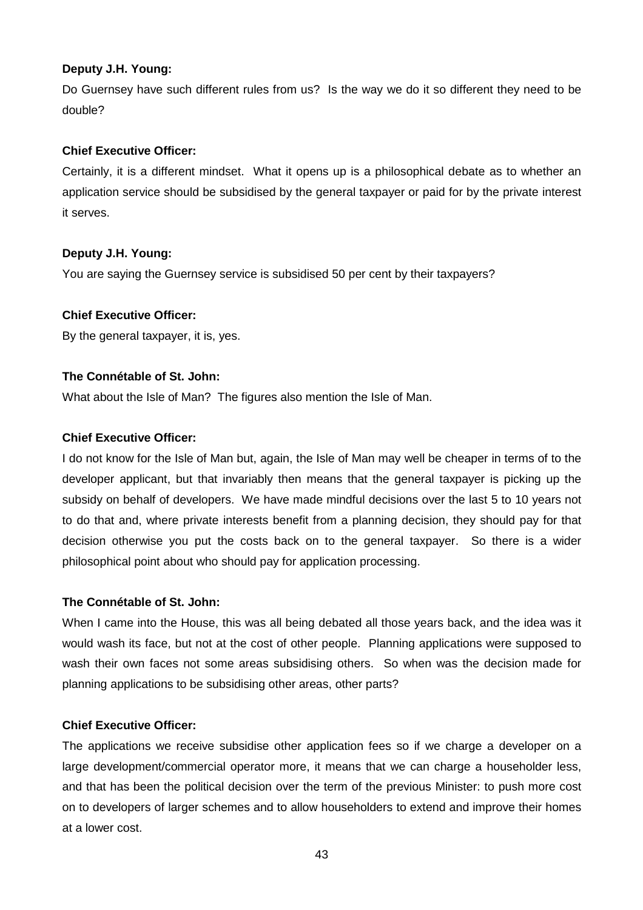Do Guernsey have such different rules from us? Is the way we do it so different they need to be double?

# **Chief Executive Officer:**

Certainly, it is a different mindset. What it opens up is a philosophical debate as to whether an application service should be subsidised by the general taxpayer or paid for by the private interest it serves.

# **Deputy J.H. Young:**

You are saying the Guernsey service is subsidised 50 per cent by their taxpayers?

# **Chief Executive Officer:**

By the general taxpayer, it is, yes.

# **The Connétable of St. John:**

What about the Isle of Man? The figures also mention the Isle of Man.

# **Chief Executive Officer:**

I do not know for the Isle of Man but, again, the Isle of Man may well be cheaper in terms of to the developer applicant, but that invariably then means that the general taxpayer is picking up the subsidy on behalf of developers. We have made mindful decisions over the last 5 to 10 years not to do that and, where private interests benefit from a planning decision, they should pay for that decision otherwise you put the costs back on to the general taxpayer. So there is a wider philosophical point about who should pay for application processing.

# **The Connétable of St. John:**

When I came into the House, this was all being debated all those years back, and the idea was it would wash its face, but not at the cost of other people. Planning applications were supposed to wash their own faces not some areas subsidising others. So when was the decision made for planning applications to be subsidising other areas, other parts?

# **Chief Executive Officer:**

The applications we receive subsidise other application fees so if we charge a developer on a large development/commercial operator more, it means that we can charge a householder less, and that has been the political decision over the term of the previous Minister: to push more cost on to developers of larger schemes and to allow householders to extend and improve their homes at a lower cost.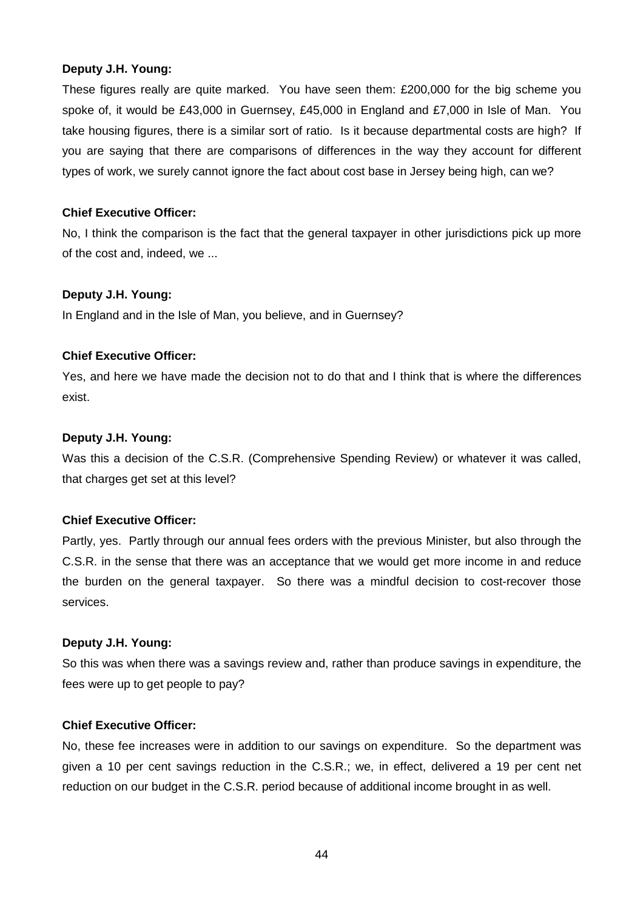These figures really are quite marked. You have seen them: £200,000 for the big scheme you spoke of, it would be £43,000 in Guernsey, £45,000 in England and £7,000 in Isle of Man. You take housing figures, there is a similar sort of ratio. Is it because departmental costs are high? If you are saying that there are comparisons of differences in the way they account for different types of work, we surely cannot ignore the fact about cost base in Jersey being high, can we?

### **Chief Executive Officer:**

No, I think the comparison is the fact that the general taxpayer in other jurisdictions pick up more of the cost and, indeed, we ...

### **Deputy J.H. Young:**

In England and in the Isle of Man, you believe, and in Guernsey?

### **Chief Executive Officer:**

Yes, and here we have made the decision not to do that and I think that is where the differences exist.

# **Deputy J.H. Young:**

Was this a decision of the C.S.R. (Comprehensive Spending Review) or whatever it was called, that charges get set at this level?

# **Chief Executive Officer:**

Partly, yes. Partly through our annual fees orders with the previous Minister, but also through the C.S.R. in the sense that there was an acceptance that we would get more income in and reduce the burden on the general taxpayer. So there was a mindful decision to cost-recover those services.

### **Deputy J.H. Young:**

So this was when there was a savings review and, rather than produce savings in expenditure, the fees were up to get people to pay?

#### **Chief Executive Officer:**

No, these fee increases were in addition to our savings on expenditure. So the department was given a 10 per cent savings reduction in the C.S.R.; we, in effect, delivered a 19 per cent net reduction on our budget in the C.S.R. period because of additional income brought in as well.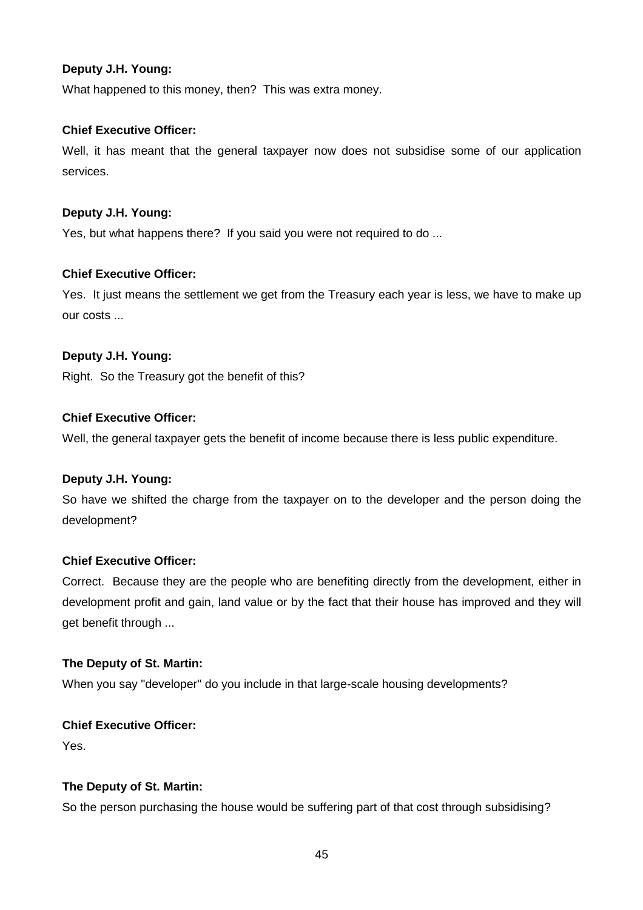What happened to this money, then? This was extra money.

# **Chief Executive Officer:**

Well, it has meant that the general taxpayer now does not subsidise some of our application services.

# **Deputy J.H. Young:**

Yes, but what happens there? If you said you were not required to do ...

# **Chief Executive Officer:**

Yes. It just means the settlement we get from the Treasury each year is less, we have to make up our costs ...

# **Deputy J.H. Young:**

Right. So the Treasury got the benefit of this?

# **Chief Executive Officer:**

Well, the general taxpayer gets the benefit of income because there is less public expenditure.

# **Deputy J.H. Young:**

So have we shifted the charge from the taxpayer on to the developer and the person doing the development?

# **Chief Executive Officer:**

Correct. Because they are the people who are benefiting directly from the development, either in development profit and gain, land value or by the fact that their house has improved and they will get benefit through ...

# **The Deputy of St. Martin:**

When you say "developer" do you include in that large-scale housing developments?

# **Chief Executive Officer:**

Yes.

# **The Deputy of St. Martin:**

So the person purchasing the house would be suffering part of that cost through subsidising?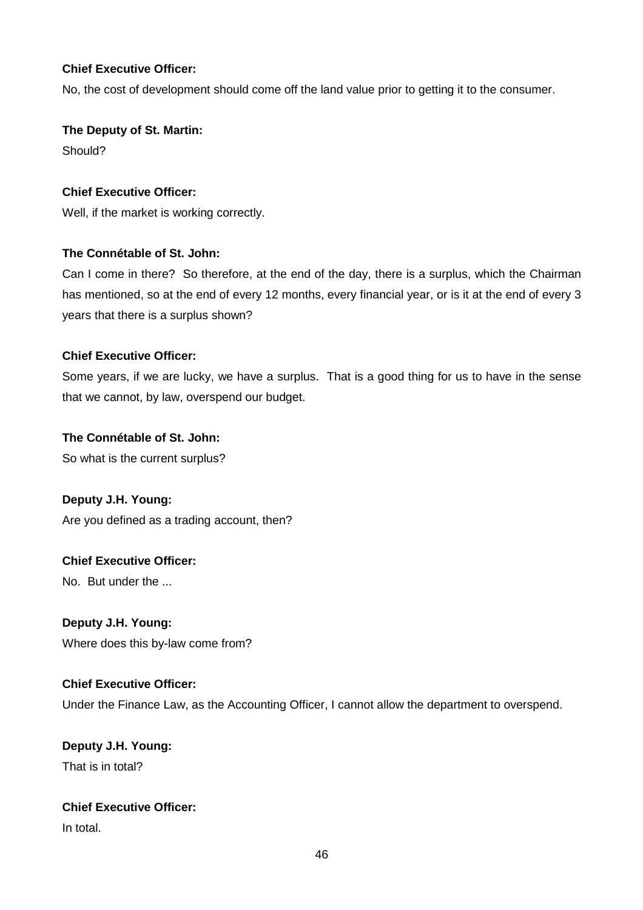# **Chief Executive Officer:**

No, the cost of development should come off the land value prior to getting it to the consumer.

**The Deputy of St. Martin:**  Should?

# **Chief Executive Officer:**

Well, if the market is working correctly.

# **The Connétable of St. John:**

Can I come in there? So therefore, at the end of the day, there is a surplus, which the Chairman has mentioned, so at the end of every 12 months, every financial year, or is it at the end of every 3 years that there is a surplus shown?

# **Chief Executive Officer:**

Some years, if we are lucky, we have a surplus. That is a good thing for us to have in the sense that we cannot, by law, overspend our budget.

# **The Connétable of St. John:**

So what is the current surplus?

**Deputy J.H. Young:**  Are you defined as a trading account, then?

**Chief Executive Officer:**  No. But under the ...

**Deputy J.H. Young:**  Where does this by-law come from?

# **Chief Executive Officer:**

Under the Finance Law, as the Accounting Officer, I cannot allow the department to overspend.

**Deputy J.H. Young:**  That is in total?

# **Chief Executive Officer:**

In total.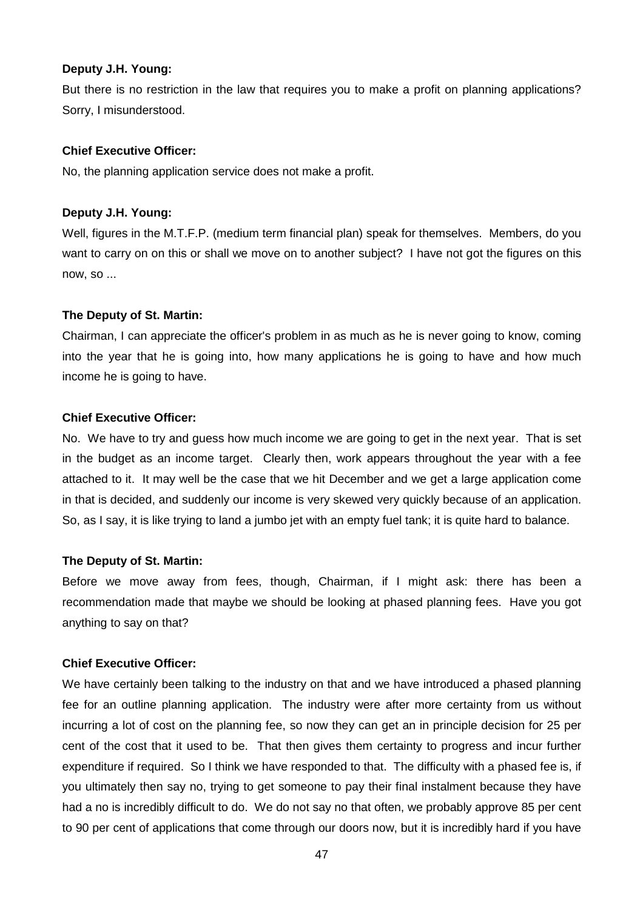But there is no restriction in the law that requires you to make a profit on planning applications? Sorry, I misunderstood.

### **Chief Executive Officer:**

No, the planning application service does not make a profit.

### **Deputy J.H. Young:**

Well, figures in the M.T.F.P. (medium term financial plan) speak for themselves. Members, do you want to carry on on this or shall we move on to another subject? I have not got the figures on this now, so ...

### **The Deputy of St. Martin:**

Chairman, I can appreciate the officer's problem in as much as he is never going to know, coming into the year that he is going into, how many applications he is going to have and how much income he is going to have.

### **Chief Executive Officer:**

No. We have to try and guess how much income we are going to get in the next year. That is set in the budget as an income target. Clearly then, work appears throughout the year with a fee attached to it. It may well be the case that we hit December and we get a large application come in that is decided, and suddenly our income is very skewed very quickly because of an application. So, as I say, it is like trying to land a jumbo jet with an empty fuel tank; it is quite hard to balance.

#### **The Deputy of St. Martin:**

Before we move away from fees, though, Chairman, if I might ask: there has been a recommendation made that maybe we should be looking at phased planning fees. Have you got anything to say on that?

#### **Chief Executive Officer:**

We have certainly been talking to the industry on that and we have introduced a phased planning fee for an outline planning application. The industry were after more certainty from us without incurring a lot of cost on the planning fee, so now they can get an in principle decision for 25 per cent of the cost that it used to be. That then gives them certainty to progress and incur further expenditure if required. So I think we have responded to that. The difficulty with a phased fee is, if you ultimately then say no, trying to get someone to pay their final instalment because they have had a no is incredibly difficult to do. We do not say no that often, we probably approve 85 per cent to 90 per cent of applications that come through our doors now, but it is incredibly hard if you have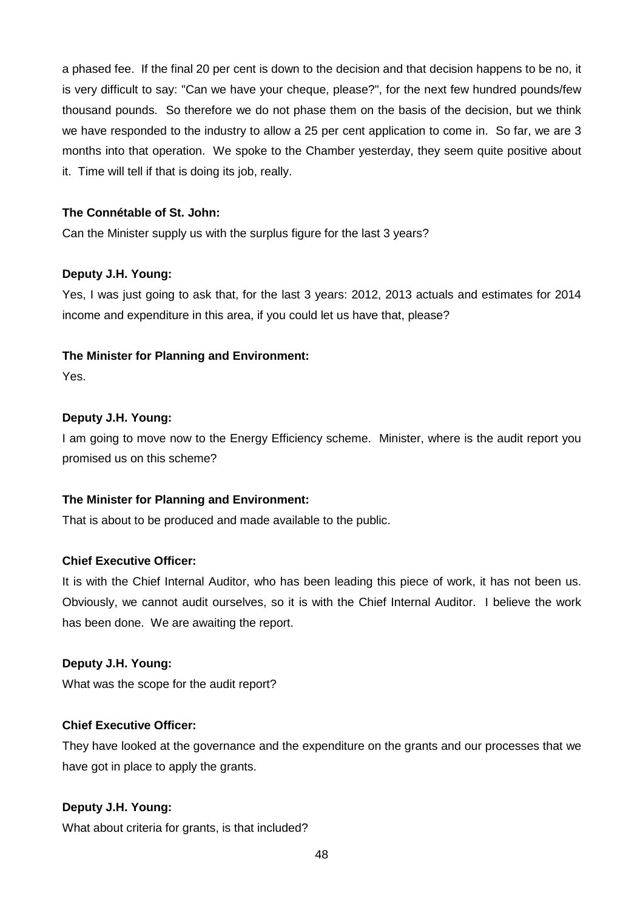a phased fee. If the final 20 per cent is down to the decision and that decision happens to be no, it is very difficult to say: "Can we have your cheque, please?", for the next few hundred pounds/few thousand pounds. So therefore we do not phase them on the basis of the decision, but we think we have responded to the industry to allow a 25 per cent application to come in. So far, we are 3 months into that operation. We spoke to the Chamber yesterday, they seem quite positive about it. Time will tell if that is doing its job, really.

# **The Connétable of St. John:**

Can the Minister supply us with the surplus figure for the last 3 years?

# **Deputy J.H. Young:**

Yes, I was just going to ask that, for the last 3 years: 2012, 2013 actuals and estimates for 2014 income and expenditure in this area, if you could let us have that, please?

# **The Minister for Planning and Environment:**

Yes.

# **Deputy J.H. Young:**

I am going to move now to the Energy Efficiency scheme. Minister, where is the audit report you promised us on this scheme?

# **The Minister for Planning and Environment:**

That is about to be produced and made available to the public.

# **Chief Executive Officer:**

It is with the Chief Internal Auditor, who has been leading this piece of work, it has not been us. Obviously, we cannot audit ourselves, so it is with the Chief Internal Auditor. I believe the work has been done. We are awaiting the report.

# **Deputy J.H. Young:**

What was the scope for the audit report?

# **Chief Executive Officer:**

They have looked at the governance and the expenditure on the grants and our processes that we have got in place to apply the grants.

# **Deputy J.H. Young:**

What about criteria for grants, is that included?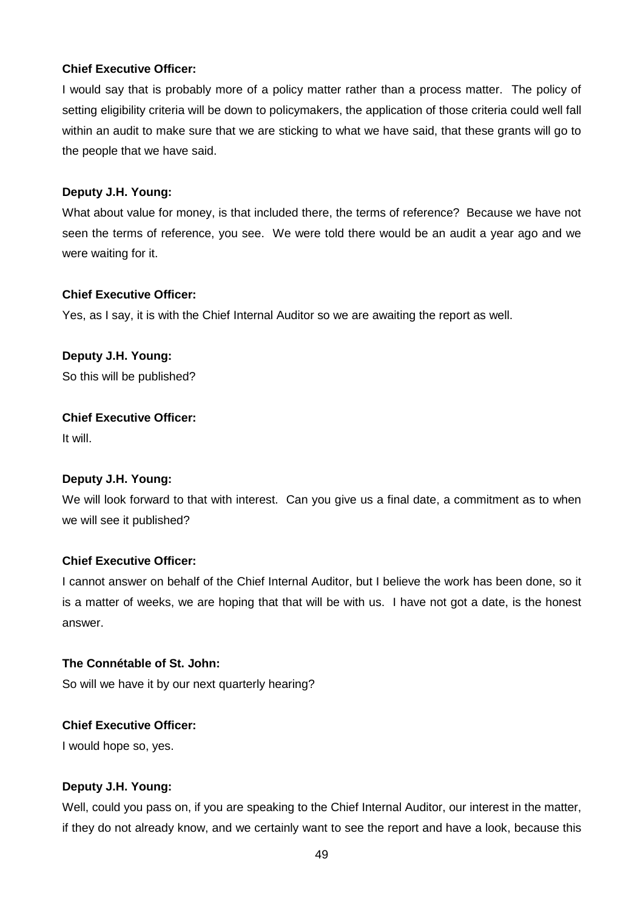# **Chief Executive Officer:**

I would say that is probably more of a policy matter rather than a process matter. The policy of setting eligibility criteria will be down to policymakers, the application of those criteria could well fall within an audit to make sure that we are sticking to what we have said, that these grants will go to the people that we have said.

# **Deputy J.H. Young:**

What about value for money, is that included there, the terms of reference? Because we have not seen the terms of reference, you see. We were told there would be an audit a year ago and we were waiting for it.

# **Chief Executive Officer:**

Yes, as I say, it is with the Chief Internal Auditor so we are awaiting the report as well.

**Deputy J.H. Young:**  So this will be published?

# **Chief Executive Officer:**

It will.

# **Deputy J.H. Young:**

We will look forward to that with interest. Can you give us a final date, a commitment as to when we will see it published?

# **Chief Executive Officer:**

I cannot answer on behalf of the Chief Internal Auditor, but I believe the work has been done, so it is a matter of weeks, we are hoping that that will be with us. I have not got a date, is the honest answer.

# **The Connétable of St. John:**

So will we have it by our next quarterly hearing?

# **Chief Executive Officer:**

I would hope so, yes.

# **Deputy J.H. Young:**

Well, could you pass on, if you are speaking to the Chief Internal Auditor, our interest in the matter, if they do not already know, and we certainly want to see the report and have a look, because this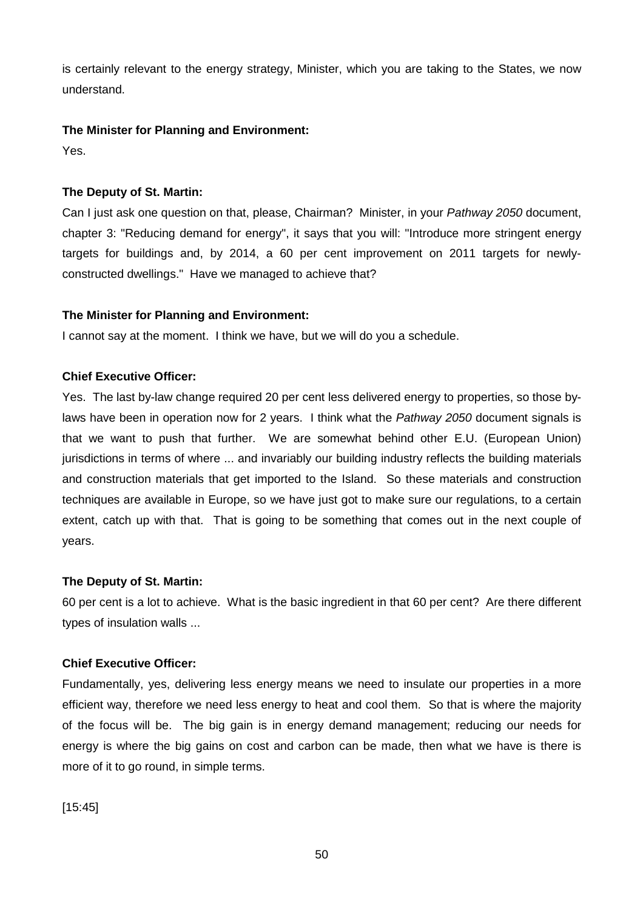is certainly relevant to the energy strategy, Minister, which you are taking to the States, we now understand.

# **The Minister for Planning and Environment:**

Yes.

# **The Deputy of St. Martin:**

Can I just ask one question on that, please, Chairman? Minister, in your Pathway 2050 document, chapter 3: "Reducing demand for energy", it says that you will: "Introduce more stringent energy targets for buildings and, by 2014, a 60 per cent improvement on 2011 targets for newlyconstructed dwellings." Have we managed to achieve that?

# **The Minister for Planning and Environment:**

I cannot say at the moment. I think we have, but we will do you a schedule.

# **Chief Executive Officer:**

Yes. The last by-law change required 20 per cent less delivered energy to properties, so those bylaws have been in operation now for 2 years. I think what the *Pathway 2050* document signals is that we want to push that further. We are somewhat behind other E.U. (European Union) jurisdictions in terms of where ... and invariably our building industry reflects the building materials and construction materials that get imported to the Island. So these materials and construction techniques are available in Europe, so we have just got to make sure our regulations, to a certain extent, catch up with that. That is going to be something that comes out in the next couple of years.

# **The Deputy of St. Martin:**

60 per cent is a lot to achieve. What is the basic ingredient in that 60 per cent? Are there different types of insulation walls ...

# **Chief Executive Officer:**

Fundamentally, yes, delivering less energy means we need to insulate our properties in a more efficient way, therefore we need less energy to heat and cool them. So that is where the majority of the focus will be. The big gain is in energy demand management; reducing our needs for energy is where the big gains on cost and carbon can be made, then what we have is there is more of it to go round, in simple terms.

[15:45]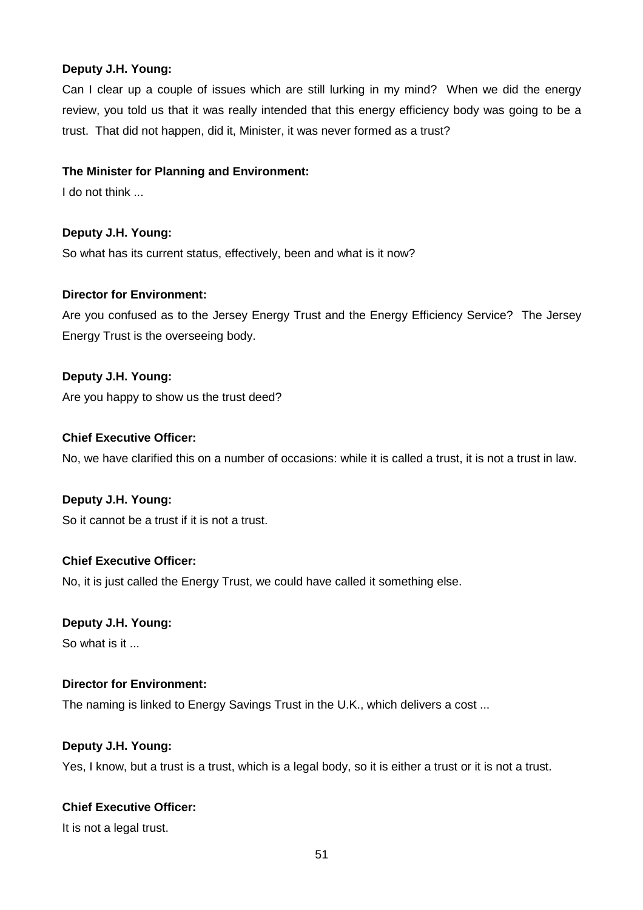Can I clear up a couple of issues which are still lurking in my mind? When we did the energy review, you told us that it was really intended that this energy efficiency body was going to be a trust. That did not happen, did it, Minister, it was never formed as a trust?

# **The Minister for Planning and Environment:**

I do not think ...

# **Deputy J.H. Young:**

So what has its current status, effectively, been and what is it now?

# **Director for Environment:**

Are you confused as to the Jersey Energy Trust and the Energy Efficiency Service? The Jersey Energy Trust is the overseeing body.

# **Deputy J.H. Young:**

Are you happy to show us the trust deed?

# **Chief Executive Officer:**

No, we have clarified this on a number of occasions: while it is called a trust, it is not a trust in law.

# **Deputy J.H. Young:**

So it cannot be a trust if it is not a trust.

# **Chief Executive Officer:**

No, it is just called the Energy Trust, we could have called it something else.

# **Deputy J.H. Young:**

So what is it ...

# **Director for Environment:**

The naming is linked to Energy Savings Trust in the U.K., which delivers a cost ...

# **Deputy J.H. Young:**

Yes, I know, but a trust is a trust, which is a legal body, so it is either a trust or it is not a trust.

# **Chief Executive Officer:**

It is not a legal trust.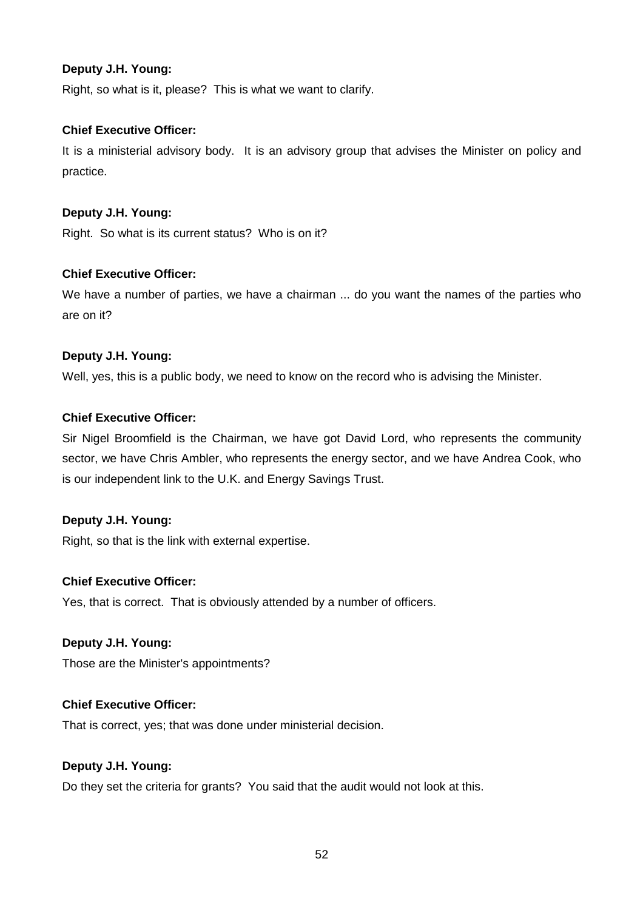Right, so what is it, please? This is what we want to clarify.

# **Chief Executive Officer:**

It is a ministerial advisory body. It is an advisory group that advises the Minister on policy and practice.

# **Deputy J.H. Young:**

Right. So what is its current status? Who is on it?

# **Chief Executive Officer:**

We have a number of parties, we have a chairman ... do you want the names of the parties who are on it?

# **Deputy J.H. Young:**

Well, yes, this is a public body, we need to know on the record who is advising the Minister.

# **Chief Executive Officer:**

Sir Nigel Broomfield is the Chairman, we have got David Lord, who represents the community sector, we have Chris Ambler, who represents the energy sector, and we have Andrea Cook, who is our independent link to the U.K. and Energy Savings Trust.

# **Deputy J.H. Young:**

Right, so that is the link with external expertise.

# **Chief Executive Officer:**

Yes, that is correct. That is obviously attended by a number of officers.

# **Deputy J.H. Young:**

Those are the Minister's appointments?

# **Chief Executive Officer:**

That is correct, yes; that was done under ministerial decision.

# **Deputy J.H. Young:**

Do they set the criteria for grants? You said that the audit would not look at this.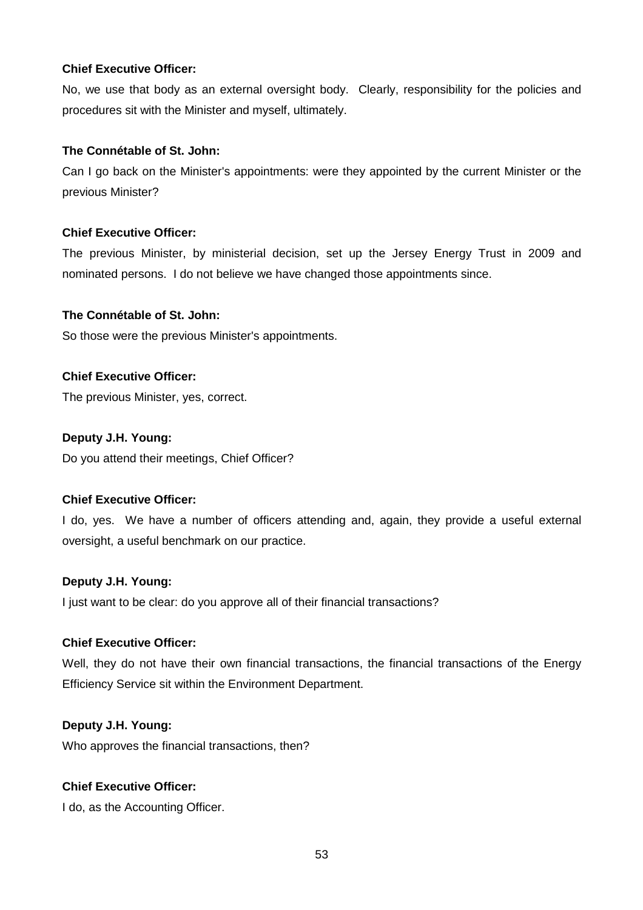# **Chief Executive Officer:**

No, we use that body as an external oversight body. Clearly, responsibility for the policies and procedures sit with the Minister and myself, ultimately.

# **The Connétable of St. John:**

Can I go back on the Minister's appointments: were they appointed by the current Minister or the previous Minister?

# **Chief Executive Officer:**

The previous Minister, by ministerial decision, set up the Jersey Energy Trust in 2009 and nominated persons. I do not believe we have changed those appointments since.

# **The Connétable of St. John:**

So those were the previous Minister's appointments.

# **Chief Executive Officer:**

The previous Minister, yes, correct.

# **Deputy J.H. Young:**

Do you attend their meetings, Chief Officer?

# **Chief Executive Officer:**

I do, yes. We have a number of officers attending and, again, they provide a useful external oversight, a useful benchmark on our practice.

# **Deputy J.H. Young:**

I just want to be clear: do you approve all of their financial transactions?

# **Chief Executive Officer:**

Well, they do not have their own financial transactions, the financial transactions of the Energy Efficiency Service sit within the Environment Department.

# **Deputy J.H. Young:**

Who approves the financial transactions, then?

# **Chief Executive Officer:**

I do, as the Accounting Officer.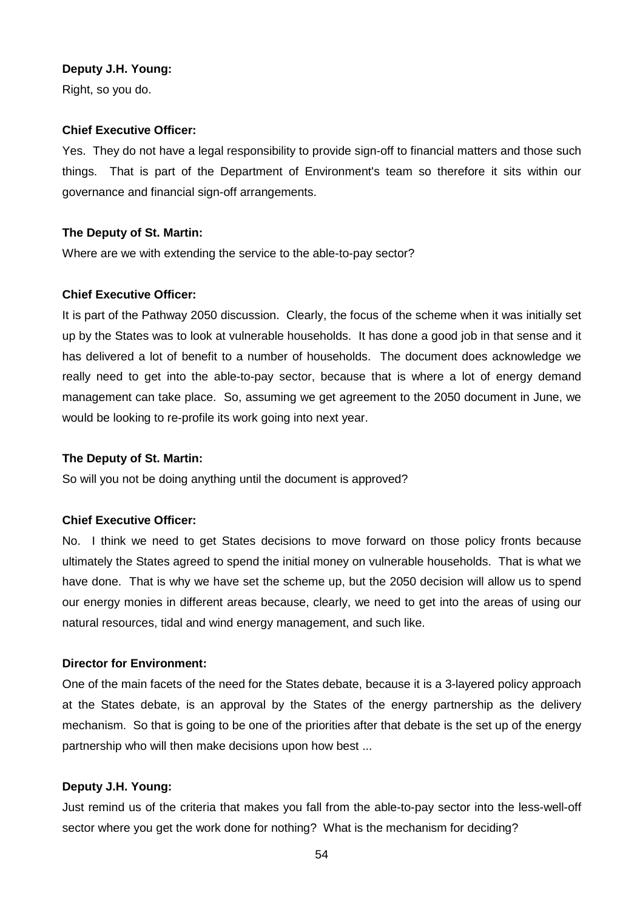Right, so you do.

### **Chief Executive Officer:**

Yes. They do not have a legal responsibility to provide sign-off to financial matters and those such things. That is part of the Department of Environment's team so therefore it sits within our governance and financial sign-off arrangements.

## **The Deputy of St. Martin:**

Where are we with extending the service to the able-to-pay sector?

### **Chief Executive Officer:**

It is part of the Pathway 2050 discussion. Clearly, the focus of the scheme when it was initially set up by the States was to look at vulnerable households. It has done a good job in that sense and it has delivered a lot of benefit to a number of households. The document does acknowledge we really need to get into the able-to-pay sector, because that is where a lot of energy demand management can take place. So, assuming we get agreement to the 2050 document in June, we would be looking to re-profile its work going into next year.

### **The Deputy of St. Martin:**

So will you not be doing anything until the document is approved?

# **Chief Executive Officer:**

No. I think we need to get States decisions to move forward on those policy fronts because ultimately the States agreed to spend the initial money on vulnerable households. That is what we have done. That is why we have set the scheme up, but the 2050 decision will allow us to spend our energy monies in different areas because, clearly, we need to get into the areas of using our natural resources, tidal and wind energy management, and such like.

#### **Director for Environment:**

One of the main facets of the need for the States debate, because it is a 3-layered policy approach at the States debate, is an approval by the States of the energy partnership as the delivery mechanism. So that is going to be one of the priorities after that debate is the set up of the energy partnership who will then make decisions upon how best ...

### **Deputy J.H. Young:**

Just remind us of the criteria that makes you fall from the able-to-pay sector into the less-well-off sector where you get the work done for nothing? What is the mechanism for deciding?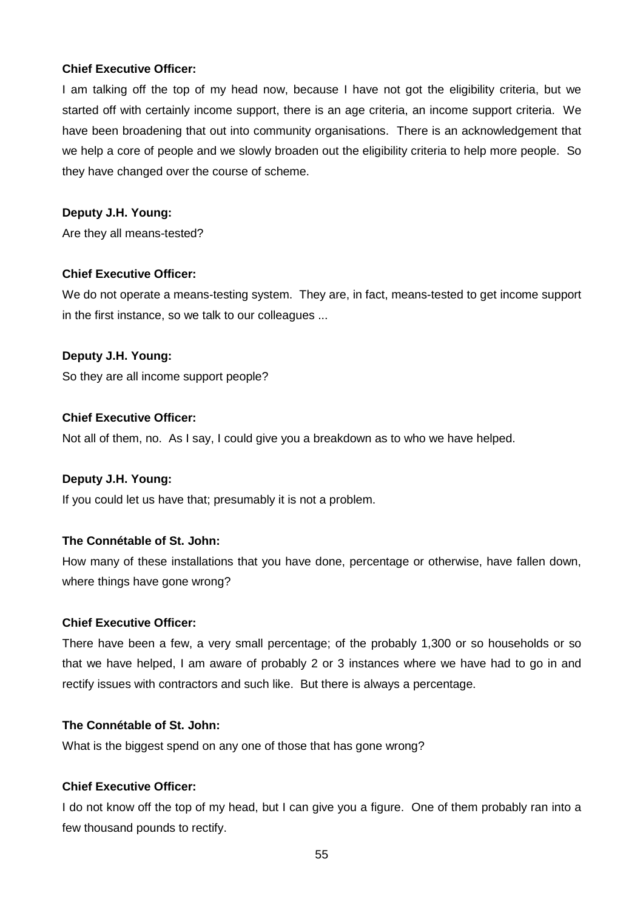# **Chief Executive Officer:**

I am talking off the top of my head now, because I have not got the eligibility criteria, but we started off with certainly income support, there is an age criteria, an income support criteria. We have been broadening that out into community organisations. There is an acknowledgement that we help a core of people and we slowly broaden out the eligibility criteria to help more people. So they have changed over the course of scheme.

### **Deputy J.H. Young:**

Are they all means-tested?

### **Chief Executive Officer:**

We do not operate a means-testing system. They are, in fact, means-tested to get income support in the first instance, so we talk to our colleagues ...

### **Deputy J.H. Young:**

So they are all income support people?

### **Chief Executive Officer:**

Not all of them, no. As I say, I could give you a breakdown as to who we have helped.

# **Deputy J.H. Young:**

If you could let us have that; presumably it is not a problem.

# **The Connétable of St. John:**

How many of these installations that you have done, percentage or otherwise, have fallen down, where things have gone wrong?

# **Chief Executive Officer:**

There have been a few, a very small percentage; of the probably 1,300 or so households or so that we have helped, I am aware of probably 2 or 3 instances where we have had to go in and rectify issues with contractors and such like. But there is always a percentage.

# **The Connétable of St. John:**

What is the biggest spend on any one of those that has gone wrong?

# **Chief Executive Officer:**

I do not know off the top of my head, but I can give you a figure. One of them probably ran into a few thousand pounds to rectify.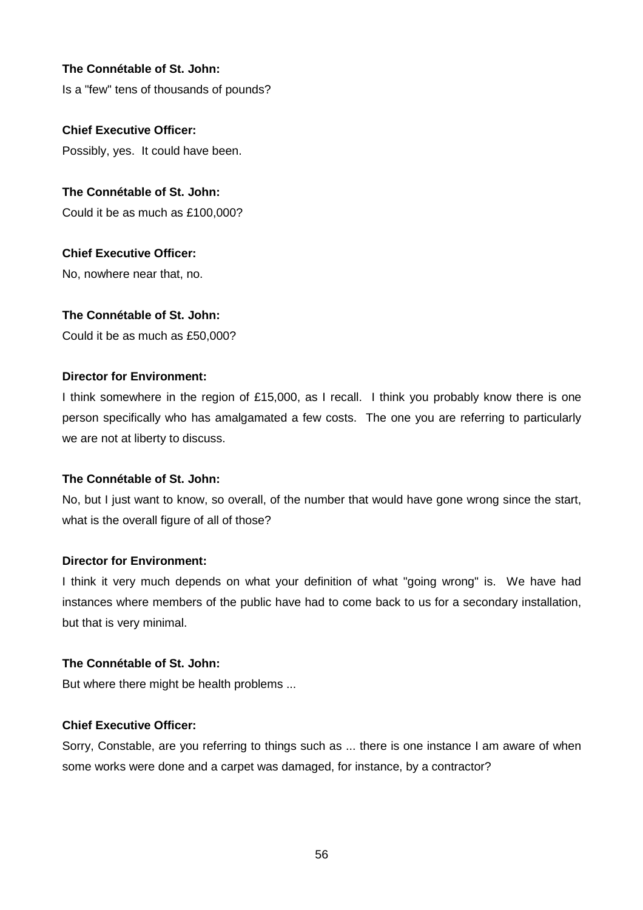# **The Connétable of St. John:**

Is a "few" tens of thousands of pounds?

**Chief Executive Officer:**  Possibly, yes. It could have been.

**The Connétable of St. John:**  Could it be as much as £100,000?

**Chief Executive Officer:**  No, nowhere near that, no.

# **The Connétable of St. John:**

Could it be as much as £50,000?

# **Director for Environment:**

I think somewhere in the region of £15,000, as I recall. I think you probably know there is one person specifically who has amalgamated a few costs. The one you are referring to particularly we are not at liberty to discuss.

# **The Connétable of St. John:**

No, but I just want to know, so overall, of the number that would have gone wrong since the start, what is the overall figure of all of those?

# **Director for Environment:**

I think it very much depends on what your definition of what "going wrong" is. We have had instances where members of the public have had to come back to us for a secondary installation, but that is very minimal.

# **The Connétable of St. John:**

But where there might be health problems ...

# **Chief Executive Officer:**

Sorry, Constable, are you referring to things such as ... there is one instance I am aware of when some works were done and a carpet was damaged, for instance, by a contractor?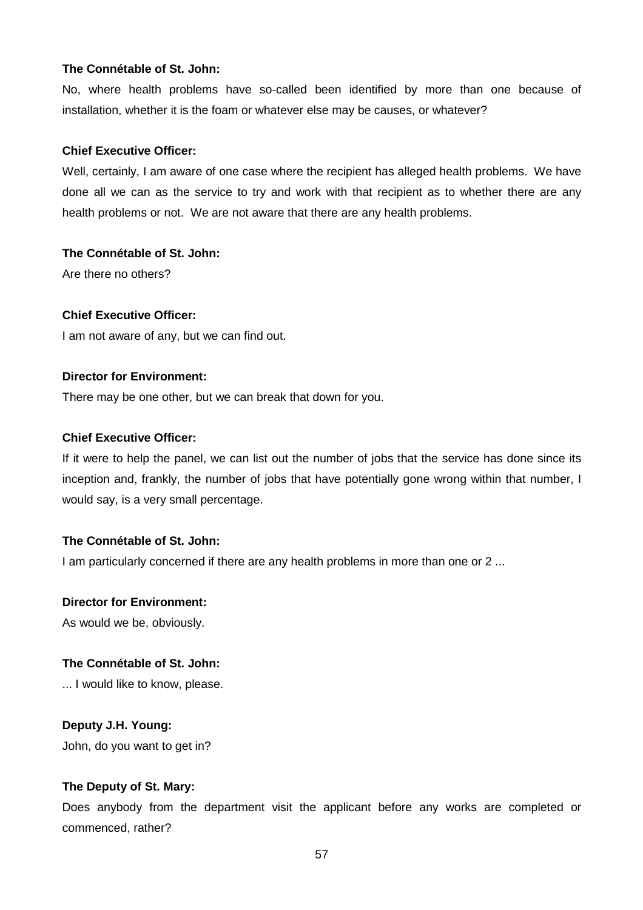### **The Connétable of St. John:**

No, where health problems have so-called been identified by more than one because of installation, whether it is the foam or whatever else may be causes, or whatever?

### **Chief Executive Officer:**

Well, certainly, I am aware of one case where the recipient has alleged health problems. We have done all we can as the service to try and work with that recipient as to whether there are any health problems or not. We are not aware that there are any health problems.

### **The Connétable of St. John:**

Are there no others?

### **Chief Executive Officer:**

I am not aware of any, but we can find out.

### **Director for Environment:**

There may be one other, but we can break that down for you.

## **Chief Executive Officer:**

If it were to help the panel, we can list out the number of jobs that the service has done since its inception and, frankly, the number of jobs that have potentially gone wrong within that number, I would say, is a very small percentage.

# **The Connétable of St. John:**

I am particularly concerned if there are any health problems in more than one or 2 ...

#### **Director for Environment:**

As would we be, obviously.

### **The Connétable of St. John:**

... I would like to know, please.

#### **Deputy J.H. Young:**

John, do you want to get in?

### **The Deputy of St. Mary:**

Does anybody from the department visit the applicant before any works are completed or commenced, rather?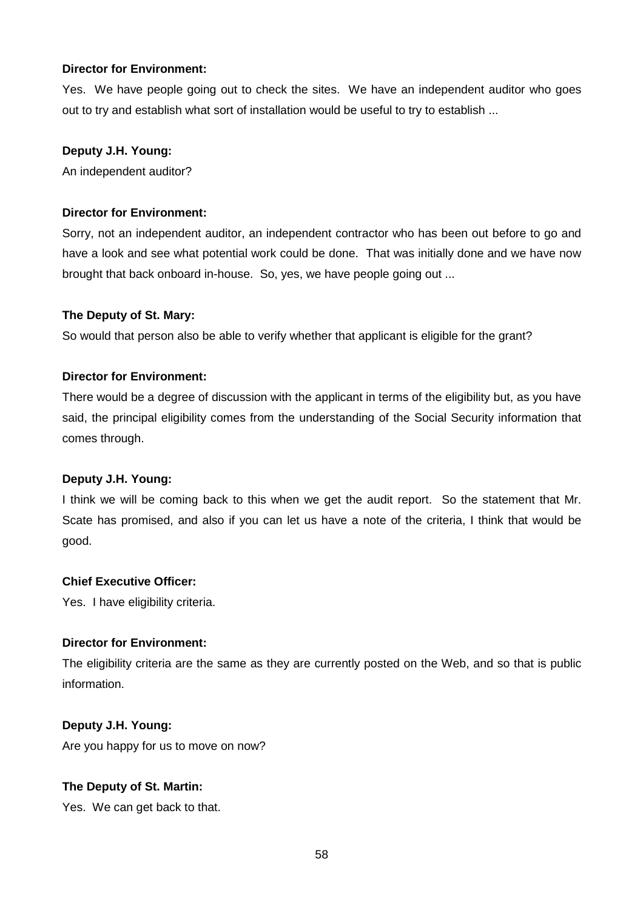### **Director for Environment:**

Yes. We have people going out to check the sites. We have an independent auditor who goes out to try and establish what sort of installation would be useful to try to establish ...

### **Deputy J.H. Young:**

An independent auditor?

### **Director for Environment:**

Sorry, not an independent auditor, an independent contractor who has been out before to go and have a look and see what potential work could be done. That was initially done and we have now brought that back onboard in-house. So, yes, we have people going out ...

# **The Deputy of St. Mary:**

So would that person also be able to verify whether that applicant is eligible for the grant?

### **Director for Environment:**

There would be a degree of discussion with the applicant in terms of the eligibility but, as you have said, the principal eligibility comes from the understanding of the Social Security information that comes through.

### **Deputy J.H. Young:**

I think we will be coming back to this when we get the audit report. So the statement that Mr. Scate has promised, and also if you can let us have a note of the criteria, I think that would be good.

#### **Chief Executive Officer:**

Yes. I have eligibility criteria.

# **Director for Environment:**

The eligibility criteria are the same as they are currently posted on the Web, and so that is public information.

# **Deputy J.H. Young:**

Are you happy for us to move on now?

#### **The Deputy of St. Martin:**

Yes. We can get back to that.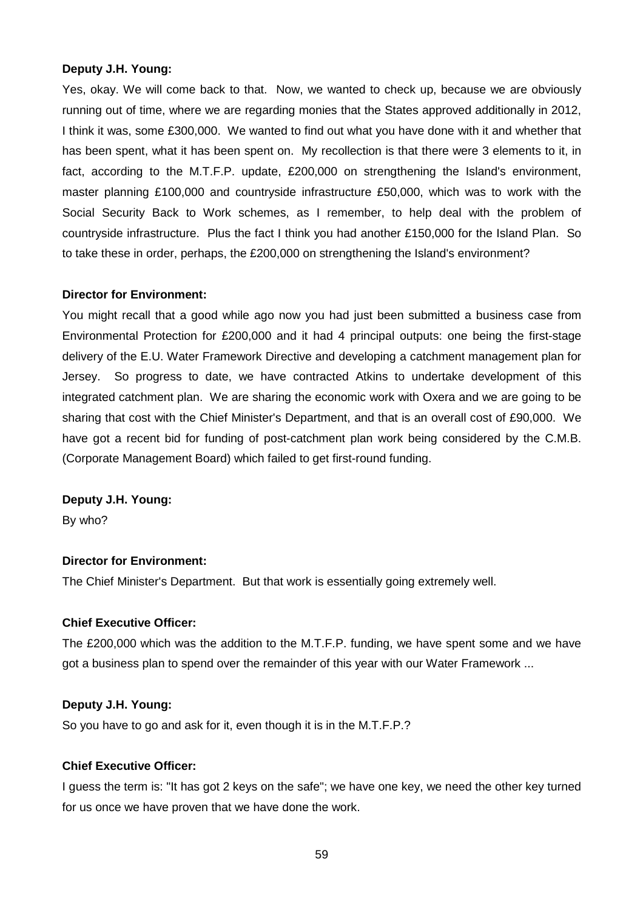Yes, okay. We will come back to that. Now, we wanted to check up, because we are obviously running out of time, where we are regarding monies that the States approved additionally in 2012, I think it was, some £300,000. We wanted to find out what you have done with it and whether that has been spent, what it has been spent on. My recollection is that there were 3 elements to it, in fact, according to the M.T.F.P. update, £200,000 on strengthening the Island's environment, master planning £100,000 and countryside infrastructure £50,000, which was to work with the Social Security Back to Work schemes, as I remember, to help deal with the problem of countryside infrastructure. Plus the fact I think you had another £150,000 for the Island Plan. So to take these in order, perhaps, the £200,000 on strengthening the Island's environment?

#### **Director for Environment:**

You might recall that a good while ago now you had just been submitted a business case from Environmental Protection for £200,000 and it had 4 principal outputs: one being the first-stage delivery of the E.U. Water Framework Directive and developing a catchment management plan for Jersey. So progress to date, we have contracted Atkins to undertake development of this integrated catchment plan. We are sharing the economic work with Oxera and we are going to be sharing that cost with the Chief Minister's Department, and that is an overall cost of £90,000. We have got a recent bid for funding of post-catchment plan work being considered by the C.M.B. (Corporate Management Board) which failed to get first-round funding.

#### **Deputy J.H. Young:**

By who?

# **Director for Environment:**

The Chief Minister's Department. But that work is essentially going extremely well.

# **Chief Executive Officer:**

The £200,000 which was the addition to the M.T.F.P. funding, we have spent some and we have got a business plan to spend over the remainder of this year with our Water Framework ...

### **Deputy J.H. Young:**

So you have to go and ask for it, even though it is in the M.T.F.P.?

# **Chief Executive Officer:**

I guess the term is: "It has got 2 keys on the safe"; we have one key, we need the other key turned for us once we have proven that we have done the work.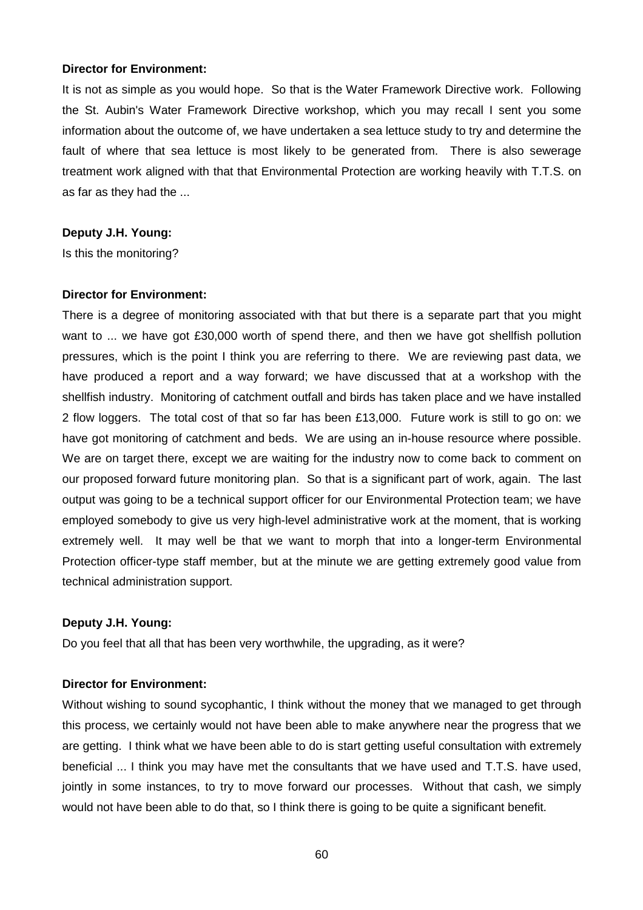#### **Director for Environment:**

It is not as simple as you would hope. So that is the Water Framework Directive work. Following the St. Aubin's Water Framework Directive workshop, which you may recall I sent you some information about the outcome of, we have undertaken a sea lettuce study to try and determine the fault of where that sea lettuce is most likely to be generated from. There is also sewerage treatment work aligned with that that Environmental Protection are working heavily with T.T.S. on as far as they had the ...

### **Deputy J.H. Young:**

Is this the monitoring?

#### **Director for Environment:**

There is a degree of monitoring associated with that but there is a separate part that you might want to ... we have got £30,000 worth of spend there, and then we have got shellfish pollution pressures, which is the point I think you are referring to there. We are reviewing past data, we have produced a report and a way forward; we have discussed that at a workshop with the shellfish industry. Monitoring of catchment outfall and birds has taken place and we have installed 2 flow loggers. The total cost of that so far has been £13,000. Future work is still to go on: we have got monitoring of catchment and beds. We are using an in-house resource where possible. We are on target there, except we are waiting for the industry now to come back to comment on our proposed forward future monitoring plan. So that is a significant part of work, again. The last output was going to be a technical support officer for our Environmental Protection team; we have employed somebody to give us very high-level administrative work at the moment, that is working extremely well. It may well be that we want to morph that into a longer-term Environmental Protection officer-type staff member, but at the minute we are getting extremely good value from technical administration support.

#### **Deputy J.H. Young:**

Do you feel that all that has been very worthwhile, the upgrading, as it were?

### **Director for Environment:**

Without wishing to sound sycophantic, I think without the money that we managed to get through this process, we certainly would not have been able to make anywhere near the progress that we are getting. I think what we have been able to do is start getting useful consultation with extremely beneficial ... I think you may have met the consultants that we have used and T.T.S. have used, jointly in some instances, to try to move forward our processes. Without that cash, we simply would not have been able to do that, so I think there is going to be quite a significant benefit.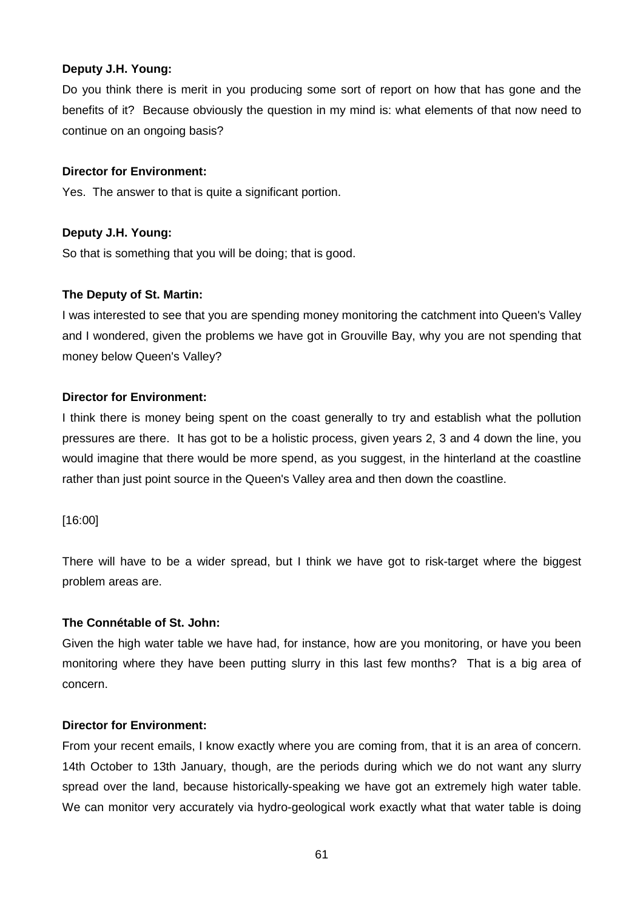Do you think there is merit in you producing some sort of report on how that has gone and the benefits of it? Because obviously the question in my mind is: what elements of that now need to continue on an ongoing basis?

# **Director for Environment:**

Yes. The answer to that is quite a significant portion.

# **Deputy J.H. Young:**

So that is something that you will be doing; that is good.

# **The Deputy of St. Martin:**

I was interested to see that you are spending money monitoring the catchment into Queen's Valley and I wondered, given the problems we have got in Grouville Bay, why you are not spending that money below Queen's Valley?

# **Director for Environment:**

I think there is money being spent on the coast generally to try and establish what the pollution pressures are there. It has got to be a holistic process, given years 2, 3 and 4 down the line, you would imagine that there would be more spend, as you suggest, in the hinterland at the coastline rather than just point source in the Queen's Valley area and then down the coastline.

# [16:00]

There will have to be a wider spread, but I think we have got to risk-target where the biggest problem areas are.

# **The Connétable of St. John:**

Given the high water table we have had, for instance, how are you monitoring, or have you been monitoring where they have been putting slurry in this last few months? That is a big area of concern.

# **Director for Environment:**

From your recent emails, I know exactly where you are coming from, that it is an area of concern. 14th October to 13th January, though, are the periods during which we do not want any slurry spread over the land, because historically-speaking we have got an extremely high water table. We can monitor very accurately via hydro-geological work exactly what that water table is doing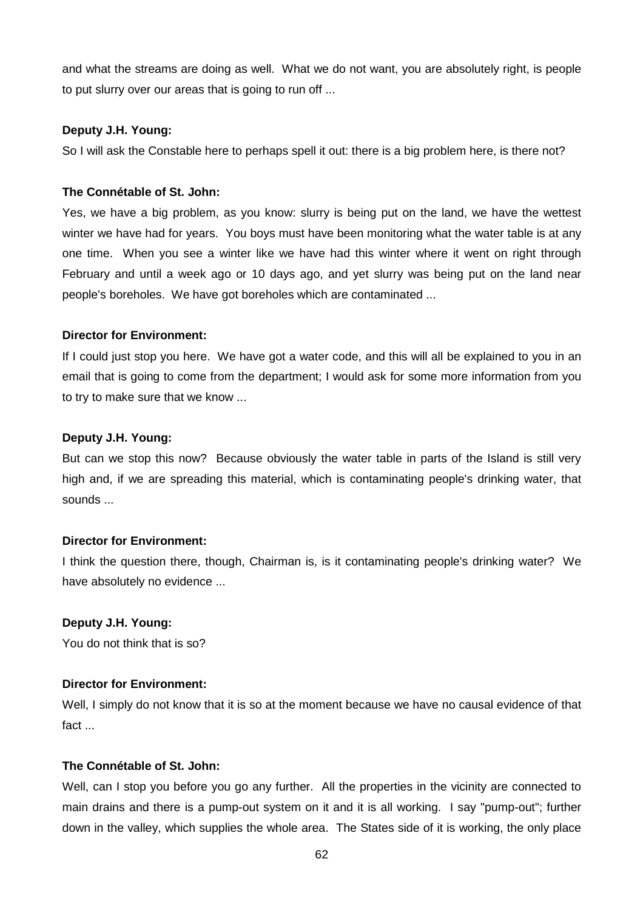and what the streams are doing as well. What we do not want, you are absolutely right, is people to put slurry over our areas that is going to run off ...

#### **Deputy J.H. Young:**

So I will ask the Constable here to perhaps spell it out: there is a big problem here, is there not?

### **The Connétable of St. John:**

Yes, we have a big problem, as you know: slurry is being put on the land, we have the wettest winter we have had for years. You boys must have been monitoring what the water table is at any one time. When you see a winter like we have had this winter where it went on right through February and until a week ago or 10 days ago, and yet slurry was being put on the land near people's boreholes. We have got boreholes which are contaminated ...

### **Director for Environment:**

If I could just stop you here. We have got a water code, and this will all be explained to you in an email that is going to come from the department; I would ask for some more information from you to try to make sure that we know ...

#### **Deputy J.H. Young:**

But can we stop this now? Because obviously the water table in parts of the Island is still very high and, if we are spreading this material, which is contaminating people's drinking water, that sounds ...

# **Director for Environment:**

I think the question there, though, Chairman is, is it contaminating people's drinking water? We have absolutely no evidence ...

# **Deputy J.H. Young:**

You do not think that is so?

#### **Director for Environment:**

Well, I simply do not know that it is so at the moment because we have no causal evidence of that fact ...

# **The Connétable of St. John:**

Well, can I stop you before you go any further. All the properties in the vicinity are connected to main drains and there is a pump-out system on it and it is all working. I say "pump-out"; further down in the valley, which supplies the whole area. The States side of it is working, the only place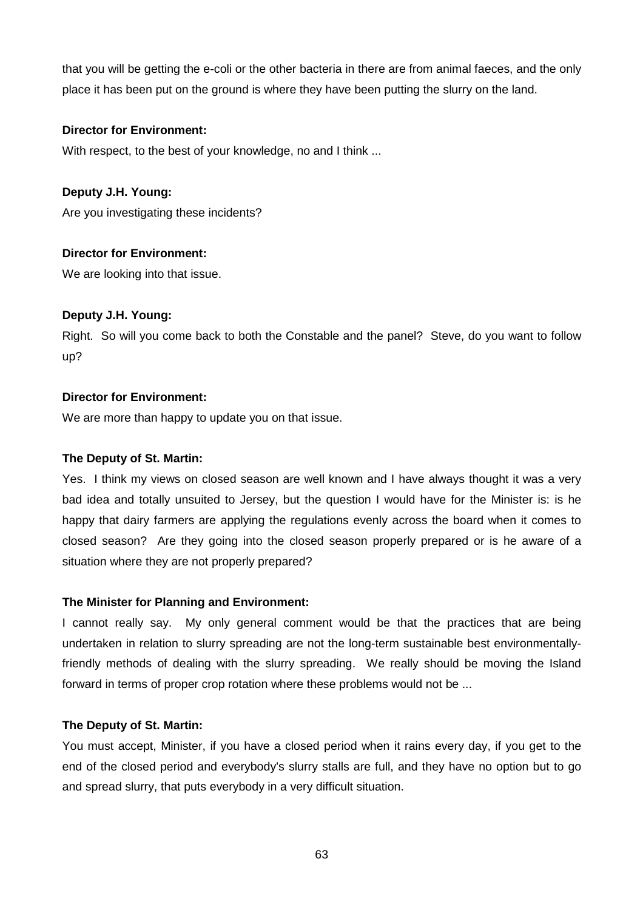that you will be getting the e-coli or the other bacteria in there are from animal faeces, and the only place it has been put on the ground is where they have been putting the slurry on the land.

# **Director for Environment:**

With respect, to the best of your knowledge, no and I think ...

# **Deputy J.H. Young:**

Are you investigating these incidents?

# **Director for Environment:**

We are looking into that issue.

# **Deputy J.H. Young:**

Right. So will you come back to both the Constable and the panel? Steve, do you want to follow up?

# **Director for Environment:**

We are more than happy to update you on that issue.

# **The Deputy of St. Martin:**

Yes. I think my views on closed season are well known and I have always thought it was a very bad idea and totally unsuited to Jersey, but the question I would have for the Minister is: is he happy that dairy farmers are applying the regulations evenly across the board when it comes to closed season? Are they going into the closed season properly prepared or is he aware of a situation where they are not properly prepared?

# **The Minister for Planning and Environment:**

I cannot really say. My only general comment would be that the practices that are being undertaken in relation to slurry spreading are not the long-term sustainable best environmentallyfriendly methods of dealing with the slurry spreading. We really should be moving the Island forward in terms of proper crop rotation where these problems would not be ...

# **The Deputy of St. Martin:**

You must accept, Minister, if you have a closed period when it rains every day, if you get to the end of the closed period and everybody's slurry stalls are full, and they have no option but to go and spread slurry, that puts everybody in a very difficult situation.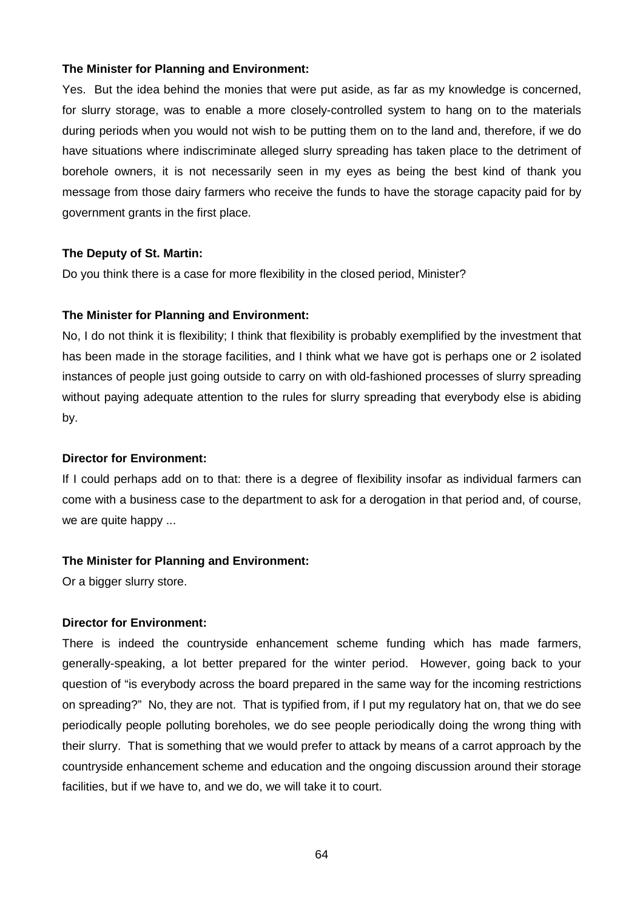### **The Minister for Planning and Environment:**

Yes. But the idea behind the monies that were put aside, as far as my knowledge is concerned, for slurry storage, was to enable a more closely-controlled system to hang on to the materials during periods when you would not wish to be putting them on to the land and, therefore, if we do have situations where indiscriminate alleged slurry spreading has taken place to the detriment of borehole owners, it is not necessarily seen in my eyes as being the best kind of thank you message from those dairy farmers who receive the funds to have the storage capacity paid for by government grants in the first place.

#### **The Deputy of St. Martin:**

Do you think there is a case for more flexibility in the closed period, Minister?

### **The Minister for Planning and Environment:**

No, I do not think it is flexibility; I think that flexibility is probably exemplified by the investment that has been made in the storage facilities, and I think what we have got is perhaps one or 2 isolated instances of people just going outside to carry on with old-fashioned processes of slurry spreading without paying adequate attention to the rules for slurry spreading that everybody else is abiding by.

### **Director for Environment:**

If I could perhaps add on to that: there is a degree of flexibility insofar as individual farmers can come with a business case to the department to ask for a derogation in that period and, of course, we are quite happy ...

#### **The Minister for Planning and Environment:**

Or a bigger slurry store.

#### **Director for Environment:**

There is indeed the countryside enhancement scheme funding which has made farmers, generally-speaking, a lot better prepared for the winter period. However, going back to your question of "is everybody across the board prepared in the same way for the incoming restrictions on spreading?" No, they are not. That is typified from, if I put my regulatory hat on, that we do see periodically people polluting boreholes, we do see people periodically doing the wrong thing with their slurry. That is something that we would prefer to attack by means of a carrot approach by the countryside enhancement scheme and education and the ongoing discussion around their storage facilities, but if we have to, and we do, we will take it to court.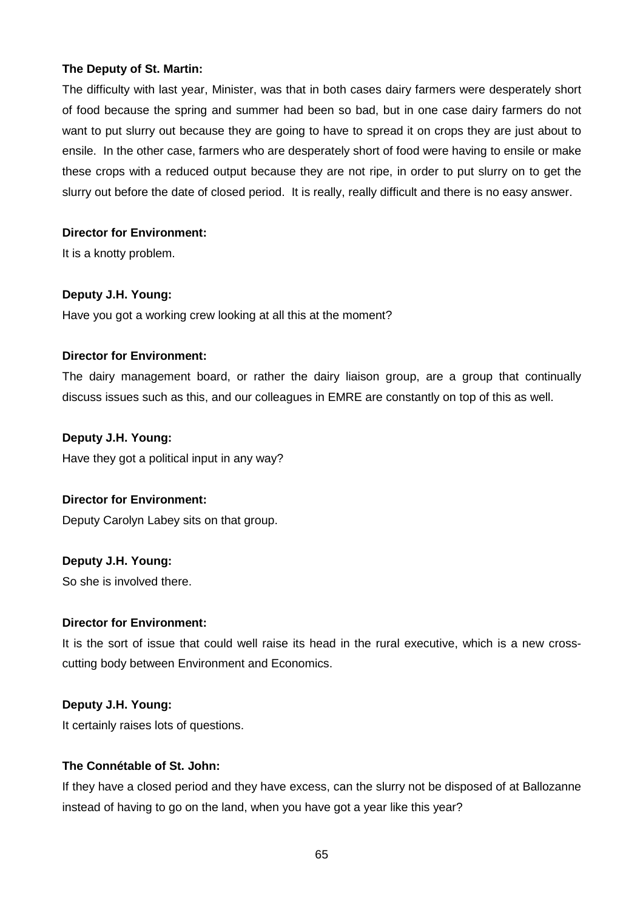# **The Deputy of St. Martin:**

The difficulty with last year, Minister, was that in both cases dairy farmers were desperately short of food because the spring and summer had been so bad, but in one case dairy farmers do not want to put slurry out because they are going to have to spread it on crops they are just about to ensile. In the other case, farmers who are desperately short of food were having to ensile or make these crops with a reduced output because they are not ripe, in order to put slurry on to get the slurry out before the date of closed period. It is really, really difficult and there is no easy answer.

# **Director for Environment:**

It is a knotty problem.

# **Deputy J.H. Young:**

Have you got a working crew looking at all this at the moment?

# **Director for Environment:**

The dairy management board, or rather the dairy liaison group, are a group that continually discuss issues such as this, and our colleagues in EMRE are constantly on top of this as well.

# **Deputy J.H. Young:**

Have they got a political input in any way?

# **Director for Environment:**

Deputy Carolyn Labey sits on that group.

# **Deputy J.H. Young:**

So she is involved there.

# **Director for Environment:**

It is the sort of issue that could well raise its head in the rural executive, which is a new crosscutting body between Environment and Economics.

# **Deputy J.H. Young:**

It certainly raises lots of questions.

# **The Connétable of St. John:**

If they have a closed period and they have excess, can the slurry not be disposed of at Ballozanne instead of having to go on the land, when you have got a year like this year?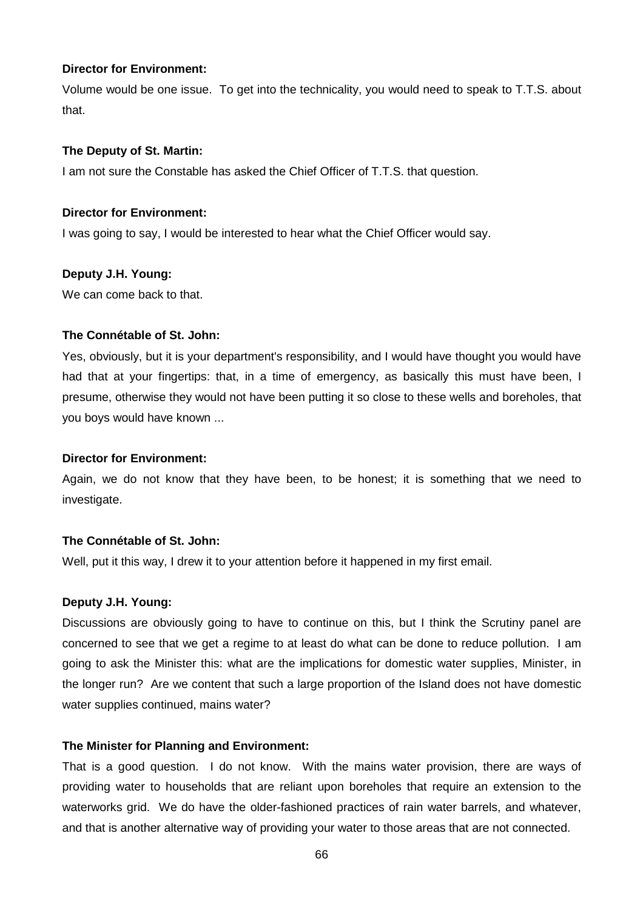#### **Director for Environment:**

Volume would be one issue. To get into the technicality, you would need to speak to T.T.S. about that.

### **The Deputy of St. Martin:**

I am not sure the Constable has asked the Chief Officer of T.T.S. that question.

### **Director for Environment:**

I was going to say, I would be interested to hear what the Chief Officer would say.

### **Deputy J.H. Young:**

We can come back to that.

# **The Connétable of St. John:**

Yes, obviously, but it is your department's responsibility, and I would have thought you would have had that at your fingertips: that, in a time of emergency, as basically this must have been, I presume, otherwise they would not have been putting it so close to these wells and boreholes, that you boys would have known ...

### **Director for Environment:**

Again, we do not know that they have been, to be honest; it is something that we need to investigate.

# **The Connétable of St. John:**

Well, put it this way, I drew it to your attention before it happened in my first email.

#### **Deputy J.H. Young:**

Discussions are obviously going to have to continue on this, but I think the Scrutiny panel are concerned to see that we get a regime to at least do what can be done to reduce pollution. I am going to ask the Minister this: what are the implications for domestic water supplies, Minister, in the longer run? Are we content that such a large proportion of the Island does not have domestic water supplies continued, mains water?

# **The Minister for Planning and Environment:**

That is a good question. I do not know. With the mains water provision, there are ways of providing water to households that are reliant upon boreholes that require an extension to the waterworks grid. We do have the older-fashioned practices of rain water barrels, and whatever, and that is another alternative way of providing your water to those areas that are not connected.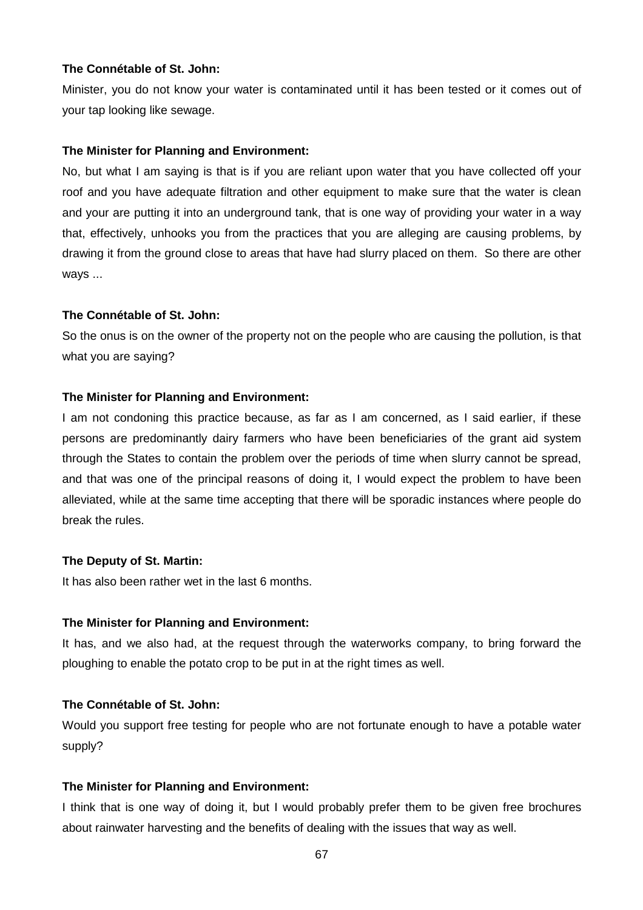### **The Connétable of St. John:**

Minister, you do not know your water is contaminated until it has been tested or it comes out of your tap looking like sewage.

### **The Minister for Planning and Environment:**

No, but what I am saying is that is if you are reliant upon water that you have collected off your roof and you have adequate filtration and other equipment to make sure that the water is clean and your are putting it into an underground tank, that is one way of providing your water in a way that, effectively, unhooks you from the practices that you are alleging are causing problems, by drawing it from the ground close to areas that have had slurry placed on them. So there are other ways ...

### **The Connétable of St. John:**

So the onus is on the owner of the property not on the people who are causing the pollution, is that what you are saying?

### **The Minister for Planning and Environment:**

I am not condoning this practice because, as far as I am concerned, as I said earlier, if these persons are predominantly dairy farmers who have been beneficiaries of the grant aid system through the States to contain the problem over the periods of time when slurry cannot be spread, and that was one of the principal reasons of doing it, I would expect the problem to have been alleviated, while at the same time accepting that there will be sporadic instances where people do break the rules.

#### **The Deputy of St. Martin:**

It has also been rather wet in the last 6 months.

#### **The Minister for Planning and Environment:**

It has, and we also had, at the request through the waterworks company, to bring forward the ploughing to enable the potato crop to be put in at the right times as well.

# **The Connétable of St. John:**

Would you support free testing for people who are not fortunate enough to have a potable water supply?

# **The Minister for Planning and Environment:**

I think that is one way of doing it, but I would probably prefer them to be given free brochures about rainwater harvesting and the benefits of dealing with the issues that way as well.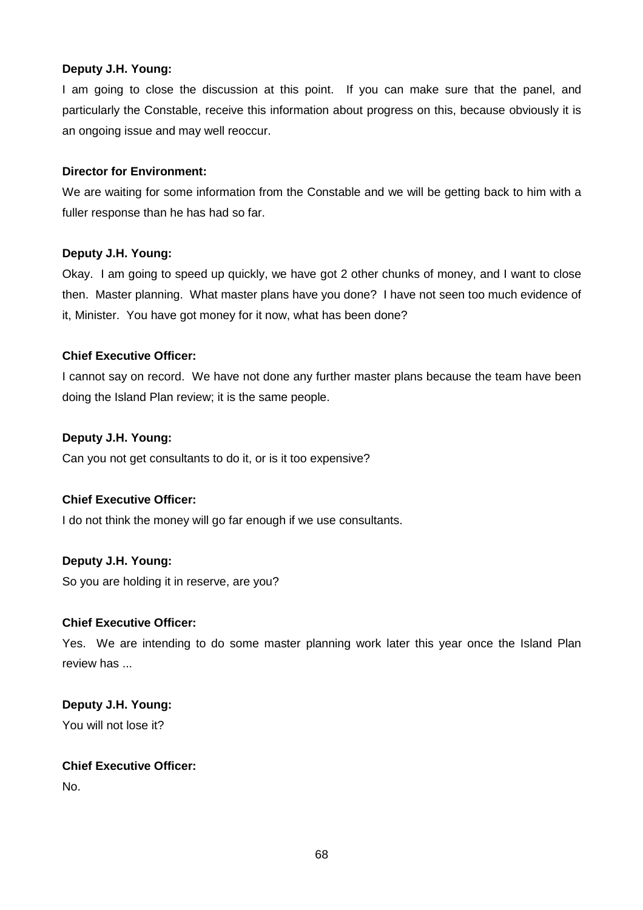I am going to close the discussion at this point. If you can make sure that the panel, and particularly the Constable, receive this information about progress on this, because obviously it is an ongoing issue and may well reoccur.

# **Director for Environment:**

We are waiting for some information from the Constable and we will be getting back to him with a fuller response than he has had so far.

# **Deputy J.H. Young:**

Okay. I am going to speed up quickly, we have got 2 other chunks of money, and I want to close then. Master planning. What master plans have you done? I have not seen too much evidence of it, Minister. You have got money for it now, what has been done?

# **Chief Executive Officer:**

I cannot say on record. We have not done any further master plans because the team have been doing the Island Plan review; it is the same people.

# **Deputy J.H. Young:**

Can you not get consultants to do it, or is it too expensive?

# **Chief Executive Officer:**

I do not think the money will go far enough if we use consultants.

# **Deputy J.H. Young:**

So you are holding it in reserve, are you?

# **Chief Executive Officer:**

Yes. We are intending to do some master planning work later this year once the Island Plan review has ...

# **Deputy J.H. Young:**

You will not lose it?

# **Chief Executive Officer:**

No.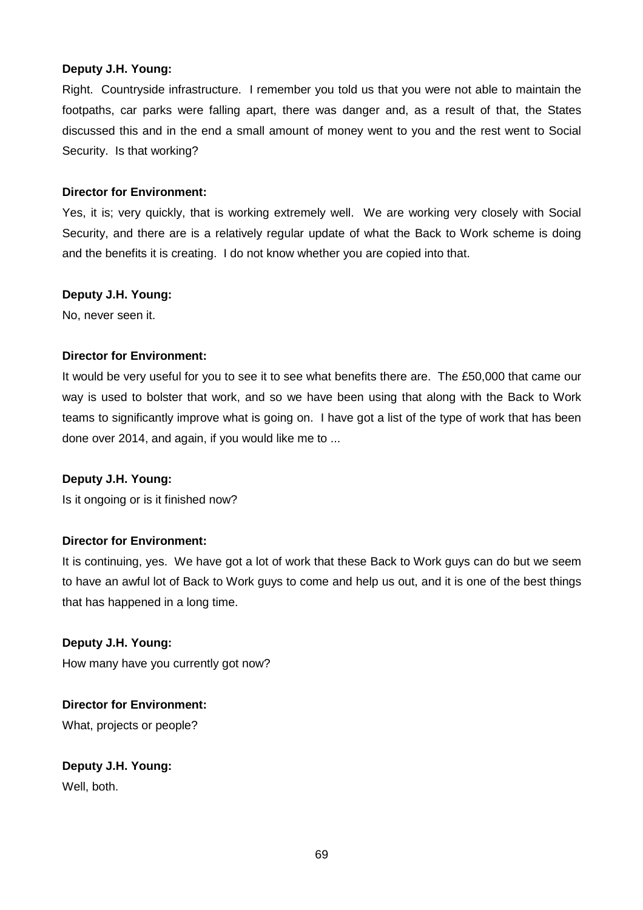Right. Countryside infrastructure. I remember you told us that you were not able to maintain the footpaths, car parks were falling apart, there was danger and, as a result of that, the States discussed this and in the end a small amount of money went to you and the rest went to Social Security. Is that working?

### **Director for Environment:**

Yes, it is; very quickly, that is working extremely well. We are working very closely with Social Security, and there are is a relatively regular update of what the Back to Work scheme is doing and the benefits it is creating. I do not know whether you are copied into that.

#### **Deputy J.H. Young:**

No, never seen it.

# **Director for Environment:**

It would be very useful for you to see it to see what benefits there are. The £50,000 that came our way is used to bolster that work, and so we have been using that along with the Back to Work teams to significantly improve what is going on. I have got a list of the type of work that has been done over 2014, and again, if you would like me to ...

# **Deputy J.H. Young:**

Is it ongoing or is it finished now?

# **Director for Environment:**

It is continuing, yes. We have got a lot of work that these Back to Work guys can do but we seem to have an awful lot of Back to Work guys to come and help us out, and it is one of the best things that has happened in a long time.

**Deputy J.H. Young:**  How many have you currently got now?

**Director for Environment:**  What, projects or people?

**Deputy J.H. Young:**  Well, both.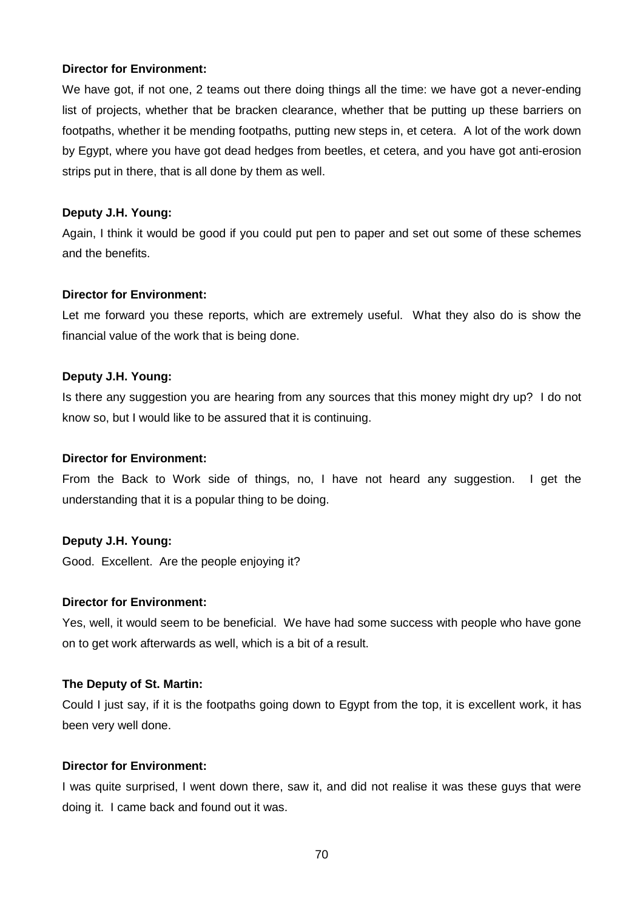### **Director for Environment:**

We have got, if not one, 2 teams out there doing things all the time: we have got a never-ending list of projects, whether that be bracken clearance, whether that be putting up these barriers on footpaths, whether it be mending footpaths, putting new steps in, et cetera. A lot of the work down by Egypt, where you have got dead hedges from beetles, et cetera, and you have got anti-erosion strips put in there, that is all done by them as well.

### **Deputy J.H. Young:**

Again, I think it would be good if you could put pen to paper and set out some of these schemes and the benefits.

### **Director for Environment:**

Let me forward you these reports, which are extremely useful. What they also do is show the financial value of the work that is being done.

### **Deputy J.H. Young:**

Is there any suggestion you are hearing from any sources that this money might dry up? I do not know so, but I would like to be assured that it is continuing.

### **Director for Environment:**

From the Back to Work side of things, no, I have not heard any suggestion. I get the understanding that it is a popular thing to be doing.

# **Deputy J.H. Young:**

Good. Excellent. Are the people enjoying it?

#### **Director for Environment:**

Yes, well, it would seem to be beneficial. We have had some success with people who have gone on to get work afterwards as well, which is a bit of a result.

#### **The Deputy of St. Martin:**

Could I just say, if it is the footpaths going down to Egypt from the top, it is excellent work, it has been very well done.

### **Director for Environment:**

I was quite surprised, I went down there, saw it, and did not realise it was these guys that were doing it. I came back and found out it was.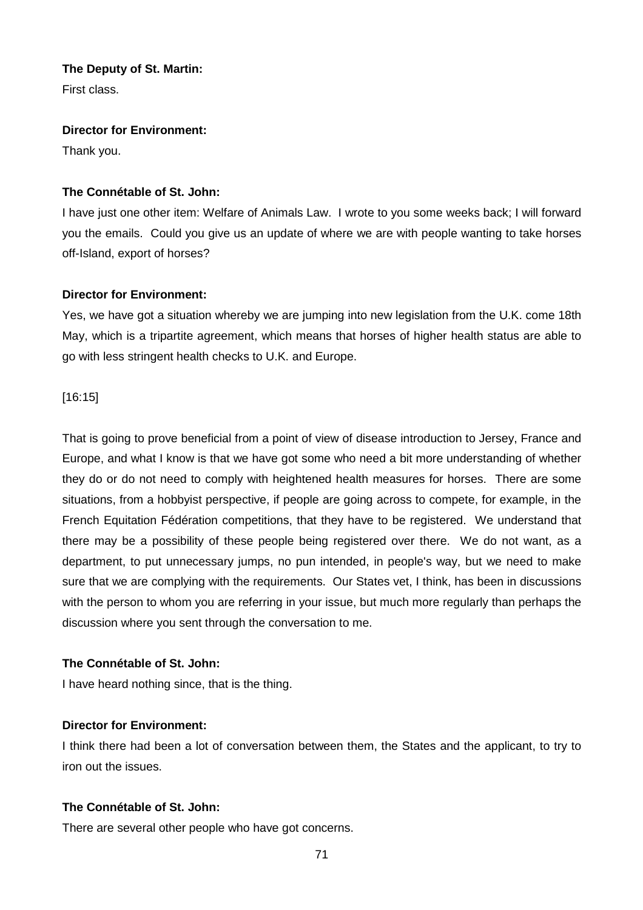# **The Deputy of St. Martin:**

First class.

# **Director for Environment:**

Thank you.

# **The Connétable of St. John:**

I have just one other item: Welfare of Animals Law. I wrote to you some weeks back; I will forward you the emails. Could you give us an update of where we are with people wanting to take horses off-Island, export of horses?

# **Director for Environment:**

Yes, we have got a situation whereby we are jumping into new legislation from the U.K. come 18th May, which is a tripartite agreement, which means that horses of higher health status are able to go with less stringent health checks to U.K. and Europe.

# [16:15]

That is going to prove beneficial from a point of view of disease introduction to Jersey, France and Europe, and what I know is that we have got some who need a bit more understanding of whether they do or do not need to comply with heightened health measures for horses. There are some situations, from a hobbyist perspective, if people are going across to compete, for example, in the French Equitation Fédération competitions, that they have to be registered. We understand that there may be a possibility of these people being registered over there. We do not want, as a department, to put unnecessary jumps, no pun intended, in people's way, but we need to make sure that we are complying with the requirements. Our States vet, I think, has been in discussions with the person to whom you are referring in your issue, but much more regularly than perhaps the discussion where you sent through the conversation to me.

# **The Connétable of St. John:**

I have heard nothing since, that is the thing.

# **Director for Environment:**

I think there had been a lot of conversation between them, the States and the applicant, to try to iron out the issues.

# **The Connétable of St. John:**

There are several other people who have got concerns.